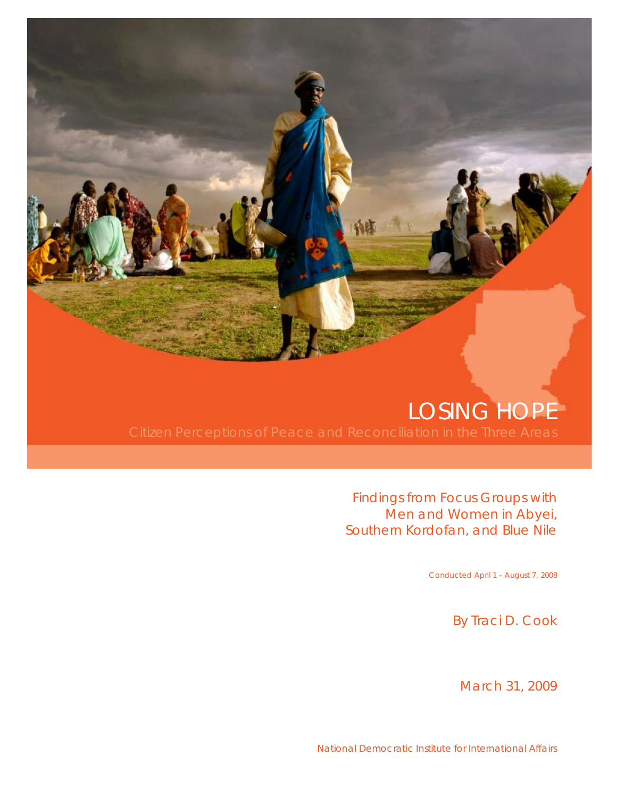# LOSING HOPE

Findings from Focus Groups with Men and Women in Abyei, Southern Kordofan, and Blue Nile

Conducted April 1 – August 7, 2008

By Traci D. Cook

March 31, 2009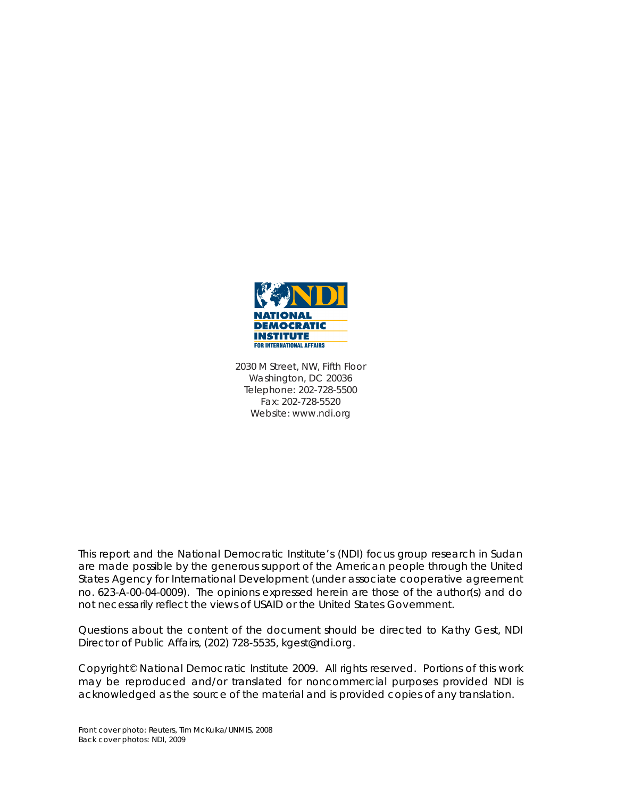

2030 M Street, NW, Fifth Floor Washington, DC 20036 Telephone: 202-728-5500 Fax: 202-728-5520 Website: www.ndi.org

This report and the National Democratic Institute's (NDI) focus group research in Sudan are made possible by the generous support of the American people through the United States Agency for International Development (under associate cooperative agreement no. 623-A-00-04-0009). The opinions expressed herein are those of the author(s) and do not necessarily reflect the views of USAID or the United States Government.

Questions about the content of the document should be directed to Kathy Gest, NDI Director of Public Affairs, (202) 728-5535, kgest@ndi.org.

Copyright© National Democratic Institute 2009. All rights reserved. Portions of this work may be reproduced and/or translated for noncommercial purposes provided NDI is acknowledged as the source of the material and is provided copies of any translation.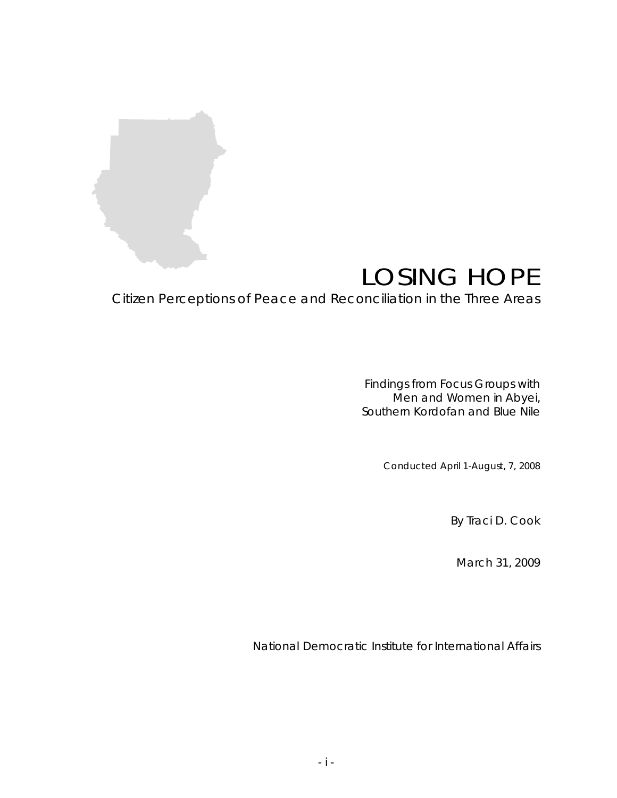

# LOSING HOPE

Citizen Perceptions of Peace and Reconciliation in the Three Areas

Findings from Focus Groups with Men and Women in Abyei, Southern Kordofan and Blue Nile

Conducted April 1-August, 7, 2008

By Traci D. Cook

March 31, 2009

National Democratic Institute for International Affairs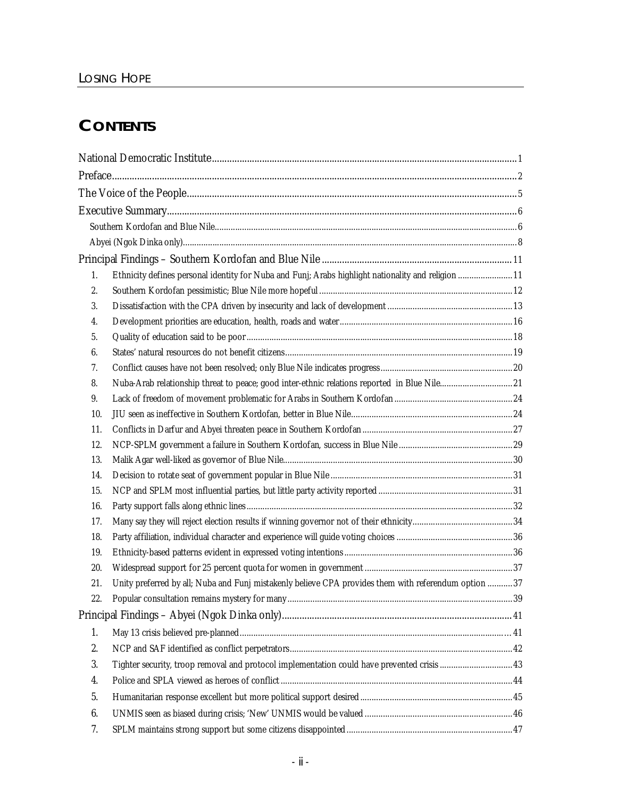## **CONTENTS**

| 1.  | Ethnicity defines personal identity for Nuba and Funj; Arabs highlight nationality and religion  11  |  |
|-----|------------------------------------------------------------------------------------------------------|--|
| 2.  |                                                                                                      |  |
| 3.  |                                                                                                      |  |
| 4.  |                                                                                                      |  |
| 5.  |                                                                                                      |  |
| 6.  |                                                                                                      |  |
| 7.  |                                                                                                      |  |
| 8.  | Nuba-Arab relationship threat to peace; good inter-ethnic relations reported in Blue Nile21          |  |
| 9.  |                                                                                                      |  |
| 10. |                                                                                                      |  |
| 11. |                                                                                                      |  |
| 12. |                                                                                                      |  |
| 13. |                                                                                                      |  |
| 14. |                                                                                                      |  |
| 15. |                                                                                                      |  |
| 16. |                                                                                                      |  |
| 17. |                                                                                                      |  |
| 18. |                                                                                                      |  |
| 19. |                                                                                                      |  |
| 20. |                                                                                                      |  |
| 21. | Unity preferred by all; Nuba and Funj mistakenly believe CPA provides them with referendum option 37 |  |
| 22. |                                                                                                      |  |
|     |                                                                                                      |  |
| 1.  |                                                                                                      |  |
| 2.  |                                                                                                      |  |
| 3.  | Tighter security, troop removal and protocol implementation could have prevented crisis  43          |  |
| 4.  |                                                                                                      |  |
| 5.  |                                                                                                      |  |
| 6.  |                                                                                                      |  |
| 7.  |                                                                                                      |  |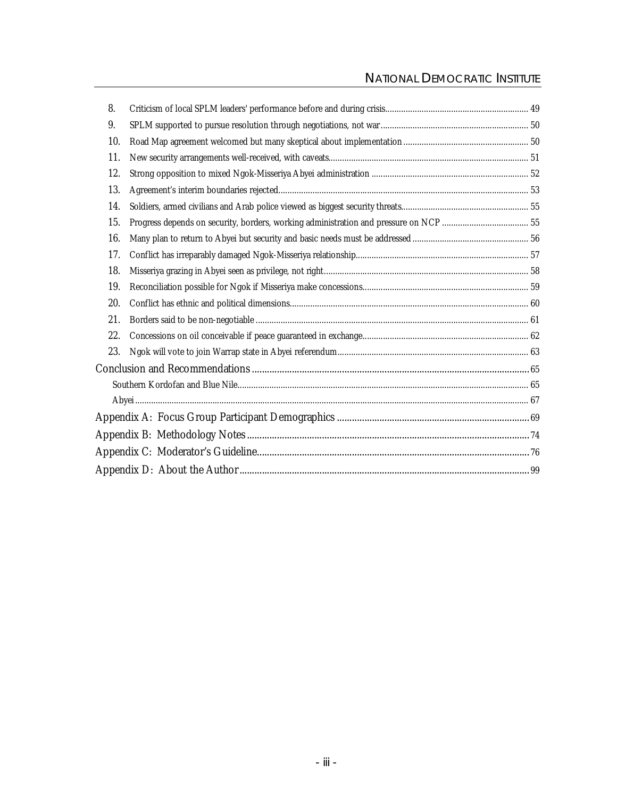# NATIONAL DEMOCRATIC INSTITUTE

| 8.  |  |
|-----|--|
| 9.  |  |
| 10. |  |
| 11. |  |
| 12. |  |
| 13. |  |
| 14. |  |
| 15. |  |
| 16. |  |
| 17. |  |
| 18. |  |
| 19. |  |
| 20. |  |
| 21. |  |
| 22. |  |
| 23. |  |
|     |  |
|     |  |
|     |  |
|     |  |
|     |  |
|     |  |
|     |  |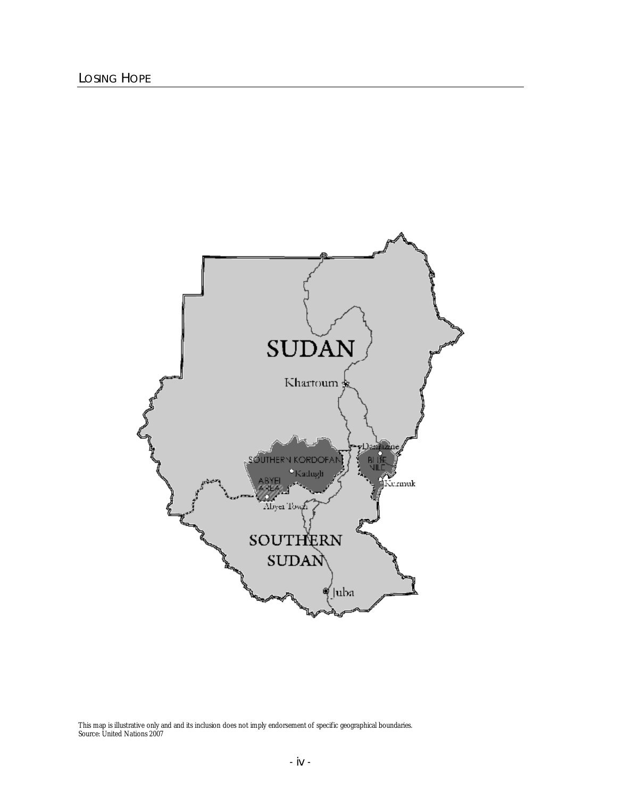

This map is illustrative only and and its inclusion does not imply endorsement of specific geographical boundaries. Source: United Nations 2007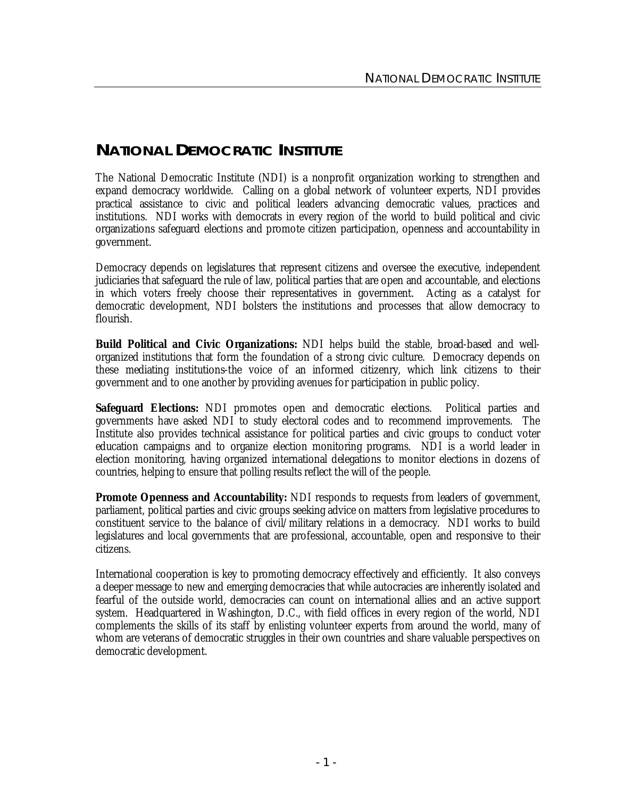## **NATIONAL DEMOCRATIC INSTITUTE**

The National Democratic Institute (NDI) is a nonprofit organization working to strengthen and expand democracy worldwide. Calling on a global network of volunteer experts, NDI provides practical assistance to civic and political leaders advancing democratic values, practices and institutions. NDI works with democrats in every region of the world to build political and civic organizations safeguard elections and promote citizen participation, openness and accountability in government.

Democracy depends on legislatures that represent citizens and oversee the executive, independent judiciaries that safeguard the rule of law, political parties that are open and accountable, and elections in which voters freely choose their representatives in government. Acting as a catalyst for democratic development, NDI bolsters the institutions and processes that allow democracy to flourish.

*Build Political and Civic Organizations:* NDI helps build the stable, broad-based and wellorganized institutions that form the foundation of a strong civic culture. Democracy depends on these mediating institutions-the voice of an informed citizenry, which link citizens to their government and to one another by providing avenues for participation in public policy.

*Safeguard Elections:* NDI promotes open and democratic elections. Political parties and governments have asked NDI to study electoral codes and to recommend improvements. The Institute also provides technical assistance for political parties and civic groups to conduct voter education campaigns and to organize election monitoring programs. NDI is a world leader in election monitoring, having organized international delegations to monitor elections in dozens of countries, helping to ensure that polling results reflect the will of the people.

*Promote Openness and Accountability:* NDI responds to requests from leaders of government, parliament, political parties and civic groups seeking advice on matters from legislative procedures to constituent service to the balance of civil/military relations in a democracy. NDI works to build legislatures and local governments that are professional, accountable, open and responsive to their citizens.

International cooperation is key to promoting democracy effectively and efficiently. It also conveys a deeper message to new and emerging democracies that while autocracies are inherently isolated and fearful of the outside world, democracies can count on international allies and an active support system. Headquartered in Washington, D.C., with field offices in every region of the world, NDI complements the skills of its staff by enlisting volunteer experts from around the world, many of whom are veterans of democratic struggles in their own countries and share valuable perspectives on democratic development.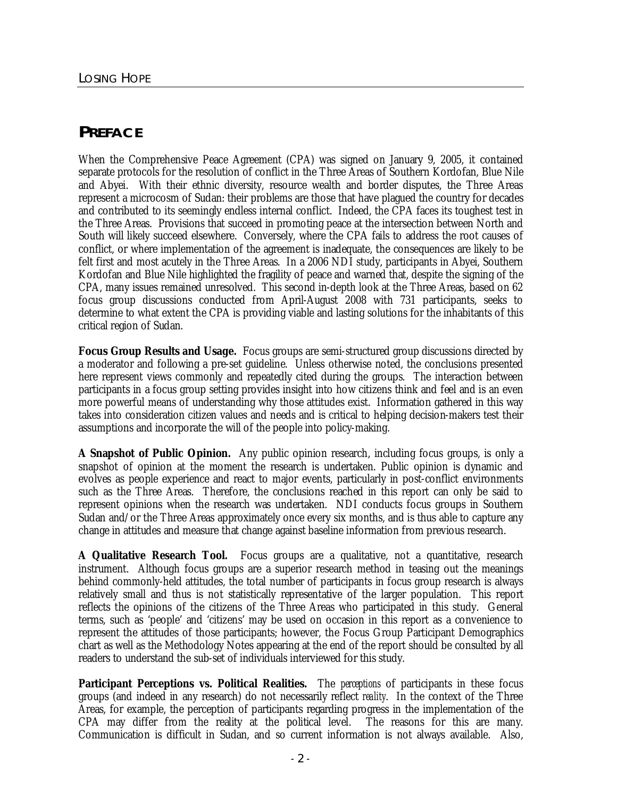## **PREFACE**

When the Comprehensive Peace Agreement (CPA) was signed on January 9, 2005, it contained separate protocols for the resolution of conflict in the Three Areas of Southern Kordofan, Blue Nile and Abyei. With their ethnic diversity, resource wealth and border disputes, the Three Areas represent a microcosm of Sudan: their problems are those that have plagued the country for decades and contributed to its seemingly endless internal conflict. Indeed, the CPA faces its toughest test in the Three Areas. Provisions that succeed in promoting peace at the intersection between North and South will likely succeed elsewhere. Conversely, where the CPA fails to address the root causes of conflict, or where implementation of the agreement is inadequate, the consequences are likely to be felt first and most acutely in the Three Areas. In a 2006 NDI study, participants in Abyei, Southern Kordofan and Blue Nile highlighted the fragility of peace and warned that, despite the signing of the CPA, many issues remained unresolved. This second in-depth look at the Three Areas, based on 62 focus group discussions conducted from April-August 2008 with 731 participants, seeks to determine to what extent the CPA is providing viable and lasting solutions for the inhabitants of this critical region of Sudan.

**Focus Group Results and Usage.** Focus groups are semi-structured group discussions directed by a moderator and following a pre-set guideline. Unless otherwise noted, the conclusions presented here represent views commonly and repeatedly cited during the groups. The interaction between participants in a focus group setting provides insight into how citizens think and feel and is an even more powerful means of understanding why those attitudes exist. Information gathered in this way takes into consideration citizen values and needs and is critical to helping decision-makers test their assumptions and incorporate the will of the people into policy-making.

**A Snapshot of Public Opinion.** Any public opinion research, including focus groups, is only a snapshot of opinion at the moment the research is undertaken. Public opinion is dynamic and evolves as people experience and react to major events, particularly in post-conflict environments such as the Three Areas. Therefore, the conclusions reached in this report can only be said to represent opinions when the research was undertaken. NDI conducts focus groups in Southern Sudan and/or the Three Areas approximately once every six months, and is thus able to capture any change in attitudes and measure that change against baseline information from previous research.

**A Qualitative Research Tool.** Focus groups are a qualitative, not a quantitative, research instrument. Although focus groups are a superior research method in teasing out the meanings behind commonly-held attitudes, the total number of participants in focus group research is always relatively small and thus is not statistically representative of the larger population. This report reflects the opinions of the citizens of the Three Areas who participated in this study. General terms, such as 'people' and 'citizens' may be used on occasion in this report as a convenience to represent the attitudes of those participants; however, the Focus Group Participant Demographics chart as well as the Methodology Notes appearing at the end of the report should be consulted by all readers to understand the sub-set of individuals interviewed for this study.

**Participant Perceptions vs. Political Realities.** The *perceptions* of participants in these focus groups (and indeed in any research) do not necessarily reflect *reality*. In the context of the Three Areas, for example, the perception of participants regarding progress in the implementation of the CPA may differ from the reality at the political level. The reasons for this are many. Communication is difficult in Sudan, and so current information is not always available. Also,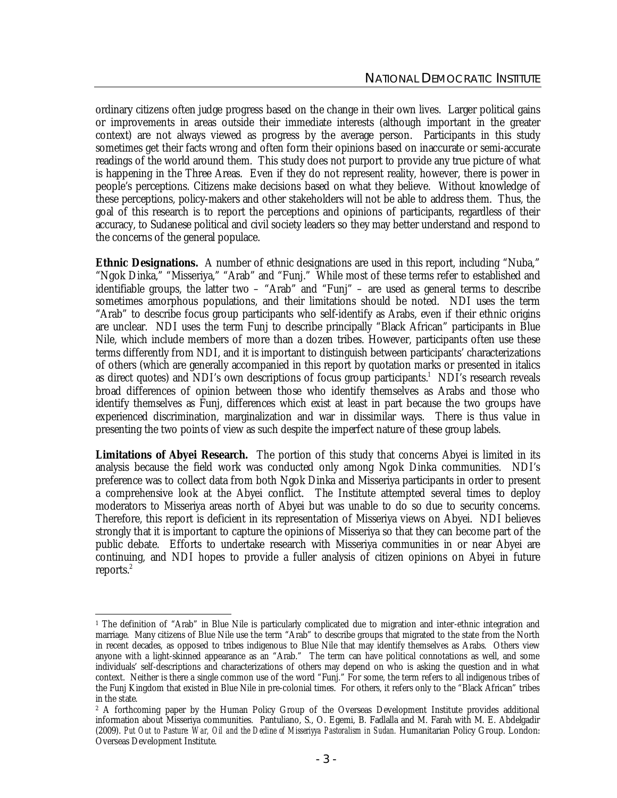ordinary citizens often judge progress based on the change in their own lives. Larger political gains or improvements in areas outside their immediate interests (although important in the greater context) are not always viewed as progress by the average person. Participants in this study sometimes get their facts wrong and often form their opinions based on inaccurate or semi-accurate readings of the world around them. This study does not purport to provide any true picture of what is happening in the Three Areas. Even if they do not represent reality, however, there is power in people's perceptions. Citizens make decisions based on what they believe. Without knowledge of these perceptions, policy-makers and other stakeholders will not be able to address them. Thus, the goal of this research is to report the perceptions and opinions of participants, regardless of their accuracy, to Sudanese political and civil society leaders so they may better understand and respond to the concerns of the general populace.

**Ethnic Designations.** A number of ethnic designations are used in this report, including "Nuba," "Ngok Dinka," "Misseriya," "Arab" and "Funj." While most of these terms refer to established and identifiable groups, the latter two – "Arab" and "Funj" – are used as general terms to describe sometimes amorphous populations, and their limitations should be noted. NDI uses the term "Arab" to describe focus group participants who self-identify as Arabs, even if their ethnic origins are unclear. NDI uses the term Funj to describe principally "Black African" participants in Blue Nile, which include members of more than a dozen tribes. However, participants often use these terms differently from NDI, and it is important to distinguish between participants' characterizations of others (which are generally accompanied in this report by quotation marks or presented in italics as direct quotes) and NDI's own descriptions of focus group participants.<sup>1</sup> NDI's research reveals broad differences of opinion between those who identify themselves as Arabs and those who identify themselves as Funj, differences which exist at least in part because the two groups have experienced discrimination, marginalization and war in dissimilar ways. There is thus value in presenting the two points of view as such despite the imperfect nature of these group labels.

**Limitations of Abyei Research.** The portion of this study that concerns Abyei is limited in its analysis because the field work was conducted only among Ngok Dinka communities. NDI's preference was to collect data from both Ngok Dinka and Misseriya participants in order to present a comprehensive look at the Abyei conflict. The Institute attempted several times to deploy moderators to Misseriya areas north of Abyei but was unable to do so due to security concerns. Therefore, this report is deficient in its representation of Misseriya views on Abyei. NDI believes strongly that it is important to capture the opinions of Misseriya so that they can become part of the public debate. Efforts to undertake research with Misseriya communities in or near Abyei are continuing, and NDI hopes to provide a fuller analysis of citizen opinions on Abyei in future reports.<sup>2</sup>

l <sup>1</sup> The definition of "Arab" in Blue Nile is particularly complicated due to migration and inter-ethnic integration and marriage. Many citizens of Blue Nile use the term "Arab" to describe groups that migrated to the state from the North in recent decades, as opposed to tribes indigenous to Blue Nile that may identify themselves as Arabs. Others view anyone with a light-skinned appearance as an "Arab." The term can have political connotations as well, and some individuals' self-descriptions and characterizations of others may depend on who is asking the question and in what context. Neither is there a single common use of the word "Funj." For some, the term refers to all indigenous tribes of the Funj Kingdom that existed in Blue Nile in pre-colonial times. For others, it refers only to the "Black African" tribes in the state.

<sup>&</sup>lt;sup>2</sup> A forthcoming paper by the Human Policy Group of the Overseas Development Institute provides additional information about Misseriya communities. Pantuliano, S., O. Egemi, B. Fadlalla and M. Farah with M. E. Abdelgadir (2009). *Put Out to Pasture: War, Oil and the Decline of Misseriyya Pastoralism in Sudan.* Humanitarian Policy Group. London: Overseas Development Institute.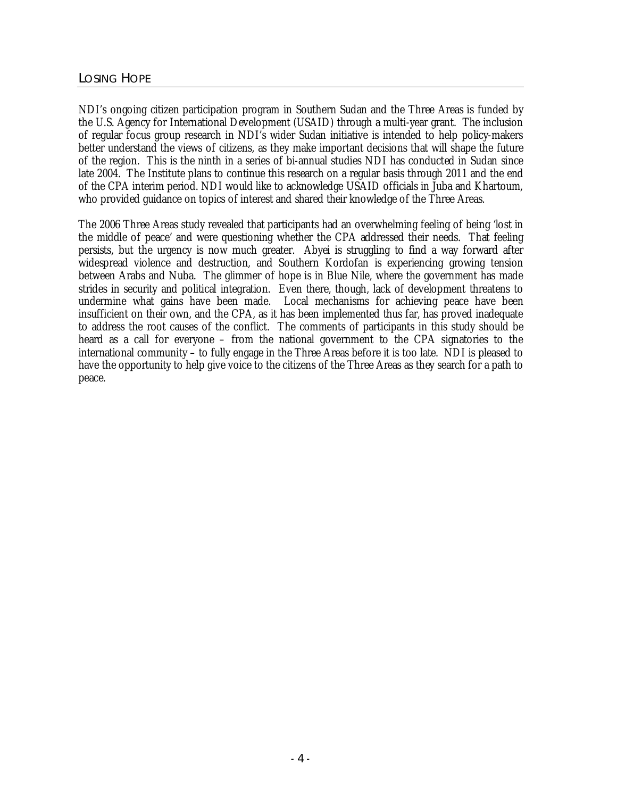NDI's ongoing citizen participation program in Southern Sudan and the Three Areas is funded by the U.S. Agency for International Development (USAID) through a multi-year grant. The inclusion of regular focus group research in NDI's wider Sudan initiative is intended to help policy-makers better understand the views of citizens, as they make important decisions that will shape the future of the region. This is the ninth in a series of bi-annual studies NDI has conducted in Sudan since late 2004. The Institute plans to continue this research on a regular basis through 2011 and the end of the CPA interim period. NDI would like to acknowledge USAID officials in Juba and Khartoum, who provided guidance on topics of interest and shared their knowledge of the Three Areas.

The 2006 Three Areas study revealed that participants had an overwhelming feeling of being 'lost in the middle of peace' and were questioning whether the CPA addressed their needs. That feeling persists, but the urgency is now much greater. Abyei is struggling to find a way forward after widespread violence and destruction, and Southern Kordofan is experiencing growing tension between Arabs and Nuba. The glimmer of hope is in Blue Nile, where the government has made strides in security and political integration. Even there, though, lack of development threatens to undermine what gains have been made. Local mechanisms for achieving peace have been insufficient on their own, and the CPA, as it has been implemented thus far, has proved inadequate to address the root causes of the conflict. The comments of participants in this study should be heard as a call for everyone – from the national government to the CPA signatories to the international community – to fully engage in the Three Areas before it is too late. NDI is pleased to have the opportunity to help give voice to the citizens of the Three Areas as they search for a path to peace.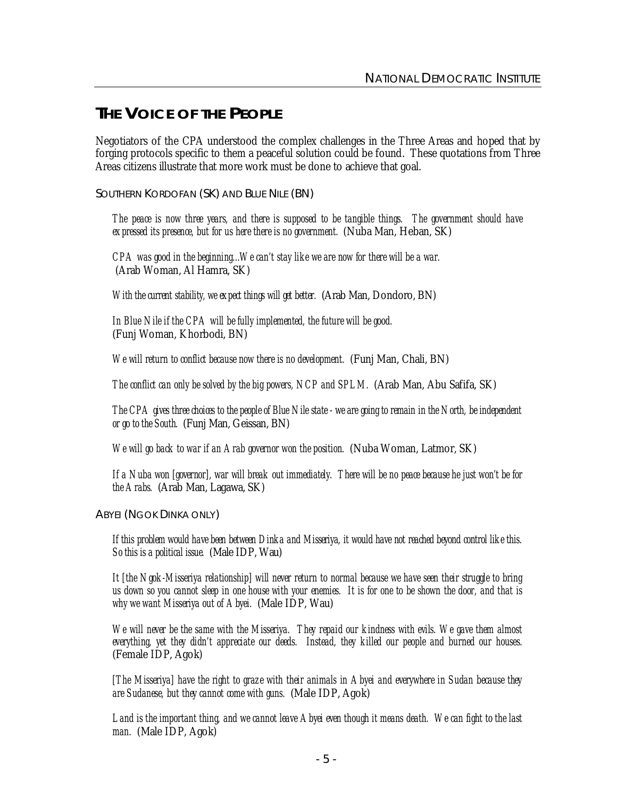## **THE VOICE OF THE PEOPLE**

Negotiators of the CPA understood the complex challenges in the Three Areas and hoped that by forging protocols specific to them a peaceful solution could be found. These quotations from Three Areas citizens illustrate that more work must be done to achieve that goal.

SOUTHERN KORDOFAN (SK) AND BLUE NILE (BN)

*The peace is now three years, and there is supposed to be tangible things. The government should have expressed its presence, but for us here there is no government.* (Nuba Man, Heban, SK)

*CPA was good in the beginning...We can't stay like we are now for there will be a war.* (Arab Woman, Al Hamra, SK)

*With the current stability, we expect things will get better.* (Arab Man, Dondoro, BN)

*In Blue Nile if the CPA will be fully implemented, the future will be good.* (Funj Woman, Khorbodi, BN)

*We will return to conflict because now there is no development.* (Funj Man, Chali, BN)

*The conflict can only be solved by the big powers, NCP and SPLM.* (Arab Man, Abu Safifa, SK)

*The CPA gives three choices to the people of Blue Nile state - we are going to remain in the North, be independent or go to the South.* (Funj Man, Geissan, BN)

*We will go back to war if an Arab governor won the position.* (Nuba Woman, Latmor, SK)

*If a Nuba won [governor], war will break out immediately. There will be no peace because he just won't be for the Arabs.* (Arab Man, Lagawa, SK)

ABYEI (NGOK DINKA ONLY)

If this problem would have been between Dinka and Misseriya, it would have not reached beyond control like this *So this is a political issue.* (Male IDP, Wau)

*It [the Ngok-Misseriya relationship] will never return to normal because we have seen their struggle to bring*  us down so you cannot sleep in one house with your enemies. It is for one to be shown the door, and that is *why we want Misseriya out of Abyei.* (Male IDP, Wau)

*We will never be the same with the Misseriya. They repaid our kindness with evils. We gave them almost everything, yet they didn't appreciate our deeds. Instead, they killed our people and burned our houses.* (Female IDP, Agok)

*[The Misseriya] have the right to graze with their animals in Abyei and everywhere in Sudan because they are Sudanese, but they cannot come with guns.* (Male IDP, Agok)

*Land is the important thing, and we cannot leave Abyei even though it means death. We can fight to the last man.* (Male IDP, Agok)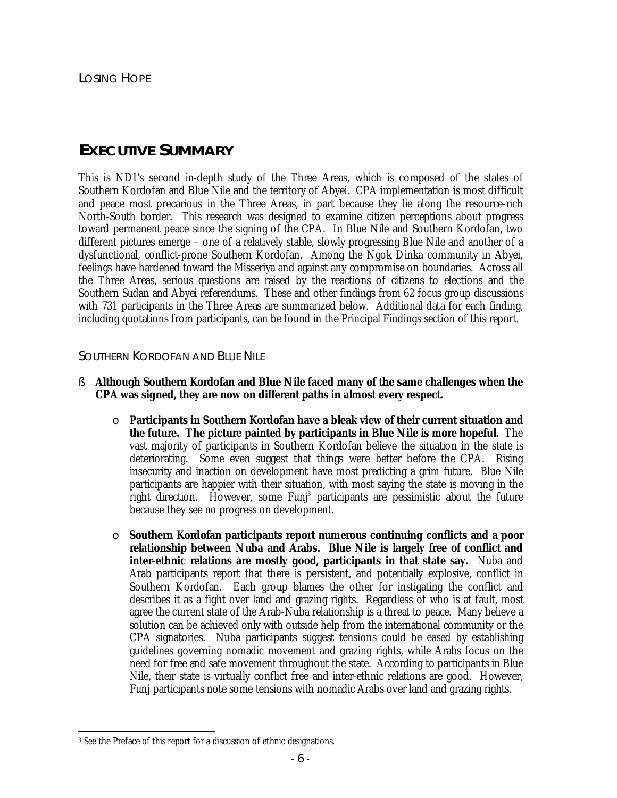## **EXECUTIVE SUMMARY**

This is NDI's second in-depth study of the Three Areas, which is composed of the states of Southern Kordofan and Blue Nile and the territory of Abyei. CPA implementation is most difficult and peace most precarious in the Three Areas, in part because they lie along the resource-rich North-South border. This research was designed to examine citizen perceptions about progress toward permanent peace since the signing of the CPA. In Blue Nile and Southern Kordofan, two different pictures emerge – one of a relatively stable, slowly progressing Blue Nile and another of a dysfunctional, conflict-prone Southern Kordofan. Among the Ngok Dinka community in Abyei, feelings have hardened toward the Misseriya and against any compromise on boundaries. Across all the Three Areas, serious questions are raised by the reactions of citizens to elections and the Southern Sudan and Abyei referendums. These and other findings from 62 focus group discussions with 731 participants in the Three Areas are summarized below. Additional data for each finding, including quotations from participants, can be found in the Principal Findings section of this report.

## SOUTHERN KORDOFAN AND BLUE NILE

- § **Although Southern Kordofan and Blue Nile faced many of the same challenges when the CPA was signed, they are now on different paths in almost every respect.** 
	- o **Participants in Southern Kordofan have a bleak view of their current situation and the future. The picture painted by participants in Blue Nile is more hopeful.** The vast majority of participants in Southern Kordofan believe the situation in the state is deteriorating. Some even suggest that things were better before the CPA. Rising insecurity and inaction on development have most predicting a grim future. Blue Nile participants are happier with their situation, with most saying the state is moving in the right direction. However, some Funj<sup>3</sup> participants are pessimistic about the future because they see no progress on development.
	- o **Southern Kordofan participants report numerous continuing conflicts and a poor relationship between Nuba and Arabs. Blue Nile is largely free of conflict and inter-ethnic relations are mostly good, participants in that state say.** Nuba and Arab participants report that there is persistent, and potentially explosive, conflict in Southern Kordofan. Each group blames the other for instigating the conflict and describes it as a fight over land and grazing rights. Regardless of who is at fault, most agree the current state of the Arab-Nuba relationship is a threat to peace. Many believe a solution can be achieved only with outside help from the international community or the CPA signatories. Nuba participants suggest tensions could be eased by establishing guidelines governing nomadic movement and grazing rights, while Arabs focus on the need for free and safe movement throughout the state.According to participants in Blue Nile, their state is virtually conflict free and inter-ethnic relations are good. However, Funj participants note some tensions with nomadic Arabs over land and grazing rights.

 $\overline{a}$ <sup>3</sup> See the Preface of this report for a discussion of ethnic designations.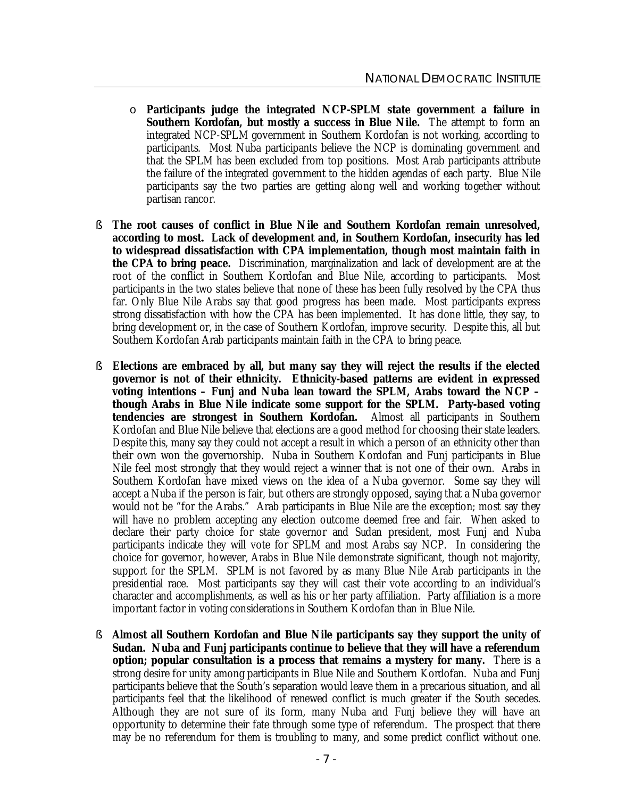- o **Participants judge the integrated NCP-SPLM state government a failure in Southern Kordofan, but mostly a success in Blue Nile.** The attempt to form an integrated NCP-SPLM government in Southern Kordofan is not working, according to participants. Most Nuba participants believe the NCP is dominating government and that the SPLM has been excluded from top positions. Most Arab participants attribute the failure of the integrated government to the hidden agendas of each party. Blue Nile participants say the two parties are getting along well and working together without partisan rancor.
- § **The root causes of conflict in Blue Nile and Southern Kordofan remain unresolved, according to most. Lack of development and, in Southern Kordofan, insecurity has led to widespread dissatisfaction with CPA implementation, though most maintain faith in the CPA to bring peace.** Discrimination, marginalization and lack of development are at the root of the conflict in Southern Kordofan and Blue Nile, according to participants. Most participants in the two states believe that none of these has been fully resolved by the CPA thus far. Only Blue Nile Arabs say that good progress has been made. Most participants express strong dissatisfaction with how the CPA has been implemented. It has done little, they say, to bring development or, in the case of Southern Kordofan, improve security. Despite this, all but Southern Kordofan Arab participants maintain faith in the CPA to bring peace.
- § **Elections are embraced by all, but many say they will reject the results if the elected governor is not of their ethnicity. Ethnicity-based patterns are evident in expressed voting intentions – Funj and Nuba lean toward the SPLM, Arabs toward the NCP – though Arabs in Blue Nile indicate some support for the SPLM. Party-based voting tendencies are strongest in Southern Kordofan.** Almost all participants in Southern Kordofan and Blue Nile believe that elections are a good method for choosing their state leaders. Despite this, many say they could not accept a result in which a person of an ethnicity other than their own won the governorship. Nuba in Southern Kordofan and Funj participants in Blue Nile feel most strongly that they would reject a winner that is not one of their own. Arabs in Southern Kordofan have mixed views on the idea of a Nuba governor. Some say they will accept a Nuba if the person is fair, but others are strongly opposed, saying that a Nuba governor would not be "for the Arabs." Arab participants in Blue Nile are the exception; most say they will have no problem accepting any election outcome deemed free and fair. When asked to declare their party choice for state governor and Sudan president, most Funj and Nuba participants indicate they will vote for SPLM and most Arabs say NCP. In considering the choice for governor, however, Arabs in Blue Nile demonstrate significant, though not majority, support for the SPLM. SPLM is not favored by as many Blue Nile Arab participants in the presidential race. Most participants say they will cast their vote according to an individual's character and accomplishments, as well as his or her party affiliation. Party affiliation is a more important factor in voting considerations in Southern Kordofan than in Blue Nile.
- § **Almost all Southern Kordofan and Blue Nile participants say they support the unity of Sudan. Nuba and Funj participants continue to believe that they will have a referendum option; popular consultation is a process that remains a mystery for many.** There is a strong desire for unity among participants in Blue Nile and Southern Kordofan. Nuba and Funj participants believe that the South's separation would leave them in a precarious situation, and all participants feel that the likelihood of renewed conflict is much greater if the South secedes. Although they are not sure of its form, many Nuba and Funj believe they will have an opportunity to determine their fate through some type of referendum. The prospect that there may be no referendum for them is troubling to many, and some predict conflict without one.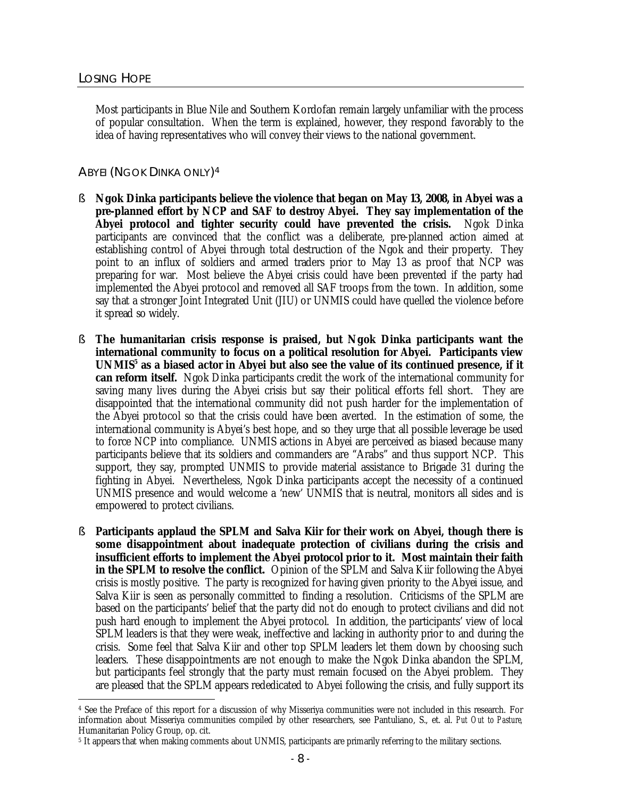Most participants in Blue Nile and Southern Kordofan remain largely unfamiliar with the process of popular consultation. When the term is explained, however, they respond favorably to the idea of having representatives who will convey their views to the national government.

## ABYEI (NGOK DINKA ONLY)<sup>4</sup>

- § **Ngok Dinka participants believe the violence that began on May 13, 2008, in Abyei was a pre-planned effort by NCP and SAF to destroy Abyei. They say implementation of the Abyei protocol and tighter security could have prevented the crisis.** Ngok Dinka participants are convinced that the conflict was a deliberate, pre-planned action aimed at establishing control of Abyei through total destruction of the Ngok and their property. They point to an influx of soldiers and armed traders prior to May 13 as proof that NCP was preparing for war. Most believe the Abyei crisis could have been prevented if the party had implemented the Abyei protocol and removed all SAF troops from the town. In addition, some say that a stronger Joint Integrated Unit (JIU) or UNMIS could have quelled the violence before it spread so widely.
- § **The humanitarian crisis response is praised, but Ngok Dinka participants want the international community to focus on a political resolution for Abyei. Participants view UNMIS<sup>5</sup> as a biased actor in Abyei but also see the value of its continued presence, if it can reform itself.** Ngok Dinka participants credit the work of the international community for saving many lives during the Abyei crisis but say their political efforts fell short. They are disappointed that the international community did not push harder for the implementation of the Abyei protocol so that the crisis could have been averted. In the estimation of some, the international community is Abyei's best hope, and so they urge that all possible leverage be used to force NCP into compliance. UNMIS actions in Abyei are perceived as biased because many participants believe that its soldiers and commanders are "Arabs" and thus support NCP. This support, they say, prompted UNMIS to provide material assistance to Brigade 31 during the fighting in Abyei. Nevertheless, Ngok Dinka participants accept the necessity of a continued UNMIS presence and would welcome a 'new' UNMIS that is neutral, monitors all sides and is empowered to protect civilians.
- § **Participants applaud the SPLM and Salva Kiir for their work on Abyei, though there is some disappointment about inadequate protection of civilians during the crisis and insufficient efforts to implement the Abyei protocol prior to it. Most maintain their faith in the SPLM to resolve the conflict.** Opinion of the SPLM and Salva Kiir following the Abyei crisis is mostly positive. The party is recognized for having given priority to the Abyei issue, and Salva Kiir is seen as personally committed to finding a resolution. Criticisms of the SPLM are based on the participants' belief that the party did not do enough to protect civilians and did not push hard enough to implement the Abyei protocol. In addition, the participants' view of local SPLM leaders is that they were weak, ineffective and lacking in authority prior to and during the crisis. Some feel that Salva Kiir and other top SPLM leaders let them down by choosing such leaders. These disappointments are not enough to make the Ngok Dinka abandon the SPLM, but participants feel strongly that the party must remain focused on the Abyei problem. They are pleased that the SPLM appears rededicated to Abyei following the crisis, and fully support its

 $\overline{a}$ <sup>4</sup> See the Preface of this report for a discussion of why Misseriya communities were not included in this research. For information about Misseriya communities compiled by other researchers, see Pantuliano, S., et. al. *Put Out to Pasture,*  Humanitarian Policy Group, op. cit.

<sup>5</sup> It appears that when making comments about UNMIS, participants are primarily referring to the military sections.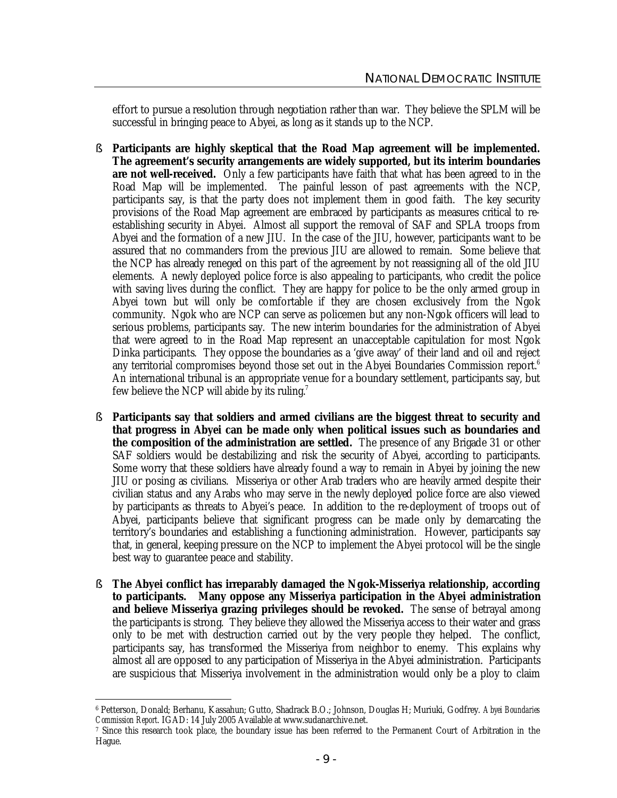effort to pursue a resolution through negotiation rather than war. They believe the SPLM will be successful in bringing peace to Abyei, as long as it stands up to the NCP.

- § **Participants are highly skeptical that the Road Map agreement will be implemented. The agreement's security arrangements are widely supported, but its interim boundaries are not well-received.** Only a few participants have faith that what has been agreed to in the Road Map will be implemented. The painful lesson of past agreements with the NCP, participants say, is that the party does not implement them in good faith. The key security provisions of the Road Map agreement are embraced by participants as measures critical to reestablishing security in Abyei. Almost all support the removal of SAF and SPLA troops from Abyei and the formation of a new JIU. In the case of the JIU, however, participants want to be assured that no commanders from the previous JIU are allowed to remain. Some believe that the NCP has already reneged on this part of the agreement by not reassigning all of the old JIU elements. A newly deployed police force is also appealing to participants, who credit the police with saving lives during the conflict. They are happy for police to be the only armed group in Abyei town but will only be comfortable if they are chosen exclusively from the Ngok community. Ngok who are NCP can serve as policemen but any non-Ngok officers will lead to serious problems, participants say. The new interim boundaries for the administration of Abyei that were agreed to in the Road Map represent an unacceptable capitulation for most Ngok Dinka participants. They oppose the boundaries as a 'give away' of their land and oil and reject any territorial compromises beyond those set out in the Abyei Boundaries Commission report.<sup>6</sup> An international tribunal is an appropriate venue for a boundary settlement, participants say, but few believe the NCP will abide by its ruling.<sup>7</sup>
- § **Participants say that soldiers and armed civilians are the biggest threat to security and that progress in Abyei can be made only when political issues such as boundaries and the composition of the administration are settled.** The presence of any Brigade 31 or other SAF soldiers would be destabilizing and risk the security of Abyei, according to participants. Some worry that these soldiers have already found a way to remain in Abyei by joining the new JIU or posing as civilians. Misseriya or other Arab traders who are heavily armed despite their civilian status and any Arabs who may serve in the newly deployed police force are also viewed by participants as threats to Abyei's peace. In addition to the re-deployment of troops out of Abyei, participants believe that significant progress can be made only by demarcating the territory's boundaries and establishing a functioning administration. However, participants say that, in general, keeping pressure on the NCP to implement the Abyei protocol will be the single best way to guarantee peace and stability.
- § **The Abyei conflict has irreparably damaged the Ngok-Misseriya relationship, according to participants. Many oppose any Misseriya participation in the Abyei administration and believe Misseriya grazing privileges should be revoked.** The sense of betrayal among the participants is strong. They believe they allowed the Misseriya access to their water and grass only to be met with destruction carried out by the very people they helped. The conflict, participants say, has transformed the Misseriya from neighbor to enemy. This explains why almost all are opposed to any participation of Misseriya in the Abyei administration. Participants are suspicious that Misseriya involvement in the administration would only be a ploy to claim

 $\overline{a}$ <sup>6</sup> Petterson, Donald; Berhanu, Kassahun; Gutto, Shadrack B.O.; Johnson, Douglas H; Muriuki, Godfrey. *Abyei Boundaries Commission Report*. IGAD: 14 July 2005 Available at www.sudanarchive.net.

<sup>7</sup> Since this research took place, the boundary issue has been referred to the Permanent Court of Arbitration in the Hague.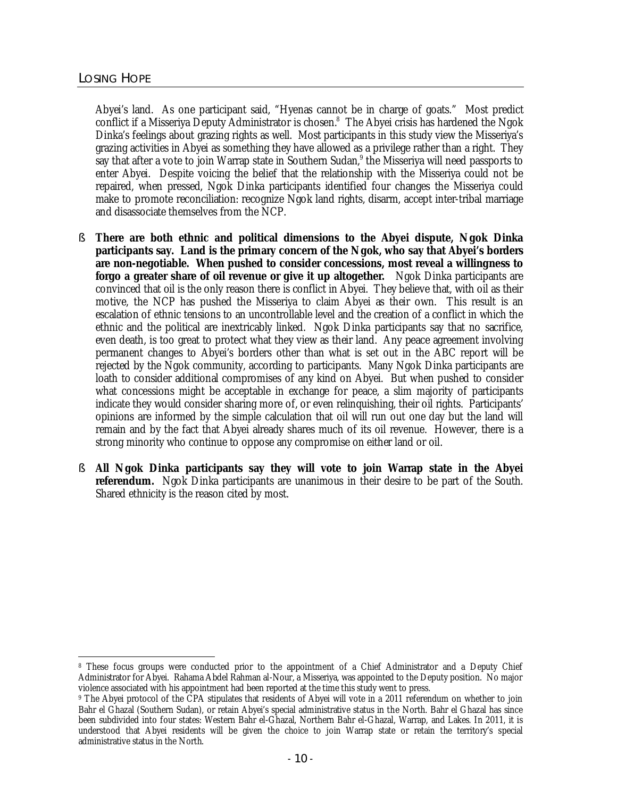Abyei's land. As one participant said, "Hyenas cannot be in charge of goats." Most predict conflict if a Misseriya Deputy Administrator is chosen.<sup>8</sup> The Abyei crisis has hardened the Ngok Dinka's feelings about grazing rights as well. Most participants in this study view the Misseriya's grazing activities in Abyei as something they have allowed as a privilege rather than a right. They say that after a vote to join Warrap state in Southern Sudan,<sup>9</sup> the Misseriya will need passports to enter Abyei. Despite voicing the belief that the relationship with the Misseriya could not be repaired, when pressed, Ngok Dinka participants identified four changes the Misseriya could make to promote reconciliation: recognize Ngok land rights, disarm, accept inter-tribal marriage and disassociate themselves from the NCP.

- § **There are both ethnic and political dimensions to the Abyei dispute, Ngok Dinka participants say. Land is the primary concern of the Ngok, who say that Abyei's borders are non-negotiable. When pushed to consider concessions, most reveal a willingness to forgo a greater share of oil revenue or give it up altogether.** Ngok Dinka participants are convinced that oil is the only reason there is conflict in Abyei. They believe that, with oil as their motive, the NCP has pushed the Misseriya to claim Abyei as their own. This result is an escalation of ethnic tensions to an uncontrollable level and the creation of a conflict in which the ethnic and the political are inextricably linked. Ngok Dinka participants say that no sacrifice, even death, is too great to protect what they view as their land. Any peace agreement involving permanent changes to Abyei's borders other than what is set out in the ABC report will be rejected by the Ngok community, according to participants. Many Ngok Dinka participants are loath to consider additional compromises of any kind on Abyei. But when pushed to consider what concessions might be acceptable in exchange for peace, a slim majority of participants indicate they would consider sharing more of, or even relinquishing, their oil rights. Participants' opinions are informed by the simple calculation that oil will run out one day but the land will remain and by the fact that Abyei already shares much of its oil revenue. However, there is a strong minority who continue to oppose any compromise on either land or oil.
- § **All Ngok Dinka participants say they will vote to join Warrap state in the Abyei referendum.** Ngok Dinka participants are unanimous in their desire to be part of the South. Shared ethnicity is the reason cited by most.

 $\overline{a}$ <sup>8</sup> These focus groups were conducted prior to the appointment of a Chief Administrator and a Deputy Chief Administrator for Abyei. Rahama Abdel Rahman al-Nour, a Misseriya, was appointed to the Deputy position. No major violence associated with his appointment had been reported at the time this study went to press.

<sup>9</sup> The Abyei protocol of the CPA stipulates that residents of Abyei will vote in a 2011 referendum on whether to join Bahr el Ghazal (Southern Sudan), or retain Abyei's special administrative status in the North. Bahr el Ghazal has since been subdivided into four states: Western Bahr el-Ghazal, Northern Bahr el-Ghazal, Warrap, and Lakes. In 2011, it is understood that Abyei residents will be given the choice to join Warrap state or retain the territory's special administrative status in the North.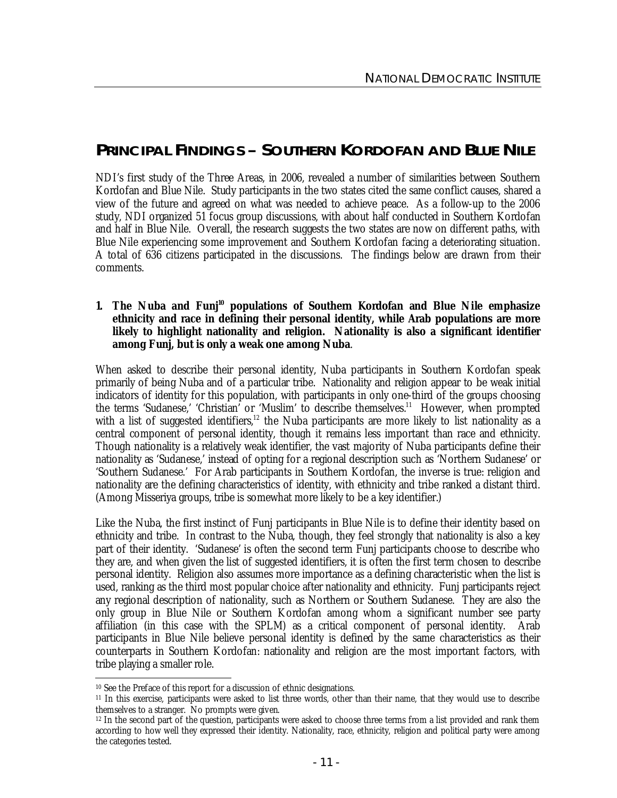## **PRINCIPAL FINDINGS – SOUTHERN KORDOFAN AND BLUE NILE**

NDI's first study of the Three Areas, in 2006, revealed a number of similarities between Southern Kordofan and Blue Nile. Study participants in the two states cited the same conflict causes, shared a view of the future and agreed on what was needed to achieve peace. As a follow-up to the 2006 study, NDI organized 51 focus group discussions, with about half conducted in Southern Kordofan and half in Blue Nile. Overall, the research suggests the two states are now on different paths, with Blue Nile experiencing some improvement and Southern Kordofan facing a deteriorating situation. A total of 636 citizens participated in the discussions. The findings below are drawn from their comments.

#### **1. The Nuba and Funj<sup>10</sup> populations of Southern Kordofan and Blue Nile emphasize ethnicity and race in defining their personal identity, while Arab populations are more likely to highlight nationality and religion. Nationality is also a significant identifier among Funj, but is only a weak one among Nuba**.

When asked to describe their personal identity, Nuba participants in Southern Kordofan speak primarily of being Nuba and of a particular tribe. Nationality and religion appear to be weak initial indicators of identity for this population, with participants in only one-third of the groups choosing the terms 'Sudanese,' 'Christian' or 'Muslim' to describe themselves.<sup>11</sup> However, when prompted with a list of suggested identifiers,<sup>12</sup> the Nuba participants are more likely to list nationality as a central component of personal identity, though it remains less important than race and ethnicity. Though nationality is a relatively weak identifier, the vast majority of Nuba participants define their nationality as 'Sudanese,' instead of opting for a regional description such as 'Northern Sudanese' or 'Southern Sudanese.' For Arab participants in Southern Kordofan, the inverse is true: religion and nationality are the defining characteristics of identity, with ethnicity and tribe ranked a distant third. (Among Misseriya groups, tribe is somewhat more likely to be a key identifier.)

Like the Nuba, the first instinct of Funj participants in Blue Nile is to define their identity based on ethnicity and tribe. In contrast to the Nuba, though, they feel strongly that nationality is also a key part of their identity. 'Sudanese' is often the second term Funj participants choose to describe who they are, and when given the list of suggested identifiers, it is often the first term chosen to describe personal identity. Religion also assumes more importance as a defining characteristic when the list is used, ranking as the third most popular choice after nationality and ethnicity. Funj participants reject any regional description of nationality, such as Northern or Southern Sudanese. They are also the only group in Blue Nile or Southern Kordofan among whom a significant number see party affiliation (in this case with the SPLM) as a critical component of personal identity. Arab participants in Blue Nile believe personal identity is defined by the same characteristics as their counterparts in Southern Kordofan: nationality and religion are the most important factors, with tribe playing a smaller role.

 $\overline{a}$ <sup>10</sup> See the Preface of this report for a discussion of ethnic designations.

<sup>11</sup> In this exercise, participants were asked to list three words, other than their name, that they would use to describe themselves to a stranger. No prompts were given.

<sup>12</sup> In the second part of the question, participants were asked to choose three terms from a list provided and rank them according to how well they expressed their identity. Nationality, race, ethnicity, religion and political party were among the categories tested.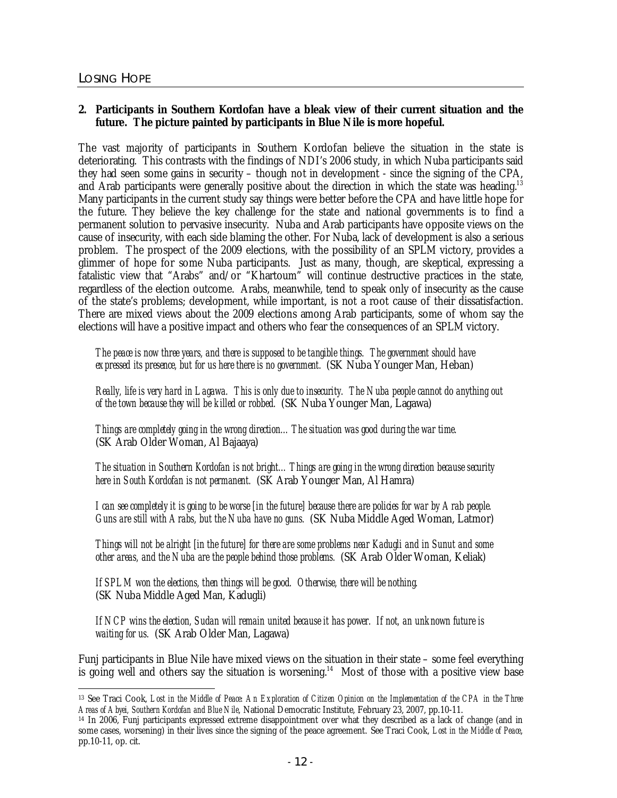## **2. Participants in Southern Kordofan have a bleak view of their current situation and the future. The picture painted by participants in Blue Nile is more hopeful.**

The vast majority of participants in Southern Kordofan believe the situation in the state is deteriorating. This contrasts with the findings of NDI's 2006 study, in which Nuba participants said they had seen some gains in security – though not in development - since the signing of the CPA, and Arab participants were generally positive about the direction in which the state was heading.<sup>13</sup> Many participants in the current study say things were better before the CPA and have little hope for the future. They believe the key challenge for the state and national governments is to find a permanent solution to pervasive insecurity. Nuba and Arab participants have opposite views on the cause of insecurity, with each side blaming the other. For Nuba, lack of development is also a serious problem. The prospect of the 2009 elections, with the possibility of an SPLM victory, provides a glimmer of hope for some Nuba participants. Just as many, though, are skeptical, expressing a fatalistic view that "Arabs" and/or "Khartoum" will continue destructive practices in the state, regardless of the election outcome. Arabs, meanwhile, tend to speak only of insecurity as the cause of the state's problems; development, while important, is not a root cause of their dissatisfaction. There are mixed views about the 2009 elections among Arab participants, some of whom say the elections will have a positive impact and others who fear the consequences of an SPLM victory.

*The peace is now three years, and there is supposed to be tangible things. The government should have expressed its presence, but for us here there is no government.* (SK Nuba Younger Man, Heban)

*Really, life is very hard in Lagawa. This is only due to insecurity. The Nuba people cannot do anything out of the town because they will be killed or robbed.* (SK Nuba Younger Man, Lagawa)

*Things are completely going in the wrong direction…The situation was good during the war time.* (SK Arab Older Woman, Al Bajaaya)

*The situation in Southern Kordofan is not bright…Things are going in the wrong direction because security here in South Kordofan is not permanent.* (SK Arab Younger Man, Al Hamra)

*I can see completely it is going to be worse [in the future] because there are policies for war by Arab people. Guns are still with Arabs, but the Nuba have no guns.* (SK Nuba Middle Aged Woman, Latmor)

*Things will not be alright [in the future] for there are some problems near Kadugli and in Sunut and some other areas, and the Nuba are the people behind those problems.* (SK Arab Older Woman, Keliak)

*If SPLM won the elections, then things will be good. Otherwise, there will be nothing.* (SK Nuba Middle Aged Man, Kadugli)

*If NCP wins the election, Sudan will remain united because it has power. If not, an unknown future is waiting for us.* (SK Arab Older Man, Lagawa)

Funj participants in Blue Nile have mixed views on the situation in their state – some feel everything is going well and others say the situation is worsening.<sup>14</sup> Most of those with a positive view base

 $\overline{a}$ <sup>13</sup> See Traci Cook, Last in the Middle of Peace An Exploration of Citizen Opinion on the Implementation of the CPA in the Three *Areas of Abyei, Southern Kordofan and Blue Nile*, National Democratic Institute, February 23, 2007, pp.10-11.

<sup>14</sup> In 2006, Funj participants expressed extreme disappointment over what they described as a lack of change (and in some cases, worsening) in their lives since the signing of the peace agreement. See Traci Cook, *Lost in the Middle of Peace*, pp.10-11, op. cit.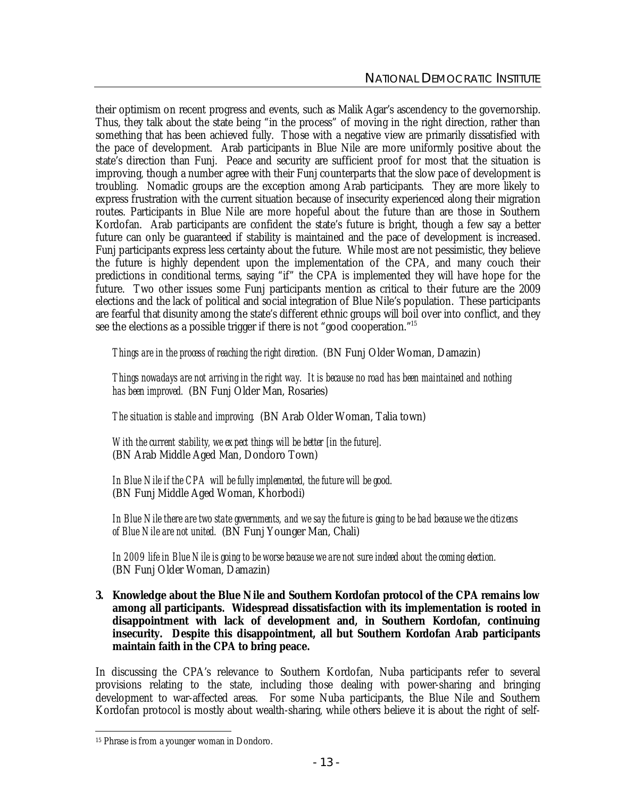their optimism on recent progress and events, such as Malik Agar's ascendency to the governorship. Thus, they talk about the state being "in the process" of moving in the right direction, rather than something that has been achieved fully. Those with a negative view are primarily dissatisfied with the pace of development. Arab participants in Blue Nile are more uniformly positive about the state's direction than Funj. Peace and security are sufficient proof for most that the situation is improving, though a number agree with their Funj counterparts that the slow pace of development is troubling. Nomadic groups are the exception among Arab participants. They are more likely to express frustration with the current situation because of insecurity experienced along their migration routes. Participants in Blue Nile are more hopeful about the future than are those in Southern Kordofan. Arab participants are confident the state's future is bright, though a few say a better future can only be guaranteed if stability is maintained and the pace of development is increased. Funj participants express less certainty about the future. While most are not pessimistic, they believe the future is highly dependent upon the implementation of the CPA, and many couch their predictions in conditional terms, saying "if" the CPA is implemented they will have hope for the future. Two other issues some Funj participants mention as critical to their future are the 2009 elections and the lack of political and social integration of Blue Nile's population. These participants are fearful that disunity among the state's different ethnic groups will boil over into conflict, and they see the elections as a possible trigger if there is not "good cooperation."<sup>15</sup>

*Things are in the process of reaching the right direction.* (BN Funj Older Woman, Damazin)

*Things nowadays are not arriving in the right way. It is because no road has been maintained and nothing has been improved.* (BN Funj Older Man, Rosaries)

*The situation is stable and improving.* (BN Arab Older Woman, Talia town)

*With the current stability, we expect things will be better [in the future].* (BN Arab Middle Aged Man, Dondoro Town)

*In Blue Nile if the CPA will be fully implemented, the future will be good.* (BN Funj Middle Aged Woman, Khorbodi)

In Blue Nile there are two state governments, and we say the future is going to be bad because we the citizens *of Blue Nile are not united.* (BN Funj Younger Man, Chali)

*In 2009 life in Blue Nile is going to be worse because we are not sure indeed about the coming election.* (BN Funj Older Woman, Damazin)

**3. Knowledge about the Blue Nile and Southern Kordofan protocol of the CPA remains low among all participants. Widespread dissatisfaction with its implementation is rooted in disappointment with lack of development and, in Southern Kordofan, continuing insecurity. Despite this disappointment, all but Southern Kordofan Arab participants maintain faith in the CPA to bring peace.**

In discussing the CPA's relevance to Southern Kordofan, Nuba participants refer to several provisions relating to the state, including those dealing with power-sharing and bringing development to war-affected areas. For some Nuba participants, the Blue Nile and Southern Kordofan protocol is mostly about wealth-sharing, while others believe it is about the right of self-

 $\overline{a}$ <sup>15</sup> Phrase is from a younger woman in Dondoro.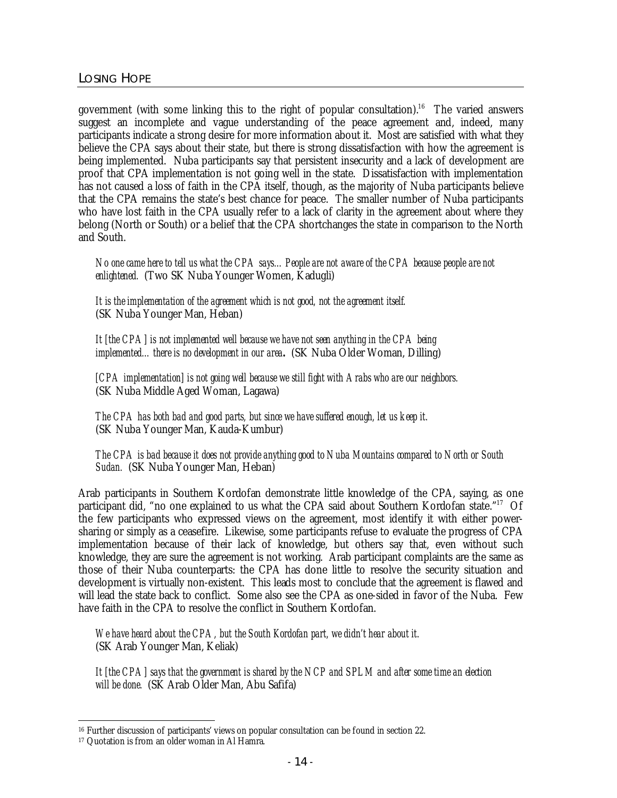government (with some linking this to the right of popular consultation).<sup>16</sup> The varied answers suggest an incomplete and vague understanding of the peace agreement and, indeed, many participants indicate a strong desire for more information about it. Most are satisfied with what they believe the CPA says about their state, but there is strong dissatisfaction with how the agreement is being implemented. Nuba participants say that persistent insecurity and a lack of development are proof that CPA implementation is not going well in the state. Dissatisfaction with implementation has not caused a loss of faith in the CPA itself, though, as the majority of Nuba participants believe that the CPA remains the state's best chance for peace. The smaller number of Nuba participants who have lost faith in the CPA usually refer to a lack of clarity in the agreement about where they belong (North or South) or a belief that the CPA shortchanges the state in comparison to the North and South.

*No one came here to tell us what the CPA says…People are not aware of the CPA because people are not enlightened.* (Two SK Nuba Younger Women, Kadugli)

*It is the implementation of the agreement which is not good, not the agreement itself.* (SK Nuba Younger Man, Heban)

*It [the CPA] is not implemented well because we have not seen anything in the CPA being implemented…there is no development in our area.*(SK Nuba Older Woman, Dilling)

*[CPA implementation] is not going well because we still fight with Arabs who are our neighbors.* (SK Nuba Middle Aged Woman, Lagawa)

*The CPA has both bad and good parts, but since we have suffered enough, let us keep it.*  (SK Nuba Younger Man, Kauda-Kumbur)

*The CPA is bad because it does not provide anything good to Nuba Mountains compared to North or South Sudan.* (SK Nuba Younger Man, Heban)

Arab participants in Southern Kordofan demonstrate little knowledge of the CPA, saying, as one participant did, "no one explained to us what the CPA said about Southern Kordofan state."<sup>17</sup> Of the few participants who expressed views on the agreement, most identify it with either powersharing or simply as a ceasefire. Likewise, some participants refuse to evaluate the progress of CPA implementation because of their lack of knowledge, but others say that, even without such knowledge, they are sure the agreement is not working. Arab participant complaints are the same as those of their Nuba counterparts: the CPA has done little to resolve the security situation and development is virtually non-existent. This leads most to conclude that the agreement is flawed and will lead the state back to conflict. Some also see the CPA as one-sided in favor of the Nuba. Few have faith in the CPA to resolve the conflict in Southern Kordofan.

*We have heard about the CPA, but the South Kordofan part, we didn't hear about it.* (SK Arab Younger Man, Keliak)

*It [the CPA] says that the government is shared by the NCP and SPLM and after some time an election will be done.* (SK Arab Older Man, Abu Safifa)

 $\overline{a}$ <sup>16</sup> Further discussion of participants' views on popular consultation can be found in section 22.

<sup>17</sup> Quotation is from an older woman in Al Hamra.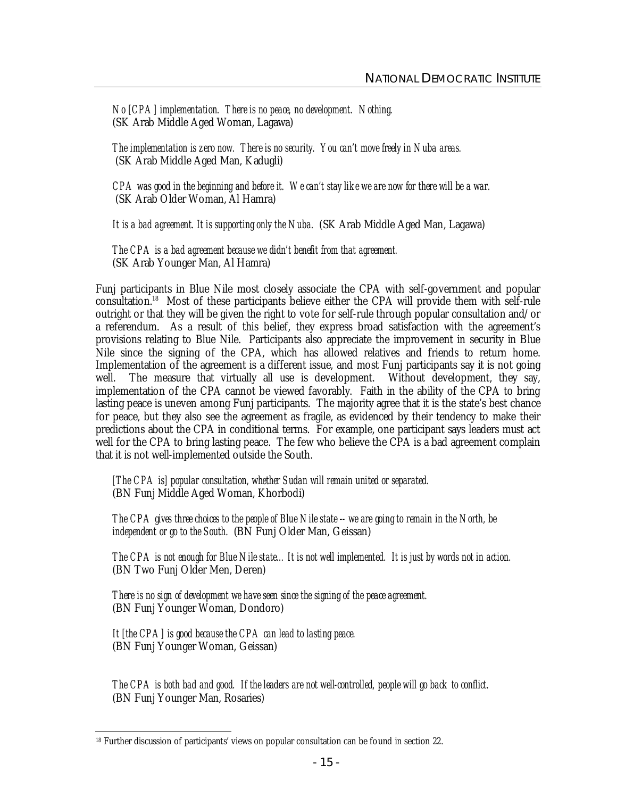*No [CPA] implementation. There is no peace, no development. Nothing.* (SK Arab Middle Aged Woman, Lagawa)

*The implementation is zero now. There is no security. You can't move freely in Nuba areas.* (SK Arab Middle Aged Man, Kadugli)

CPA was good in the beginning and before it. We can't stay like we are now for there will be a war. (SK Arab Older Woman, Al Hamra)

*It is a bad agreement. It is supporting only the Nuba.* (SK Arab Middle Aged Man, Lagawa)

*The CPA is a bad agreement because we didn't benefit from that agreement.* (SK Arab Younger Man, Al Hamra)

Funj participants in Blue Nile most closely associate the CPA with self-government and popular consultation.<sup>18</sup> Most of these participants believe either the CPA will provide them with self-rule outright or that they will be given the right to vote for self-rule through popular consultation and/or a referendum. As a result of this belief, they express broad satisfaction with the agreement's provisions relating to Blue Nile. Participants also appreciate the improvement in security in Blue Nile since the signing of the CPA, which has allowed relatives and friends to return home. Implementation of the agreement is a different issue, and most Funj participants say it is not going well. The measure that virtually all use is development. Without development, they say, implementation of the CPA cannot be viewed favorably. Faith in the ability of the CPA to bring lasting peace is uneven among Funj participants. The majority agree that it is the state's best chance for peace, but they also see the agreement as fragile, as evidenced by their tendency to make their predictions about the CPA in conditional terms. For example, one participant says leaders must act well for the CPA to bring lasting peace. The few who believe the CPA is a bad agreement complain that it is not well-implemented outside the South.

*[The CPA is] popular consultation, whether Sudan will remain united or separated.* (BN Funj Middle Aged Woman, Khorbodi)

*The CPA gives three choices to the people of Blue Nile state -- we are going to remain in the North, be independent or go to the South.* (BN Funj Older Man, Geissan)

*The CPA is not enough for Blue Nile state…It is not well implemented. It is just by words not in action.* (BN Two Funj Older Men, Deren)

*There is no sign of development we have seen since the signing of the peace agreement.* (BN Funj Younger Woman, Dondoro)

*It [the CPA] is good because the CPA can lead to lasting peace.* (BN Funj Younger Woman, Geissan)

*The CPA is both bad and good. If the leaders are not well-controlled, people will go back to conflict.* (BN Funj Younger Man, Rosaries)

 $\overline{a}$ <sup>18</sup> Further discussion of participants' views on popular consultation can be found in section 22.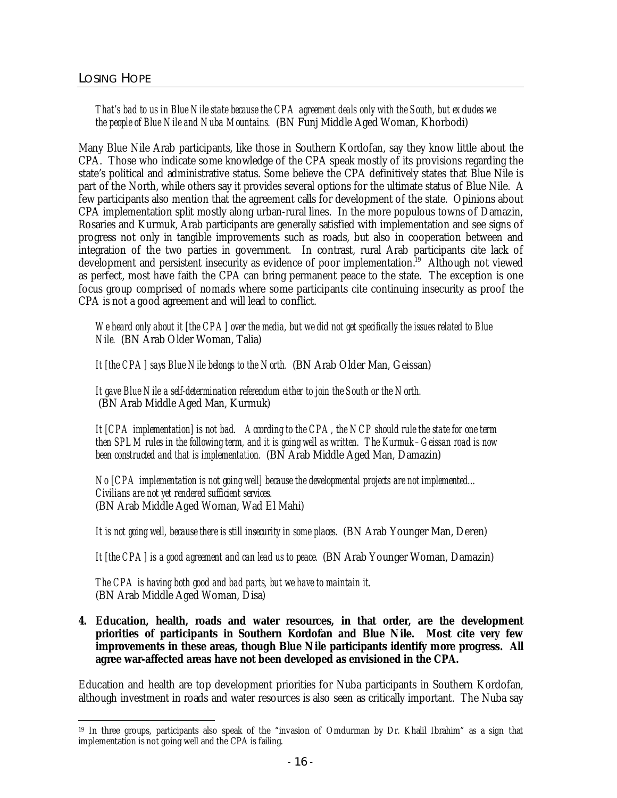## *That's bad to us in Blue Nile state because the CPA agreement deals only with the South, but excludes we the people of Blue Nile and Nuba Mountains.* (BN Funj Middle Aged Woman, Khorbodi)

Many Blue Nile Arab participants, like those in Southern Kordofan, say they know little about the CPA. Those who indicate some knowledge of the CPA speak mostly of its provisions regarding the state's political and administrative status. Some believe the CPA definitively states that Blue Nile is part of the North, while others say it provides several options for the ultimate status of Blue Nile. A few participants also mention that the agreement calls for development of the state. Opinions about CPA implementation split mostly along urban-rural lines. In the more populous towns of Damazin, Rosaries and Kurmuk, Arab participants are generally satisfied with implementation and see signs of progress not only in tangible improvements such as roads, but also in cooperation between and integration of the two parties in government. In contrast, rural Arab participants cite lack of development and persistent insecurity as evidence of poor implementation.<sup>19</sup> Although not viewed as perfect, most have faith the CPA can bring permanent peace to the state. The exception is one focus group comprised of nomads where some participants cite continuing insecurity as proof the CPA is not a good agreement and will lead to conflict.

*We heard only about it [the CPA] over the media, but we did not get specifically the issues related to Blue Nile.* (BN Arab Older Woman, Talia)

*It [the CPA] says Blue Nile belongs to the North.* (BN Arab Older Man, Geissan)

*It gave Blue Nile a self-determination referendum either to join the South or the North.*  (BN Arab Middle Aged Man, Kurmuk)

*It [CPA implementation] is not bad. According to the CPA, the NCP should rule the state for one term then SPLM rules in the following term, and it is going well as written. The Kurmuk–Geissan road is now been constructed and that is implementation.* (BN Arab Middle Aged Man, Damazin)

*No [CPA implementation is not going well] because the developmental projects are not implemented… Civilians are not yet rendered sufficient services.* (BN Arab Middle Aged Woman, Wad El Mahi)

*It is not going well, because there is still insecurity in some places.* (BN Arab Younger Man, Deren)

*It [the CPA] is a good agreement and can lead us to peace.* (BN Arab Younger Woman, Damazin)

*The CPA is having both good and bad parts, but we have to maintain it.* (BN Arab Middle Aged Woman, Disa)

**4. Education, health, roads and water resources, in that order, are the development priorities of participants in Southern Kordofan and Blue Nile. Most cite very few improvements in these areas, though Blue Nile participants identify more progress. All agree war-affected areas have not been developed as envisioned in the CPA.**

Education and health are top development priorities for Nuba participants in Southern Kordofan, although investment in roads and water resources is also seen as critically important. The Nuba say

 $\overline{a}$ <sup>19</sup> In three groups, participants also speak of the "invasion of Omdurman by Dr. Khalil Ibrahim" as a sign that implementation is not going well and the CPA is failing.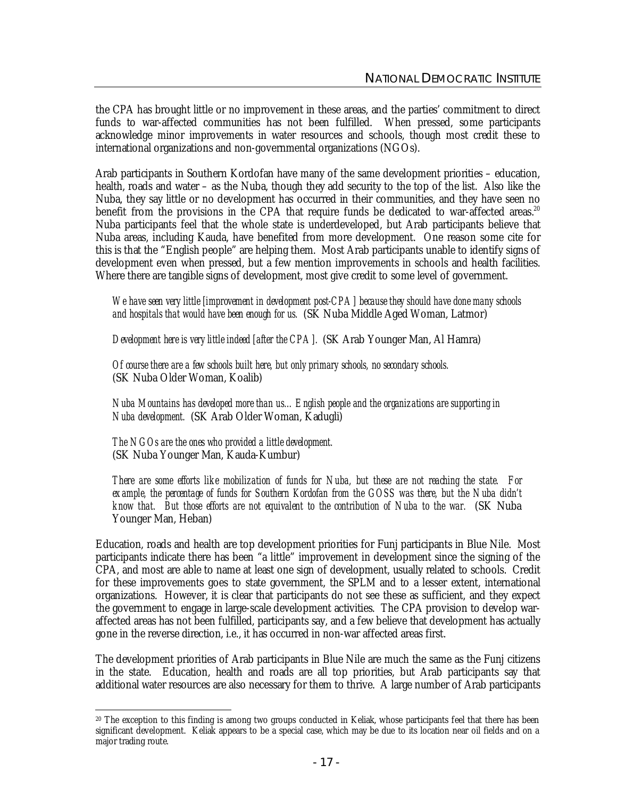the CPA has brought little or no improvement in these areas, and the parties' commitment to direct funds to war-affected communities has not been fulfilled. When pressed, some participants acknowledge minor improvements in water resources and schools, though most credit these to international organizations and non-governmental organizations (NGOs).

Arab participants in Southern Kordofan have many of the same development priorities – education, health, roads and water – as the Nuba, though they add security to the top of the list. Also like the Nuba, they say little or no development has occurred in their communities, and they have seen no benefit from the provisions in the CPA that require funds be dedicated to war-affected areas.<sup>20</sup> Nuba participants feel that the whole state is underdeveloped, but Arab participants believe that Nuba areas, including Kauda, have benefited from more development. One reason some cite for this is that the "English people" are helping them. Most Arab participants unable to identify signs of development even when pressed, but a few mention improvements in schools and health facilities. Where there are tangible signs of development, most give credit to some level of government.

*We have seen very little [improvement in development post-CPA] because they should have done many schools and hospitals that would have been enough for us.* (SK Nuba Middle Aged Woman, Latmor)

*Development here is very little indeed [after the CPA].* (SK Arab Younger Man, Al Hamra)

*Of course there are a few schools built here, but only primary schools, no secondary schools.* (SK Nuba Older Woman, Koalib)

*Nuba Mountains has developed more than us…English people and the organizations are supporting in Nuba development.* (SK Arab Older Woman, Kadugli)

*The NGOs are the ones who provided a little development.* (SK Nuba Younger Man, Kauda-Kumbur)

*There are some efforts like mobilization of funds for Nuba, but these are not reaching the state. For example, the percentage of funds for Southern Kordofan from the GOSS was there, but the Nuba didn't know that. But those efforts are not equivalent to the contribution of Nuba to the war.* (SK Nuba Younger Man, Heban)

Education, roads and health are top development priorities for Funj participants in Blue Nile. Most participants indicate there has been "a little" improvement in development since the signing of the CPA, and most are able to name at least one sign of development, usually related to schools. Credit for these improvements goes to state government, the SPLM and to a lesser extent, international organizations. However, it is clear that participants do not see these as sufficient, and they expect the government to engage in large-scale development activities. The CPA provision to develop waraffected areas has not been fulfilled, participants say, and a few believe that development has actually gone in the reverse direction, i.e., it has occurred in non-war affected areas first.

The development priorities of Arab participants in Blue Nile are much the same as the Funj citizens in the state. Education, health and roads are all top priorities, but Arab participants say that additional water resources are also necessary for them to thrive. A large number of Arab participants

 <sup>20</sup> The exception to this finding is among two groups conducted in Keliak, whose participants feel that there has been significant development. Keliak appears to be a special case, which may be due to its location near oil fields and on a major trading route.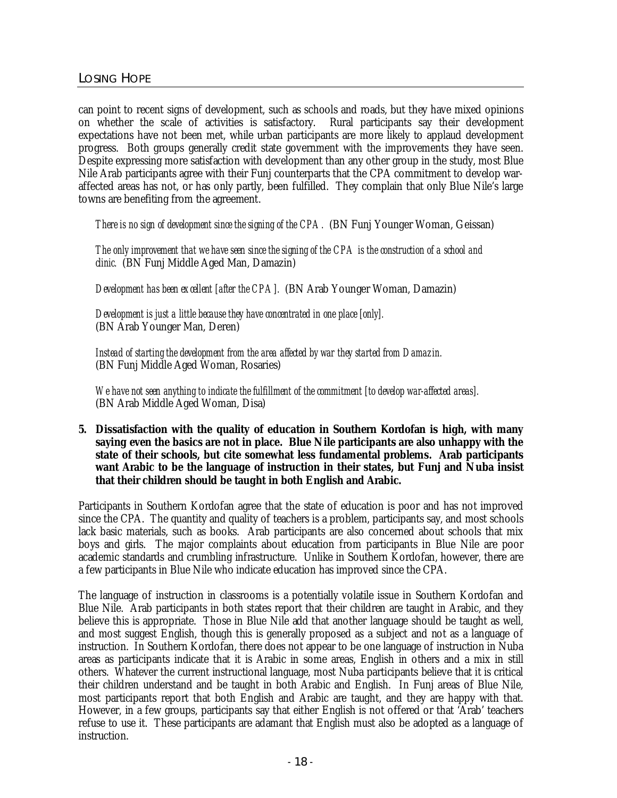can point to recent signs of development, such as schools and roads, but they have mixed opinions on whether the scale of activities is satisfactory. Rural participants say their development expectations have not been met, while urban participants are more likely to applaud development progress. Both groups generally credit state government with the improvements they have seen. Despite expressing more satisfaction with development than any other group in the study, most Blue Nile Arab participants agree with their Funj counterparts that the CPA commitment to develop waraffected areas has not, or has only partly, been fulfilled. They complain that only Blue Nile's large towns are benefiting from the agreement.

*There is no sign of development since the signing of the CPA.* (BN Funj Younger Woman, Geissan)

*The only improvement that we have seen since the signing of the CPA is the construction of a school and clinic.* (BN Funj Middle Aged Man, Damazin)

*Development has been excellent [after the CPA].* (BN Arab Younger Woman, Damazin)

*Development is just a little because they have concentrated in one place [only].* (BN Arab Younger Man, Deren)

*Instead of starting the development from the area affected by war they started from Damazin.* (BN Funj Middle Aged Woman, Rosaries)

*We have not seen anything to indicate the fulfillment of the commitment [to develop war-affected areas].* (BN Arab Middle Aged Woman, Disa)

**5. Dissatisfaction with the quality of education in Southern Kordofan is high, with many saying even the basics are not in place. Blue Nile participants are also unhappy with the state of their schools, but cite somewhat less fundamental problems. Arab participants want Arabic to be the language of instruction in their states, but Funj and Nuba insist that their children should be taught in both English and Arabic.** 

Participants in Southern Kordofan agree that the state of education is poor and has not improved since the CPA. The quantity and quality of teachers is a problem, participants say, and most schools lack basic materials, such as books. Arab participants are also concerned about schools that mix boys and girls. The major complaints about education from participants in Blue Nile are poor academic standards and crumbling infrastructure. Unlike in Southern Kordofan, however, there are a few participants in Blue Nile who indicate education has improved since the CPA.

The language of instruction in classrooms is a potentially volatile issue in Southern Kordofan and Blue Nile. Arab participants in both states report that their children are taught in Arabic, and they believe this is appropriate. Those in Blue Nile add that another language should be taught as well, and most suggest English, though this is generally proposed as a subject and not as a language of instruction. In Southern Kordofan, there does not appear to be one language of instruction in Nuba areas as participants indicate that it is Arabic in some areas, English in others and a mix in still others. Whatever the current instructional language, most Nuba participants believe that it is critical their children understand and be taught in both Arabic and English. In Funj areas of Blue Nile, most participants report that both English and Arabic are taught, and they are happy with that. However, in a few groups, participants say that either English is not offered or that 'Arab' teachers refuse to use it. These participants are adamant that English must also be adopted as a language of instruction.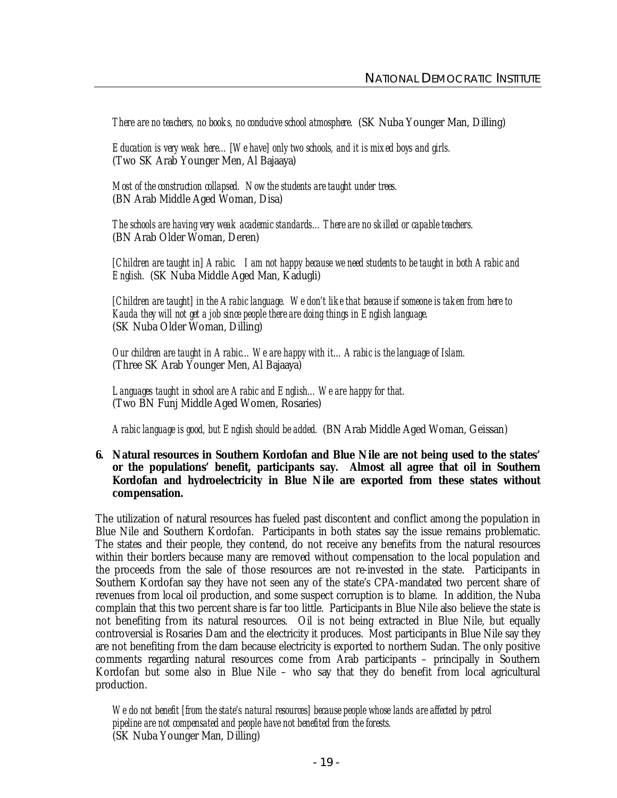*There are no teachers, no books, no conducive school atmosphere.* (SK Nuba Younger Man, Dilling)

*Education is very weak here…[We have] only two schools, and it is mixed boys and girls.* (Two SK Arab Younger Men, Al Bajaaya)

*Most of the construction collapsed. Now the students are taught under trees.* (BN Arab Middle Aged Woman, Disa)

*The schools are having very weak academic standards…There are no skilled or capable teachers.* (BN Arab Older Woman, Deren)

*[Children are taught in] Arabic. I am not happy because we need students to be taught in both Arabic and English.* (SK Nuba Middle Aged Man, Kadugli)

*[Children are taught] in the Arabic language. We don't like that because if someone is taken from here to Kauda they will not get a job since people there are doing things in English language.* (SK Nuba Older Woman, Dilling)

*Our children are taught in Arabic…We are happy with it…Arabic is the language of Islam.* (Three SK Arab Younger Men, Al Bajaaya)

*Languages taught in school are Arabic and English…We are happy for that.* (Two BN Funj Middle Aged Women, Rosaries)

*Arabic language is good, but English should be added.* (BN Arab Middle Aged Woman, Geissan)

**6. Natural resources in Southern Kordofan and Blue Nile are not being used to the states' or the populations' benefit, participants say. Almost all agree that oil in Southern Kordofan and hydroelectricity in Blue Nile are exported from these states without compensation.**

The utilization of natural resources has fueled past discontent and conflict among the population in Blue Nile and Southern Kordofan. Participants in both states say the issue remains problematic. The states and their people, they contend, do not receive any benefits from the natural resources within their borders because many are removed without compensation to the local population and the proceeds from the sale of those resources are not re-invested in the state. Participants in Southern Kordofan say they have not seen any of the state's CPA-mandated two percent share of revenues from local oil production, and some suspect corruption is to blame. In addition, the Nuba complain that this two percent share is far too little. Participants in Blue Nile also believe the state is not benefiting from its natural resources. Oil is not being extracted in Blue Nile, but equally controversial is Rosaries Dam and the electricity it produces. Most participants in Blue Nile say they are not benefiting from the dam because electricity is exported to northern Sudan. The only positive comments regarding natural resources come from Arab participants – principally in Southern Kordofan but some also in Blue Nile – who say that they do benefit from local agricultural production.

*We do not benefit [from the state's natural resources] because people whose lands are affected by petrol pipeline are not compensated and people have not benefited from the forests.* (SK Nuba Younger Man, Dilling)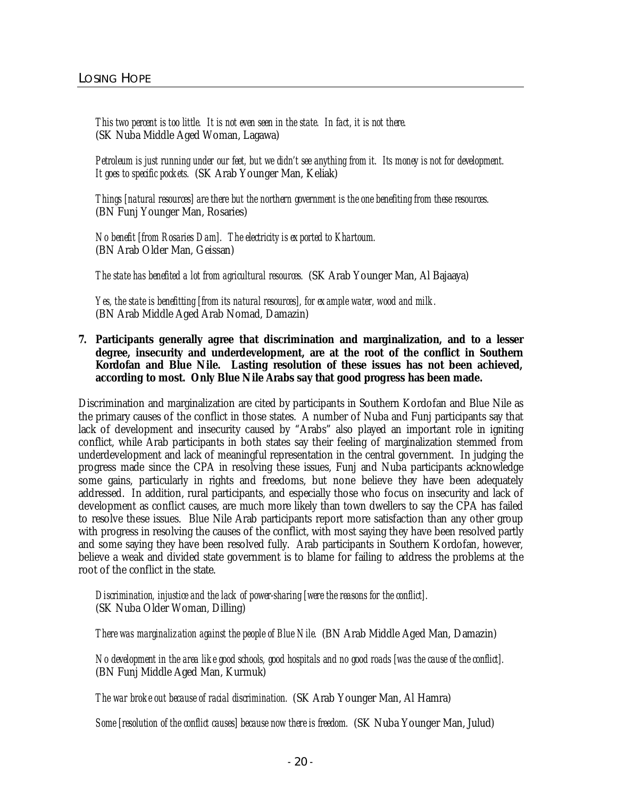*This two percent is too little. It is not even seen in the state. In fact, it is not there.* (SK Nuba Middle Aged Woman, Lagawa)

*Petroleum is just running under our feet, but we didn't see anything from it. Its money is not for development. It goes to specific pockets.* (SK Arab Younger Man, Keliak)

*Things [natural resources] are there but the northern government is the one benefiting from these resources.* (BN Funj Younger Man, Rosaries)

*No benefit [from Rosaries Dam]. The electricity is exported to Khartoum.* (BN Arab Older Man, Geissan)

*The state has benefited a lot from agricultural resources.* (SK Arab Younger Man, Al Bajaaya)

*Yes, the state is benefitting [from its natural resources], for example water, wood and milk.* (BN Arab Middle Aged Arab Nomad, Damazin)

**7. Participants generally agree that discrimination and marginalization, and to a lesser degree, insecurity and underdevelopment, are at the root of the conflict in Southern Kordofan and Blue Nile. Lasting resolution of these issues has not been achieved, according to most. Only Blue Nile Arabs say that good progress has been made.**

Discrimination and marginalization are cited by participants in Southern Kordofan and Blue Nile as the primary causes of the conflict in those states. A number of Nuba and Funj participants say that lack of development and insecurity caused by "Arabs" also played an important role in igniting conflict, while Arab participants in both states say their feeling of marginalization stemmed from underdevelopment and lack of meaningful representation in the central government. In judging the progress made since the CPA in resolving these issues, Funj and Nuba participants acknowledge some gains, particularly in rights and freedoms, but none believe they have been adequately addressed. In addition, rural participants, and especially those who focus on insecurity and lack of development as conflict causes, are much more likely than town dwellers to say the CPA has failed to resolve these issues. Blue Nile Arab participants report more satisfaction than any other group with progress in resolving the causes of the conflict, with most saying they have been resolved partly and some saying they have been resolved fully. Arab participants in Southern Kordofan, however, believe a weak and divided state government is to blame for failing to address the problems at the root of the conflict in the state.

*Discrimination, injustice and the lack of power-sharing [were the reasons for the conflict].* (SK Nuba Older Woman, Dilling)

*There was marginalization against the people of Blue Nile.* (BN Arab Middle Aged Man, Damazin)

*No development in the area like good schools, good hospitals and no good roads [was the cause of the conflict].* (BN Funj Middle Aged Man, Kurmuk)

*The war broke out because of racial discrimination.* (SK Arab Younger Man, Al Hamra)

*Some [resolution of the conflict causes] because now there is freedom.* (SK Nuba Younger Man, Julud)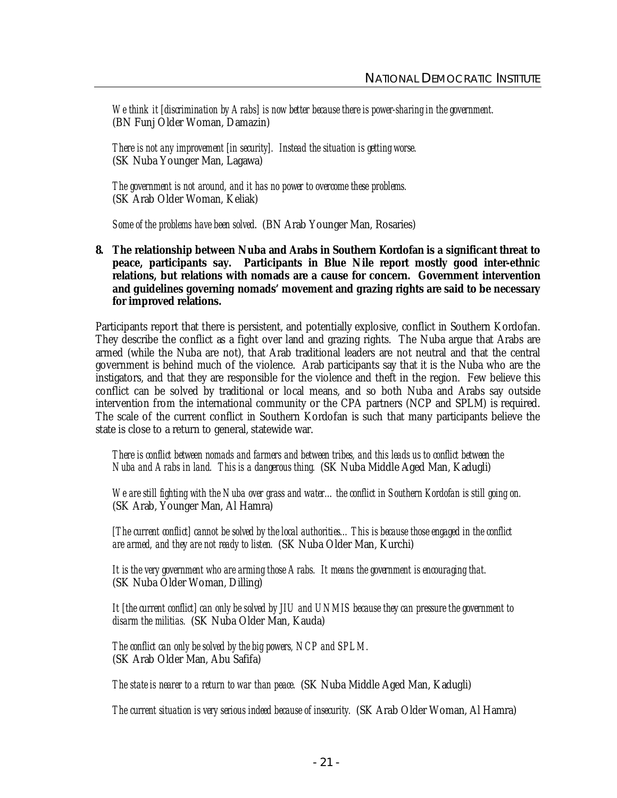*We think it [discrimination by Arabs] is now better because there is power-sharing in the government.* (BN Funj Older Woman, Damazin)

*There is not any improvement [in security]. Instead the situation is getting worse.* (SK Nuba Younger Man, Lagawa)

*The government is not around, and it has no power to overcome these problems.* (SK Arab Older Woman, Keliak)

*Some of the problems have been solved*. (BN Arab Younger Man, Rosaries)

**8. The relationship between Nuba and Arabs in Southern Kordofan is a significant threat to peace, participants say. Participants in Blue Nile report mostly good inter-ethnic relations, but relations with nomads are a cause for concern. Government intervention and guidelines governing nomads' movement and grazing rights are said to be necessary for improved relations.** 

Participants report that there is persistent, and potentially explosive, conflict in Southern Kordofan. They describe the conflict as a fight over land and grazing rights. The Nuba argue that Arabs are armed (while the Nuba are not), that Arab traditional leaders are not neutral and that the central government is behind much of the violence. Arab participants say that it is the Nuba who are the instigators, and that they are responsible for the violence and theft in the region. Few believe this conflict can be solved by traditional or local means, and so both Nuba and Arabs say outside intervention from the international community or the CPA partners (NCP and SPLM) is required. The scale of the current conflict in Southern Kordofan is such that many participants believe the state is close to a return to general, statewide war.

*There is conflict between nomads and farmers and between tribes, and this leads us to conflict between the Nuba and Arabs in land. This is a dangerous thing.* (SK Nuba Middle Aged Man, Kadugli)

*We are still fighting with the Nuba over grass and water…the conflict in Southern Kordofan is still going on.* (SK Arab, Younger Man, Al Hamra)

*[The current conflict] cannot be solved by the local authorities…This is because those engaged in the conflict are armed, and they are not ready to listen.* (SK Nuba Older Man, Kurchi)

*It is the very government who are arming those Arabs. It means the government is encouraging that.* (SK Nuba Older Woman, Dilling)

*It [the current conflict] can only be solved by JIU and UNMIS because they can pressure the government to disarm the militias.* (SK Nuba Older Man, Kauda)

*The conflict can only be solved by the big powers, NCP and SPLM.* (SK Arab Older Man, Abu Safifa)

*The state is nearer to a return to war than peace.* (SK Nuba Middle Aged Man, Kadugli)

*The current situation is very serious indeed because of insecurity.* (SK Arab Older Woman, Al Hamra)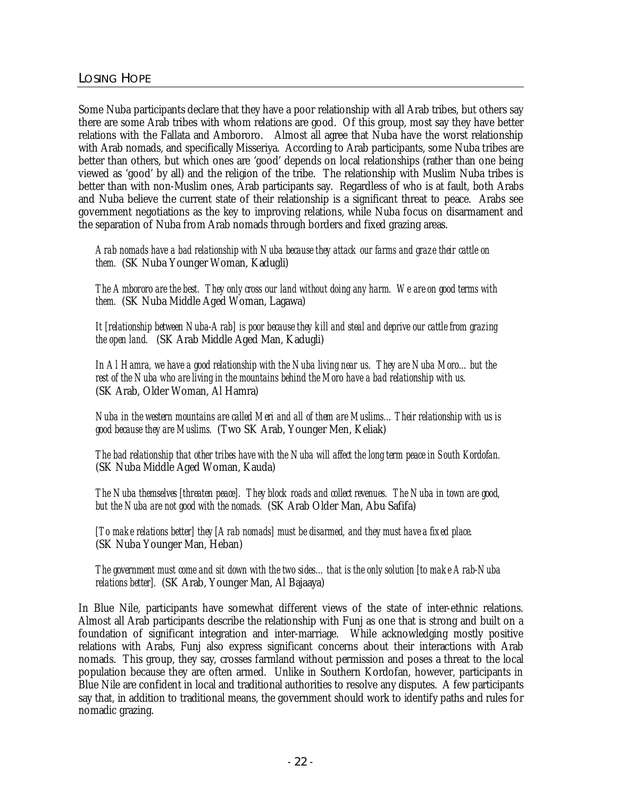Some Nuba participants declare that they have a poor relationship with all Arab tribes, but others say there are some Arab tribes with whom relations are good. Of this group, most say they have better relations with the Fallata and Ambororo. Almost all agree that Nuba have the worst relationship with Arab nomads, and specifically Misseriya. According to Arab participants, some Nuba tribes are better than others, but which ones are 'good' depends on local relationships (rather than one being viewed as 'good' by all) and the religion of the tribe. The relationship with Muslim Nuba tribes is better than with non-Muslim ones, Arab participants say. Regardless of who is at fault, both Arabs and Nuba believe the current state of their relationship is a significant threat to peace. Arabs see government negotiations as the key to improving relations, while Nuba focus on disarmament and the separation of Nuba from Arab nomads through borders and fixed grazing areas.

*Arab nomads have a bad relationship with Nuba because they attack our farms and graze their cattle on them.* (SK Nuba Younger Woman, Kadugli)

*The Ambororo are the best. They only cross our land without doing any harm. We are on good terms with them.* (SK Nuba Middle Aged Woman, Lagawa)

*It [relationship between Nuba-Arab] is poor because they kill and steal and deprive our cattle from grazing the open land.* (SK Arab Middle Aged Man, Kadugli)

*In Al Hamra, we have a good relationship with the Nuba living near us. They are Nuba Moro…but the rest of the Nuba who are living in the mountains behind the Moro have a bad relationship with us.* (SK Arab, Older Woman, Al Hamra)

*Nuba in the western mountains are called Meri and all of them are Muslims…Their relationship with us is good because they are Muslims.* (Two SK Arab, Younger Men, Keliak)

*The bad relationship that other tribes have with the Nuba will affect the long term peace in South Kordofan.* (SK Nuba Middle Aged Woman, Kauda)

*The Nuba themselves [threaten peace]. They block roads and collect revenues. The Nuba in town are good, but the Nuba are not good with the nomads.* (SK Arab Older Man, Abu Safifa)

*[To make relations better] they [Arab nomads] must be disarmed, and they must have a fixed place.* (SK Nuba Younger Man, Heban)

*The government must come and sit down with the two sides…that is the only solution [to make Arab-Nuba relations better].* (SK Arab, Younger Man, Al Bajaaya)

In Blue Nile, participants have somewhat different views of the state of inter-ethnic relations. Almost all Arab participants describe the relationship with Funj as one that is strong and built on a foundation of significant integration and inter-marriage. While acknowledging mostly positive relations with Arabs, Funj also express significant concerns about their interactions with Arab nomads. This group, they say, crosses farmland without permission and poses a threat to the local population because they are often armed. Unlike in Southern Kordofan, however, participants in Blue Nile are confident in local and traditional authorities to resolve any disputes. A few participants say that, in addition to traditional means, the government should work to identify paths and rules for nomadic grazing.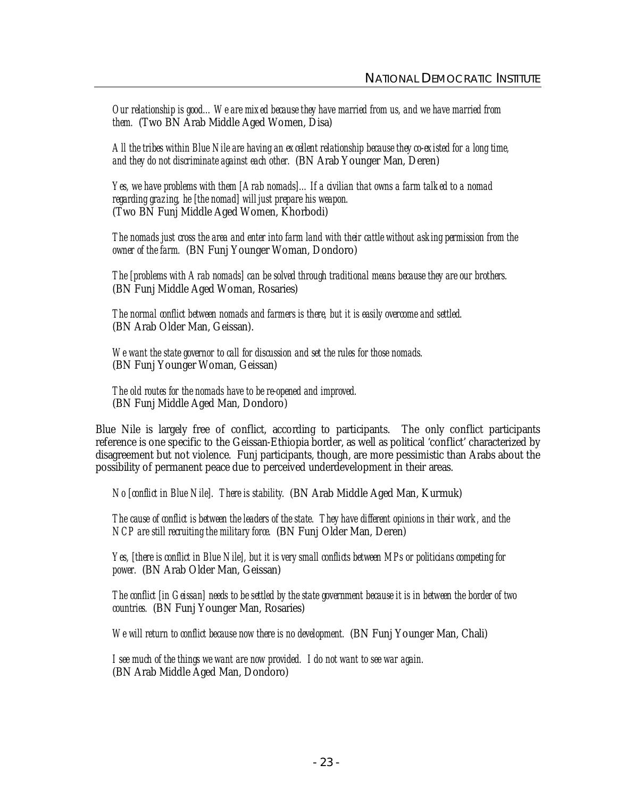*Our relationship is good…We are mixed because they have married from us, and we have married from them.* (Two BN Arab Middle Aged Women, Disa)

All the tribes within Blue Nile are having an excellent relationship because they co-existed for a long time, *and they do not discriminate against each other.* (BN Arab Younger Man, Deren)

*Yes, we have problems with them [Arab nomads]…If a civilian that owns a farm talked to a nomad regarding grazing, he [the nomad] will just prepare his weapon.* (Two BN Funj Middle Aged Women, Khorbodi)

*The nomads just cross the area and enter into farm land with their cattle without asking permission from the owner of the farm.* (BN Funj Younger Woman, Dondoro)

*The [problems with Arab nomads] can be solved through traditional means because they are our brothers.* (BN Funj Middle Aged Woman, Rosaries)

*The normal conflict between nomads and farmers is there, but it is easily overcome and settled.* (BN Arab Older Man, Geissan).

*We want the state governor to call for discussion and set the rules for those nomads.* (BN Funj Younger Woman, Geissan)

*The old routes for the nomads have to be re-opened and improved.* (BN Funj Middle Aged Man, Dondoro)

Blue Nile is largely free of conflict, according to participants. The only conflict participants reference is one specific to the Geissan-Ethiopia border, as well as political 'conflict' characterized by disagreement but not violence. Funj participants, though, are more pessimistic than Arabs about the possibility of permanent peace due to perceived underdevelopment in their areas.

*No [conflict in Blue Nile]. There is stability.* (BN Arab Middle Aged Man, Kurmuk)

*The cause of conflict is between the leaders of the state. They have different opinions in their work, and the NCP are still recruiting the military force.* (BN Funj Older Man, Deren)

*Yes, [there is conflict in Blue Nile], but it is very small conflicts between MPs or politicians competing for power.* (BN Arab Older Man, Geissan)

*The conflict [in Geissan] needs to be settled by the state government because it is in between the border of two countries.* (BN Funj Younger Man, Rosaries)

*We will return to conflict because now there is no development.* (BN Funj Younger Man, Chali)

*I see much of the things we want are now provided. I do not want to see war again.* (BN Arab Middle Aged Man, Dondoro)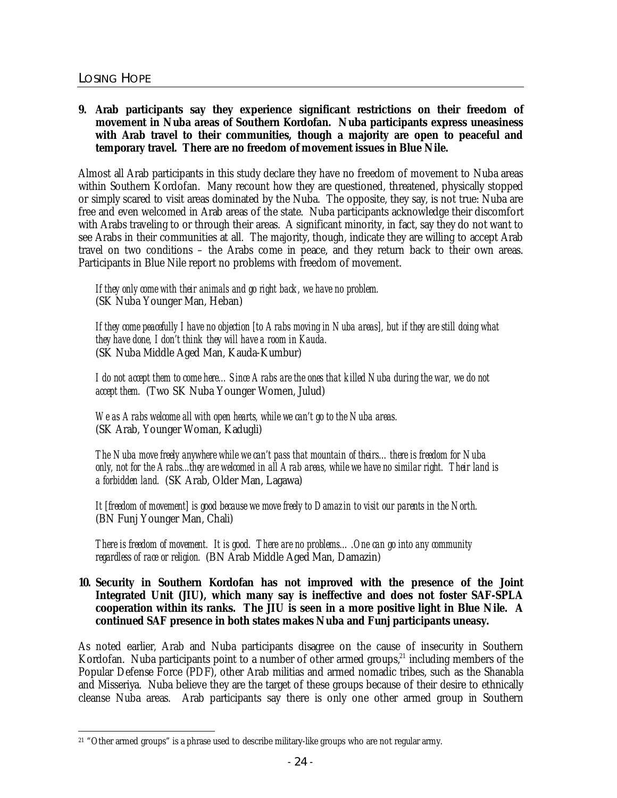## LOSING HOPE

## **9. Arab participants say they experience significant restrictions on their freedom of movement in Nuba areas of Southern Kordofan. Nuba participants express uneasiness with Arab travel to their communities, though a majority are open to peaceful** *and* **temporary travel. There are no freedom of movement issues in Blue Nile.**

Almost all Arab participants in this study declare they have no freedom of movement to Nuba areas within Southern Kordofan. Many recount how they are questioned, threatened, physically stopped or simply scared to visit areas dominated by the Nuba. The opposite, they say, is not true: Nuba are free and even welcomed in Arab areas of the state. Nuba participants acknowledge their discomfort with Arabs traveling to or through their areas. A significant minority, in fact, say they do not want to see Arabs in their communities at all. The majority, though, indicate they are willing to accept Arab travel on two conditions – the Arabs come in peace, and they return back to their own areas. Participants in Blue Nile report no problems with freedom of movement.

*If they only come with their animals and go right back, we have no problem.* (SK Nuba Younger Man, Heban)

*If they come peacefully I have no objection [to Arabs moving in Nuba areas], but if they are still doing what they have done, I don't think they will have a room in Kauda.* (SK Nuba Middle Aged Man, Kauda-Kumbur)

*I do not accept them to come here…Since Arabs are the ones that killed Nuba during the war, we do not accept them.* (Two SK Nuba Younger Women, Julud)

*We as Arabs welcome all with open hearts, while we can't go to the Nuba areas.* (SK Arab, Younger Woman, Kadugli)

*The Nuba move freely anywhere while we can't pass that mountain of theirs…there is freedom for Nuba only, not for the Arabs...they are welcomed in all Arab areas, while we have no similar right. Their land is a forbidden land.* (SK Arab, Older Man, Lagawa)

*It [freedom of movement] is good because we move freely to Damazin to visit our parents in the North.* (BN Funj Younger Man, Chali)

*There is freedom of movement. It is good. There are no problems….One can go into any community regardless of race or religion.* (BN Arab Middle Aged Man, Damazin)

## **10. Security in Southern Kordofan has not improved with the presence of the Joint Integrated Unit (JIU), which many say is ineffective and does not foster SAF-SPLA cooperation within its ranks. The JIU is seen in a more positive light in Blue Nile. A continued SAF presence in both states makes Nuba and Funj participants uneasy.**

As noted earlier, Arab and Nuba participants disagree on the cause of insecurity in Southern Kordofan. Nuba participants point to a number of other armed groups, $21$  including members of the Popular Defense Force (PDF), other Arab militias and armed nomadic tribes, such as the Shanabla and Misseriya. Nuba believe they are the target of these groups because of their desire to ethnically cleanse Nuba areas. Arab participants say there is only one other armed group in Southern

 $\overline{a}$ <sup>21</sup> "Other armed groups" is a phrase used to describe military-like groups who are not regular army.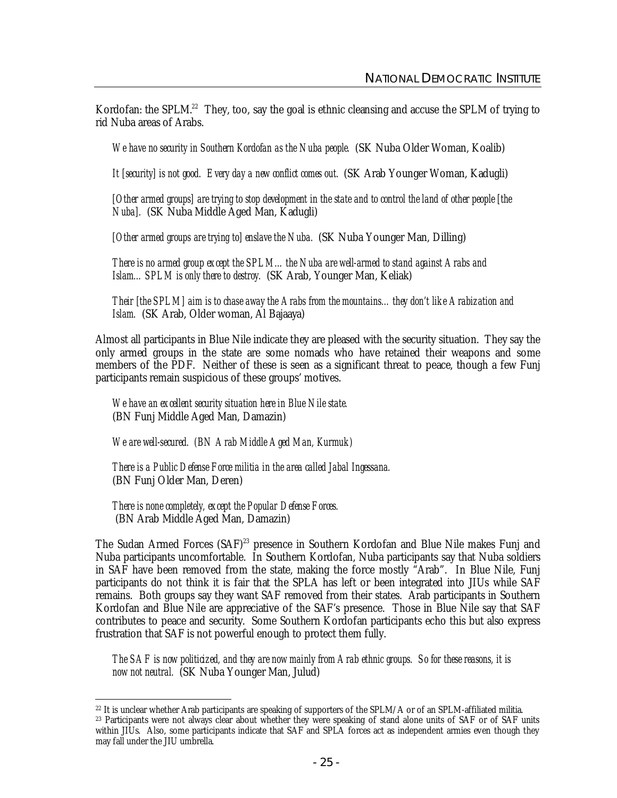Kordofan: the SPLM.<sup>22</sup> They, too, say the goal is ethnic cleansing and accuse the SPLM of trying to rid Nuba areas of Arabs.

*We have no security in Southern Kordofan as the Nuba people.* (SK Nuba Older Woman, Koalib)

*It [security] is not good. Every day a new conflict comes out.* (SK Arab Younger Woman, Kadugli)

[Other armed groups] are trying to stop development in the state and to control the land of other people [the *Nuba].* (SK Nuba Middle Aged Man, Kadugli)

*[Other armed groups are trying to] enslave the Nuba.* (SK Nuba Younger Man, Dilling)

*There is no armed group except the SPLM…the Nuba are well-armed to stand against Arabs and Islam…SPLM is only there to destroy.* (SK Arab, Younger Man, Keliak)

*Their [the SPLM] aim is to chase away the Arabs from the mountains…they don't like Arabization and Islam.* (SK Arab, Older woman, Al Bajaaya)

Almost all participants in Blue Nile indicate they are pleased with the security situation. They say the only armed groups in the state are some nomads who have retained their weapons and some members of the PDF. Neither of these is seen as a significant threat to peace, though a few Funj participants remain suspicious of these groups' motives.

*We have an excellent security situation here in Blue Nile state.*  (BN Funj Middle Aged Man, Damazin)

*We are well-secured. (BN Arab Middle Aged Man, Kurmuk)*

*There is a Public Defense Force militia in the area called Jabal Ingessana.*  (BN Funj Older Man, Deren)

*There is none completely, except the Popular Defense Forces.*

(BN Arab Middle Aged Man, Damazin)

The Sudan Armed Forces (SAF)<sup>23</sup> presence in Southern Kordofan and Blue Nile makes Funj and Nuba participants uncomfortable. In Southern Kordofan, Nuba participants say that Nuba soldiers in SAF have been removed from the state, making the force mostly "Arab". In Blue Nile, Funj participants do not think it is fair that the SPLA has left or been integrated into JIUs while SAF remains. Both groups say they want SAF removed from their states. Arab participants in Southern Kordofan and Blue Nile are appreciative of the SAF's presence. Those in Blue Nile say that SAF contributes to peace and security. Some Southern Kordofan participants echo this but also express frustration that SAF is not powerful enough to protect them fully.

*The SAF is now politicized, and they are now mainly from Arab ethnic groups. So for these reasons, it is now not neutral.* (SK Nuba Younger Man, Julud)

 $\overline{a}$ <sup>22</sup> It is unclear whether Arab participants are speaking of supporters of the SPLM/A or of an SPLM-affiliated militia.

<sup>&</sup>lt;sup>23</sup> Participants were not always clear about whether they were speaking of stand alone units of SAF or of SAF units within JIUs. Also, some participants indicate that SAF and SPLA forces act as independent armies even though they may fall under the JIU umbrella.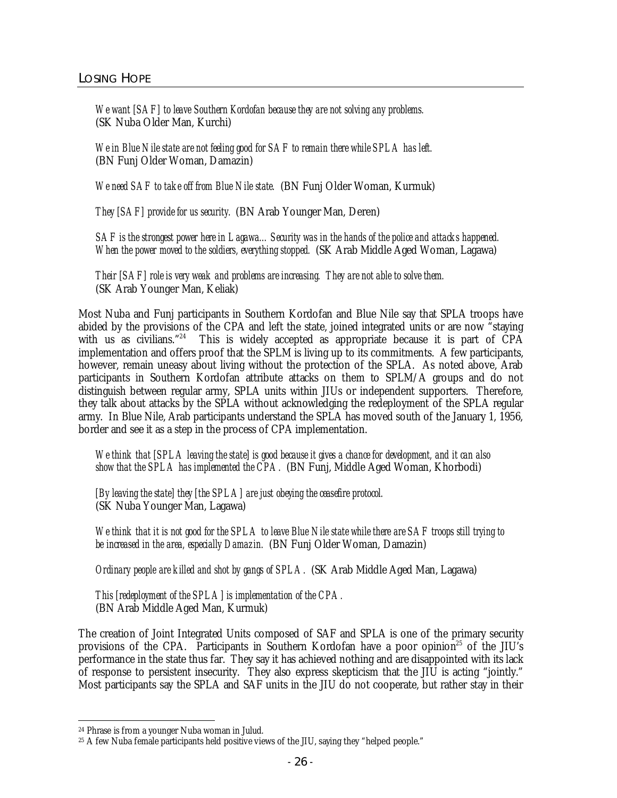*We want [SAF] to leave Southern Kordofan because they are not solving any problems.*  (SK Nuba Older Man, Kurchi)

*We in Blue Nile state are not feeling good for SAF to remain there while SPLA has left.*  (BN Funj Older Woman, Damazin)

*We need SAF to take off from Blue Nile state.* (BN Funj Older Woman, Kurmuk)

*They [SAF] provide for us security.* (BN Arab Younger Man, Deren)

*SAF is the strongest power here in Lagawa…Security was in the hands of the police and attacks happened. When the power moved to the soldiers, everything stopped.* (SK Arab Middle Aged Woman, Lagawa)

*Their [SAF] role is very weak and problems are increasing. They are not able to solve them.*  (SK Arab Younger Man, Keliak)

Most Nuba and Funj participants in Southern Kordofan and Blue Nile say that SPLA troops have abided by the provisions of the CPA and left the state, joined integrated units or are now "staying with us as civilians."<sup>24</sup> This is widely accepted as appropriate because it is part of CPA implementation and offers proof that the SPLM is living up to its commitments. A few participants, however, remain uneasy about living without the protection of the SPLA. As noted above, Arab participants in Southern Kordofan attribute attacks on them to SPLM/A groups and do not distinguish between regular army, SPLA units within JIUs or independent supporters. Therefore, they talk about attacks by the SPLA without acknowledging the redeployment of the SPLA regular army. In Blue Nile, Arab participants understand the SPLA has moved south of the January 1, 1956, border and see it as a step in the process of CPA implementation.

*We think that [SPLA leaving the state] is good because it gives a chance for development, and it can also show that the SPLA has implemented the CPA.* (BN Funj, Middle Aged Woman, Khorbodi)

*[By leaving the state] they [the SPLA] are just obeying the ceasefire protocol.* (SK Nuba Younger Man, Lagawa)

*We think that it is not good for the SPLA to leave Blue Nile state while there are SAF troops still trying to be increased in the area, especially Damazin.* (BN Funj Older Woman, Damazin)

*Ordinary people are killed and shot by gangs of SPLA.* (SK Arab Middle Aged Man, Lagawa)

*This [redeployment of the SPLA] is implementation of the CPA.* (BN Arab Middle Aged Man, Kurmuk)

The creation of Joint Integrated Units composed of SAF and SPLA is one of the primary security provisions of the CPA. Participants in Southern Kordofan have a poor opinion<sup>25</sup> of the JIU's performance in the state thus far. They say it has achieved nothing and are disappointed with its lack of response to persistent insecurity. They also express skepticism that the JIU is acting "jointly." Most participants say the SPLA and SAF units in the JIU do not cooperate, but rather stay in their

 $\overline{a}$ 

<sup>24</sup> Phrase is from a younger Nuba woman in Julud.

<sup>&</sup>lt;sup>25</sup> A few Nuba female participants held positive views of the JIU, saying they "helped people."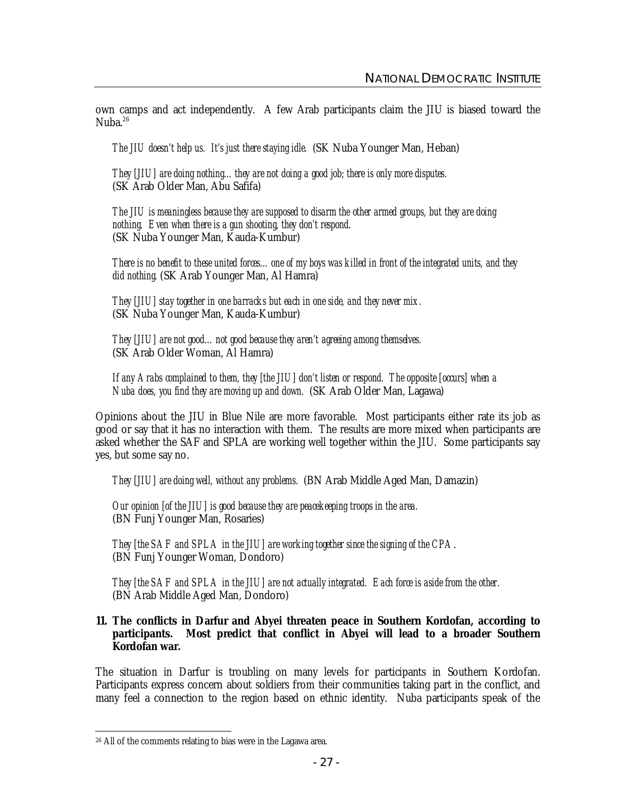own camps and act independently. A few Arab participants claim the JIU is biased toward the Nuba.<sup>26</sup>

*The JIU doesn't help us. It's just there staying idle.* (SK Nuba Younger Man, Heban)

*They [JIU] are doing nothing…they are not doing a good job; there is only more disputes.* (SK Arab Older Man, Abu Safifa)

*The JIU is meaningless because they are supposed to disarm the other armed groups, but they are doing nothing. Even when there is a gun shooting, they don't respond.* (SK Nuba Younger Man, Kauda-Kumbur)

*There is no benefit to these united forces…one of my boys was killed in front of the integrated units, and they did nothing.* (SK Arab Younger Man, Al Hamra)

*They [JIU] stay together in one barracks but each in one side, and they never mix.* (SK Nuba Younger Man, Kauda-Kumbur)

*They [JIU] are not good…not good because they aren't agreeing among themselves.* (SK Arab Older Woman, Al Hamra)

*If any Arabs complained to them, they [the JIU] don't listen or respond. The opposite [occurs] when a Nuba does, you find they are moving up and down.* (SK Arab Older Man, Lagawa)

Opinions about the JIU in Blue Nile are more favorable. Most participants either rate its job as good or say that it has no interaction with them. The results are more mixed when participants are asked whether the SAF and SPLA are working well together within the JIU. Some participants say yes, but some say no.

*They [JIU] are doing well, without any problems.* (BN Arab Middle Aged Man, Damazin)

*Our opinion [of the JIU] is good because they are peacekeeping troops in the area.* (BN Funj Younger Man, Rosaries)

*They [the SAF and SPLA in the JIU] are working together since the signing of the CPA*. (BN Funj Younger Woman, Dondoro)

*They [the SAF and SPLA in the JIU] are not actually integrated. Each force is aside from the other.* (BN Arab Middle Aged Man, Dondoro)

## **11. The conflicts in Darfur and Abyei threaten peace in Southern Kordofan, according to participants. Most predict that conflict in Abyei will lead to a broader Southern Kordofan war.**

The situation in Darfur is troubling on many levels for participants in Southern Kordofan. Participants express concern about soldiers from their communities taking part in the conflict, and many feel a connection to the region based on ethnic identity. Nuba participants speak of the

 $\overline{a}$ <sup>26</sup> All of the comments relating to bias were in the Lagawa area.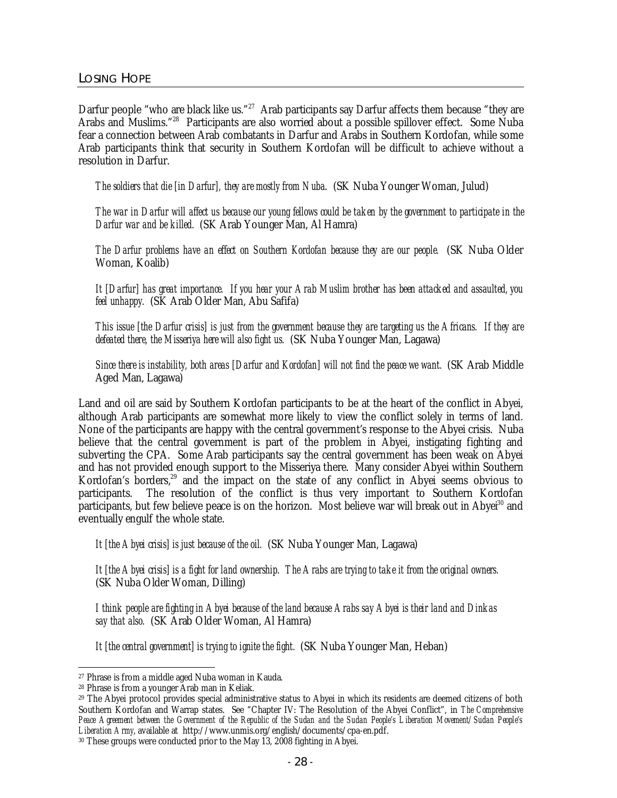Darfur people "who are black like us."<sup>27</sup> Arab participants say Darfur affects them because "they are Arabs and Muslims."<sup>28</sup> Participants are also worried about a possible spillover effect. Some Nuba fear a connection between Arab combatants in Darfur and Arabs in Southern Kordofan, while some Arab participants think that security in Southern Kordofan will be difficult to achieve without a resolution in Darfur.

*The soldiers that die [in Darfur], they are mostly from Nuba*. (SK Nuba Younger Woman, Julud)

*The war in Darfur will affect us because our young fellows could be taken by the government to participate in the Darfur war and be killed.* (SK Arab Younger Man, Al Hamra)

*The Darfur problems have an effect on Southern Kordofan because they are our people.* (SK Nuba Older Woman, Koalib)

It [Darfur] has great importance. If you hear your Arab Muslim brother has been attacked and assaulted, you *feel unhappy.* (SK Arab Older Man, Abu Safifa)

This issue [the Darfur crisis] is just from the government because they are targeting us the Africans. If they are *defeated there, the Misseriya here will also fight us.* (SK Nuba Younger Man, Lagawa)

*Since there is instability, both areas [Darfur and Kordofan] will not find the peace we want.* (SK Arab Middle Aged Man, Lagawa)

Land and oil are said by Southern Kordofan participants to be at the heart of the conflict in Abyei, although Arab participants are somewhat more likely to view the conflict solely in terms of land. None of the participants are happy with the central government's response to the Abyei crisis. Nuba believe that the central government is part of the problem in Abyei, instigating fighting and subverting the CPA. Some Arab participants say the central government has been weak on Abyei and has not provided enough support to the Misseriya there. Many consider Abyei within Southern Kordofan's borders,<sup>29</sup> and the impact on the state of any conflict in Abyei seems obvious to participants. The resolution of the conflict is thus very important to Southern Kordofan participants, but few believe peace is on the horizon. Most believe war will break out in Abyei<sup>30</sup> and eventually engulf the whole state.

*It [the Abyei crisis] is just because of the oil.* (SK Nuba Younger Man, Lagawa)

*It [the Abyei crisis] is a fight for land ownership. The Arabs are trying to take it from the original owners.* (SK Nuba Older Woman, Dilling)

*I think people are fighting in Abyei because of the land because Arabs say Abyei is their land and Dinkas say that also.* (SK Arab Older Woman, Al Hamra)

*It [the central government] is trying to ignite the fight.* (SK Nuba Younger Man, Heban)

 $\overline{a}$ 

<sup>27</sup> Phrase is from a middle aged Nuba woman in Kauda.

<sup>28</sup> Phrase is from a younger Arab man in Keliak.

<sup>&</sup>lt;sup>29</sup> The Abyei protocol provides special administrative status to Abyei in which its residents are deemed citizens of both Southern Kordofan and Warrap states. See "Chapter IV: The Resolution of the Abyei Conflict", in *The Comprehensive*  Peace Agreement between the Government of the Republic of the Sudan and the Sudan People's Liberation Movement/Sudan People's *Liberation Army*, available at http://www.unmis.org/english/documents/cpa-en.pdf.

<sup>30</sup> These groups were conducted prior to the May 13, 2008 fighting in Abyei.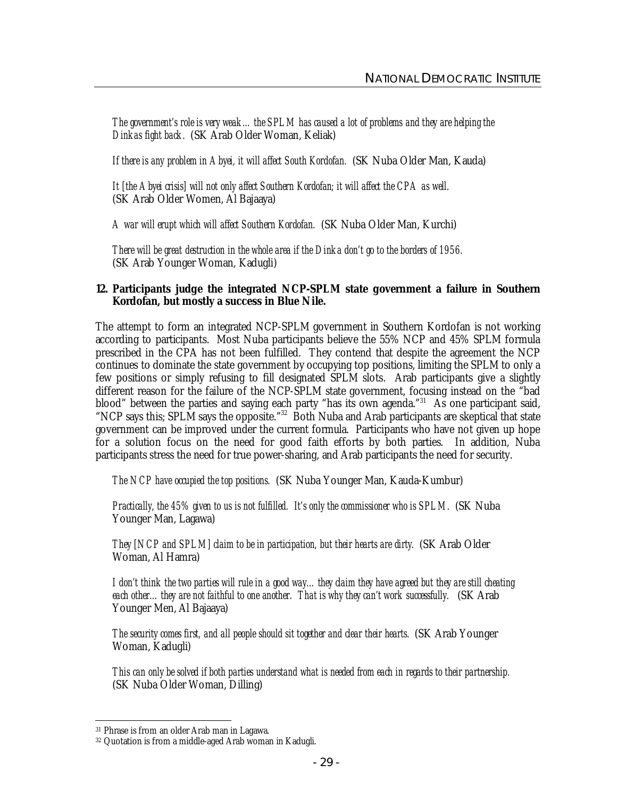*The government's role is very weak…the SPLM has caused a lot of problems and they are helping the Dinkas fight back.* (SK Arab Older Woman, Keliak)

*If there is any problem in Abyei, it will affect South Kordofan.* (SK Nuba Older Man, Kauda)

*It [the Abyei crisis] will not only affect Southern Kordofan; it will affect the CPA as well.* (SK Arab Older Women, Al Bajaaya)

*A war will erupt which will affect Southern Kordofan.* (SK Nuba Older Man, Kurchi)

*There will be great destruction in the whole area if the Dinka don't go to the borders of 1956.* (SK Arab Younger Woman, Kadugli)

#### **12. Participants judge the integrated NCP-SPLM state government a failure in Southern Kordofan, but mostly a success in Blue Nile.**

The attempt to form an integrated NCP-SPLM government in Southern Kordofan is not working according to participants. Most Nuba participants believe the 55% NCP and 45% SPLM formula prescribed in the CPA has not been fulfilled. They contend that despite the agreement the NCP continues to dominate the state government by occupying top positions, limiting the SPLM to only a few positions or simply refusing to fill designated SPLM slots. Arab participants give a slightly different reason for the failure of the NCP-SPLM state government, focusing instead on the "bad blood" between the parties and saying each party "has its own agenda."<sup>31</sup> As one participant said, "NCP says this; SPLM says the opposite."<sup>32</sup> Both Nuba and Arab participants are skeptical that state government can be improved under the current formula. Participants who have not given up hope for a solution focus on the need for good faith efforts by both parties. In addition, Nuba participants stress the need for true power-sharing, and Arab participants the need for security.

*The NCP have occupied the top positions.* (SK Nuba Younger Man, Kauda-Kumbur)

*Practically, the 45% given to us is not fulfilled. It's only the commissioner who is SPLM.* (SK Nuba Younger Man, Lagawa)

*They [NCP and SPLM] claim to be in participation, but their hearts are dirty.* (SK Arab Older Woman, Al Hamra)

*I don't think the two parties will rule in a good way…they claim they have agreed but they are still cheating each other…they are not faithful to one another. That is why they can't work successfully.* (SK Arab Younger Men, Al Bajaaya)

*The security comes first, and all people should sit together and clear their hearts.* (SK Arab Younger Woman, Kadugli)

*This can only be solved if both parties understand what is needed from each in regards to their partnership.* (SK Nuba Older Woman, Dilling)

 $\overline{a}$ <sup>31</sup> Phrase is from an older Arab man in Lagawa.

<sup>32</sup> Quotation is from a middle-aged Arab woman in Kadugli.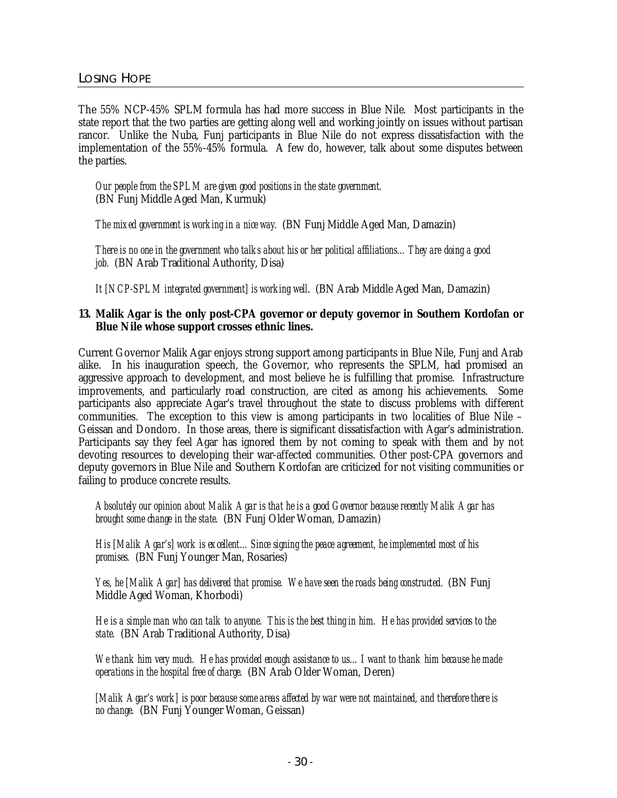The 55% NCP-45% SPLM formula has had more success in Blue Nile. Most participants in the state report that the two parties are getting along well and working jointly on issues without partisan rancor. Unlike the Nuba, Funj participants in Blue Nile do not express dissatisfaction with the implementation of the 55%-45% formula. A few do, however, talk about some disputes between the parties.

*Our people from the SPLM are given good positions in the state government.* (BN Funj Middle Aged Man, Kurmuk)

*The mixed government is working in a nice way.* (BN Funj Middle Aged Man, Damazin)

*There is no one in the government who talks about his or her political affiliations…They are doing a good job.* (BN Arab Traditional Authority, Disa)

*It [NCP-SPLM integrated government] is working well*. (BN Arab Middle Aged Man, Damazin)

#### **13. Malik Agar is the only post-CPA governor or deputy governor in Southern Kordofan or Blue Nile whose support crosses ethnic lines.**

Current Governor Malik Agar enjoys strong support among participants in Blue Nile, Funj and Arab alike. In his inauguration speech, the Governor, who represents the SPLM, had promised an aggressive approach to development, and most believe he is fulfilling that promise. Infrastructure improvements, and particularly road construction, are cited as among his achievements. Some participants also appreciate Agar's travel throughout the state to discuss problems with different communities. The exception to this view is among participants in two localities of Blue Nile – Geissan and Dondoro. In those areas, there is significant dissatisfaction with Agar's administration. Participants say they feel Agar has ignored them by not coming to speak with them and by not devoting resources to developing their war-affected communities. Other post-CPA governors and deputy governors in Blue Nile and Southern Kordofan are criticized for not visiting communities or failing to produce concrete results.

*Absolutely our opinion about Malik Agar is that he is a good Governor because recently Malik Agar has brought some change in the state.* (BN Funj Older Woman, Damazin)

*His [Malik Agar's] work is excellent…Since signing the peace agreement, he implemented most of his promises.* (BN Funj Younger Man, Rosaries)

*Yes, he [Malik Agar] has delivered that promise. We have seen the roads being constructed.* (BN Funj Middle Aged Woman, Khorbodi)

*He is a simple man who can talk to anyone. This is the best thing in him. He has provided services to the state.* (BN Arab Traditional Authority, Disa)

*We thank him very much. He has provided enough assistance to us…I want to thank him because he made operations in the hospital free of charge.* (BN Arab Older Woman, Deren)

*[Malik Agar's work] is poor because some areas affected by war were not maintained, and therefore there is no change.* (BN Funj Younger Woman, Geissan)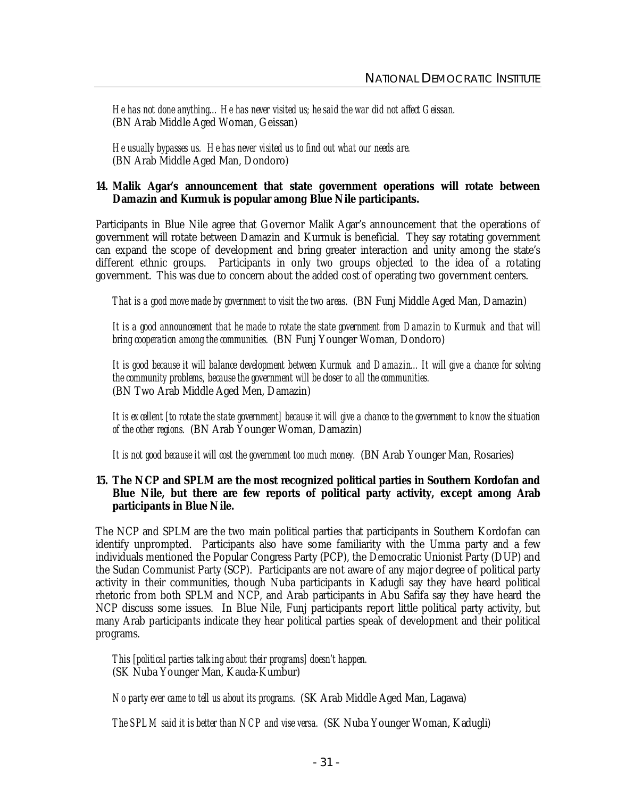*He has not done anything…He has never visited us; he said the war did not affect Geissan.* (BN Arab Middle Aged Woman, Geissan)

*He usually bypasses us. He has never visited us to find out what our needs are.* (BN Arab Middle Aged Man, Dondoro)

#### **14. Malik Agar's announcement that state government operations will rotate between Damazin and Kurmuk is popular among Blue Nile participants.**

Participants in Blue Nile agree that Governor Malik Agar's announcement that the operations of government will rotate between Damazin and Kurmuk is beneficial. They say rotating government can expand the scope of development and bring greater interaction and unity among the state's different ethnic groups. Participants in only two groups objected to the idea of a rotating government. This was due to concern about the added cost of operating two government centers.

*That is a good move made by government to visit the two areas.* (BN Funj Middle Aged Man, Damazin)

It is a good announcement that he made to rotate the state government from Damazin to Kurmuk and that will *bring cooperation among the communities.* (BN Funj Younger Woman, Dondoro)

*It is good because it will balance development between Kurmuk and Damazin…It will give a chance for solving the community problems, because the government will be closer to all the communities.* (BN Two Arab Middle Aged Men, Damazin)

*It is excellent [to rotate the state government] because it will give a chance to the government to know the situation of the other regions.* (BN Arab Younger Woman, Damazin)

*It is not good because it will cost the government too much money.* (BN Arab Younger Man, Rosaries)

**15. The NCP and SPLM are the most recognized political parties in Southern Kordofan and Blue Nile, but there are few reports of political party activity, except among Arab participants in Blue Nile.** 

The NCP and SPLM are the two main political parties that participants in Southern Kordofan can identify unprompted. Participants also have some familiarity with the Umma party and a few individuals mentioned the Popular Congress Party (PCP), the Democratic Unionist Party (DUP) and the Sudan Communist Party (SCP). Participants are not aware of any major degree of political party activity in their communities, though Nuba participants in Kadugli say they have heard political rhetoric from both SPLM and NCP, and Arab participants in Abu Safifa say they have heard the NCP discuss some issues. In Blue Nile, Funj participants report little political party activity, but many Arab participants indicate they hear political parties speak of development and their political programs.

*This [political parties talking about their programs] doesn't happen.*  (SK Nuba Younger Man, Kauda-Kumbur)

*No party ever came to tell us about its programs*. (SK Arab Middle Aged Man, Lagawa)

*The SPLM said it is better than NCP and vise versa.* (SK Nuba Younger Woman, Kadugli)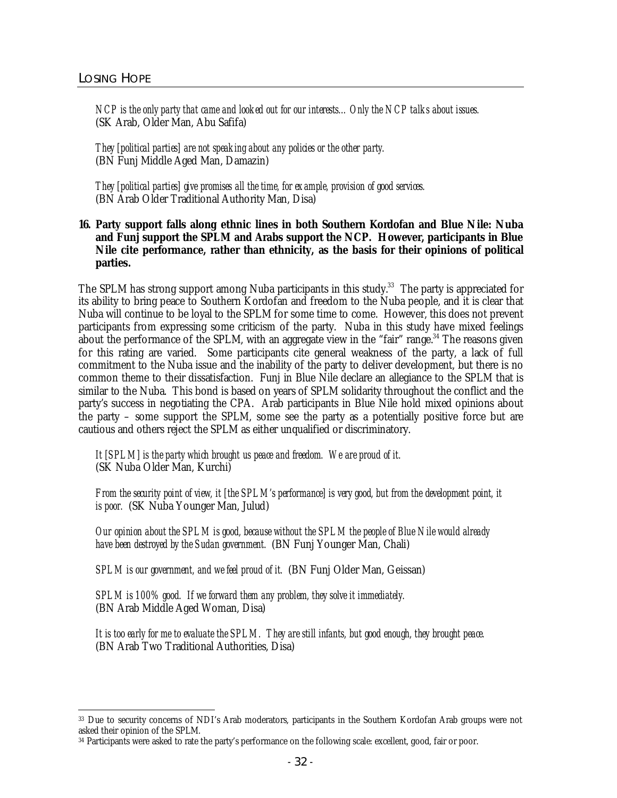*NCP is the only party that came and looked out for our interests…Only the NCP talks about issues.* (SK Arab, Older Man, Abu Safifa)

*They [political parties] are not speaking about any policies or the other party.* (BN Funj Middle Aged Man, Damazin)

*They [political parties] give promises all the time, for example, provision of good services.* (BN Arab Older Traditional Authority Man, Disa)

**16. Party support falls along ethnic lines in both Southern Kordofan and Blue Nile: Nuba and Funj support the SPLM and Arabs support the NCP. However, participants in Blue Nile cite performance, rather than ethnicity, as the basis for their opinions of political parties.**

The SPLM has strong support among Nuba participants in this study.<sup>33</sup> The party is appreciated for its ability to bring peace to Southern Kordofan and freedom to the Nuba people, and it is clear that Nuba will continue to be loyal to the SPLM for some time to come. However, this does not prevent participants from expressing some criticism of the party. Nuba in this study have mixed feelings about the performance of the SPLM, with an aggregate view in the "fair" range.<sup>34</sup> The reasons given for this rating are varied. Some participants cite general weakness of the party, a lack of full commitment to the Nuba issue and the inability of the party to deliver development, but there is no common theme to their dissatisfaction. Funj in Blue Nile declare an allegiance to the SPLM that is similar to the Nuba. This bond is based on years of SPLM solidarity throughout the conflict and the party's success in negotiating the CPA. Arab participants in Blue Nile hold mixed opinions about the party – some support the SPLM, some see the party as a potentially positive force but are cautious and others reject the SPLM as either unqualified or discriminatory.

*It [SPLM] is the party which brought us peace and freedom. We are proud of it.* (SK Nuba Older Man, Kurchi)

*From the security point of view, it [the SPLM's performance] is very good, but from the development point, it is poor.* (SK Nuba Younger Man, Julud)

*Our opinion about the SPLM is good, because without the SPLM the people of Blue Nile would already have been destroyed by the Sudan government.* (BN Funj Younger Man, Chali)

*SPLM is our government, and we feel proud of it.* (BN Funj Older Man, Geissan)

*SPLM is 100% good. If we forward them any problem, they solve it immediately.* (BN Arab Middle Aged Woman, Disa)

*It is too early for me to evaluate the SPLM. They are still infants, but good enough, they brought peace.* (BN Arab Two Traditional Authorities, Disa)

 $\overline{a}$ <sup>33</sup> Due to security concerns of NDI's Arab moderators, participants in the Southern Kordofan Arab groups were not asked their opinion of the SPLM.

<sup>34</sup> Participants were asked to rate the party's performance on the following scale: excellent, good, fair or poor.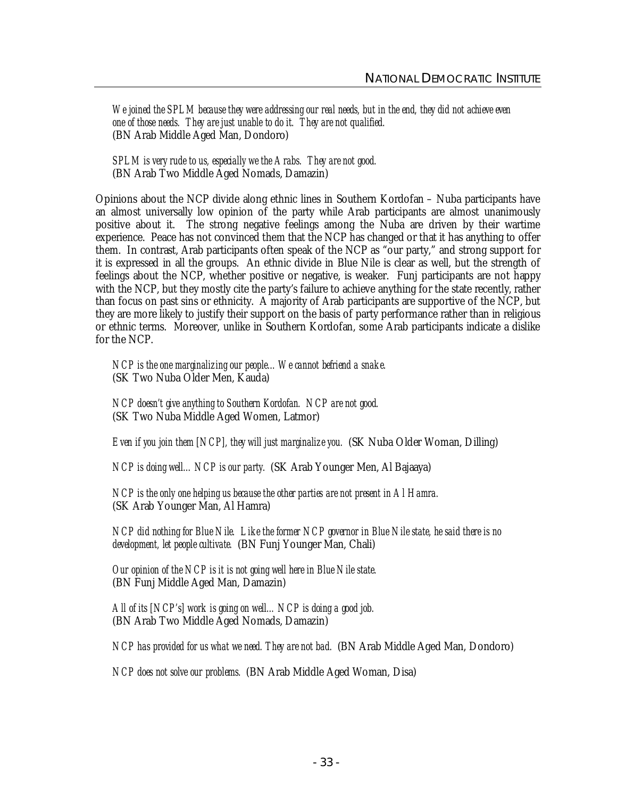*We joined the SPLM because they were addressing our real needs, but in the end, they did not achieve even one of those needs. They are just unable to do it. They are not qualified.* (BN Arab Middle Aged Man, Dondoro)

*SPLM is very rude to us, especially we the Arabs. They are not good.* (BN Arab Two Middle Aged Nomads, Damazin)

Opinions about the NCP divide along ethnic lines in Southern Kordofan – Nuba participants have an almost universally low opinion of the party while Arab participants are almost unanimously positive about it. The strong negative feelings among the Nuba are driven by their wartime experience. Peace has not convinced them that the NCP has changed or that it has anything to offer them. In contrast, Arab participants often speak of the NCP as "our party," and strong support for it is expressed in all the groups. An ethnic divide in Blue Nile is clear as well, but the strength of feelings about the NCP, whether positive or negative, is weaker. Funj participants are not happy with the NCP, but they mostly cite the party's failure to achieve anything for the state recently, rather than focus on past sins or ethnicity. A majority of Arab participants are supportive of the NCP, but they are more likely to justify their support on the basis of party performance rather than in religious or ethnic terms. Moreover, unlike in Southern Kordofan, some Arab participants indicate a dislike for the NCP.

*NCP is the one marginalizing our people…We cannot befriend a snake.* (SK Two Nuba Older Men, Kauda)

*NCP doesn't give anything to Southern Kordofan. NCP are not good.* (SK Two Nuba Middle Aged Women, Latmor)

*Even if you join them [NCP], they will just marginalize you.* (SK Nuba Older Woman, Dilling)

*NCP is doing well…NCP is our party.* (SK Arab Younger Men, Al Bajaaya)

*NCP is the only one helping us because the other parties are not present in Al Hamra.* (SK Arab Younger Man, Al Hamra)

*NCP did nothing for Blue Nile. Like the former NCP governor in Blue Nile state, he said there is no development, let people cultivate.* (BN Funj Younger Man, Chali)

*Our opinion of the NCP is it is not going well here in Blue Nile state.* (BN Funj Middle Aged Man, Damazin)

*All of its [NCP's] work is going on well…NCP is doing a good job.* (BN Arab Two Middle Aged Nomads, Damazin)

*NCP has provided for us what we need. They are not bad.* (BN Arab Middle Aged Man, Dondoro)

*NCP does not solve our problems.* (BN Arab Middle Aged Woman, Disa)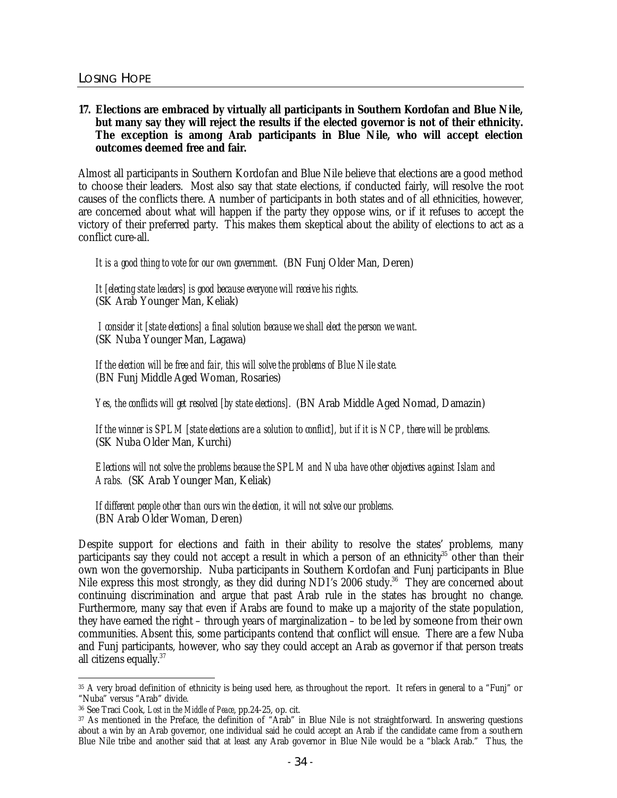# **17. Elections are embraced by virtually all participants in Southern Kordofan and Blue Nile, but many say they will reject the results if the elected governor is not of their ethnicity. The exception is among Arab participants in Blue Nile, who will accept election outcomes deemed free and fair.**

Almost all participants in Southern Kordofan and Blue Nile believe that elections are a good method to choose their leaders. Most also say that state elections, if conducted fairly, will resolve the root causes of the conflicts there. A number of participants in both states and of all ethnicities, however, are concerned about what will happen if the party they oppose wins, or if it refuses to accept the victory of their preferred party. This makes them skeptical about the ability of elections to act as a conflict cure-all.

*It is a good thing to vote for our own government.* (BN Funj Older Man, Deren)

*It [electing state leaders] is good because everyone will receive his rights.* (SK Arab Younger Man, Keliak)

*I consider it [state elections] a final solution because we shall elect the person we want.* (SK Nuba Younger Man, Lagawa)

*If the election will be free and fair, this will solve the problems of Blue Nile state.* (BN Funj Middle Aged Woman, Rosaries)

*Yes, the conflicts will get resolved [by state elections].* (BN Arab Middle Aged Nomad, Damazin)

*If the winner is SPLM [state elections are a solution to conflict], but if it is NCP, there will be problems.* (SK Nuba Older Man, Kurchi)

*Elections will not solve the problems because the SPLM and Nuba have other objectives against Islam and Arabs.* (SK Arab Younger Man, Keliak)

# *If different people other than ours win the election, it will not solve our problems.*

(BN Arab Older Woman, Deren)

Despite support for elections and faith in their ability to resolve the states' problems, many participants say they could not accept a result in which a person of an ethnicity<sup>35</sup> other than their own won the governorship. Nuba participants in Southern Kordofan and Funj participants in Blue Nile express this most strongly, as they did during NDI's 2006 study.<sup>36</sup> They are concerned about continuing discrimination and argue that past Arab rule in the states has brought no change. Furthermore, many say that even if Arabs are found to make up a majority of the state population, they have earned the right – through years of marginalization – to be led by someone from their own communities. Absent this, some participants contend that conflict will ensue. There are a few Nuba and Funj participants, however, who say they could accept an Arab as governor if that person treats all citizens equally.<sup>37</sup>

 $\overline{a}$ <sup>35</sup> A very broad definition of ethnicity is being used here, as throughout the report. It refers in general to a "Funj" or "Nuba" versus "Arab" divide.

<sup>36</sup> See Traci Cook, *Lost in the Middle of Peace*, pp.24-25, op. cit.

<sup>37</sup> As mentioned in the Preface, the definition of "Arab" in Blue Nile is not straightforward. In answering questions about a win by an Arab governor, one individual said he could accept an Arab if the candidate came from a southern Blue Nile tribe and another said that at least any Arab governor in Blue Nile would be a "black Arab." Thus, the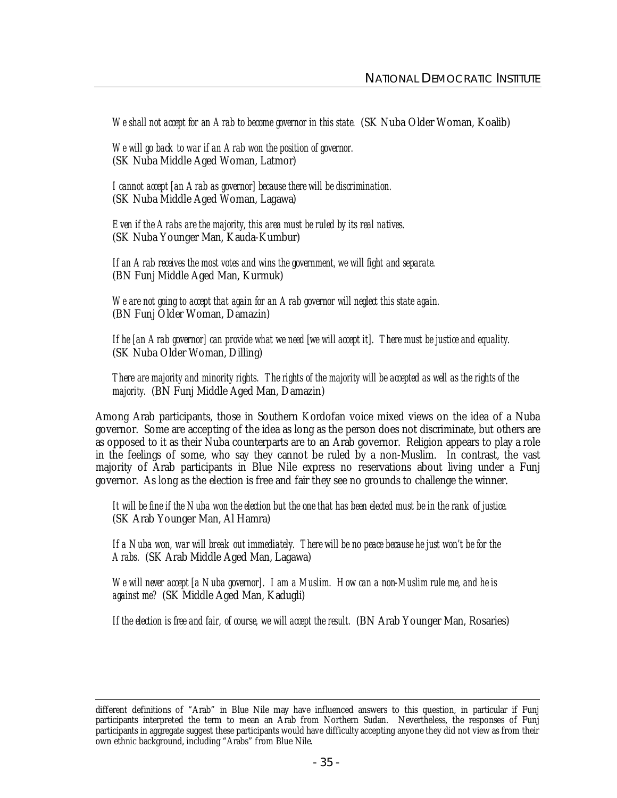*We shall not accept for an Arab to become governor in this state.* (SK Nuba Older Woman, Koalib)

*We will go back to war if an Arab won the position of governor.* (SK Nuba Middle Aged Woman, Latmor)

*I cannot accept [an Arab as governor] because there will be discrimination.* (SK Nuba Middle Aged Woman, Lagawa)

*Even if the Arabs are the majority, this area must be ruled by its real natives.* (SK Nuba Younger Man, Kauda-Kumbur)

*If an Arab receives the most votes and wins the government, we will fight and separate.* (BN Funj Middle Aged Man, Kurmuk)

*We are not going to accept that again for an Arab governor will neglect this state again.* (BN Funj Older Woman, Damazin)

*If he [an Arab governor] can provide what we need [we will accept it]. There must be justice and equality.* (SK Nuba Older Woman, Dilling)

*There are majority and minority rights. The rights of the majority will be accepted as well as the rights of the majority.* (BN Funj Middle Aged Man, Damazin)

Among Arab participants, those in Southern Kordofan voice mixed views on the idea of a Nuba governor. Some are accepting of the idea as long as the person does not discriminate, but others are as opposed to it as their Nuba counterparts are to an Arab governor. Religion appears to play a role in the feelings of some, who say they cannot be ruled by a non-Muslim. In contrast, the vast majority of Arab participants in Blue Nile express no reservations about living under a Funj governor. As long as the election is free and fair they see no grounds to challenge the winner.

*It will be fine if the Nuba won the election but the one that has been elected must be in the rank of justice.* (SK Arab Younger Man, Al Hamra)

*If a Nuba won, war will break out immediately. There will be no peace because he just won't be for the Arabs.* (SK Arab Middle Aged Man, Lagawa)

*We will never accept [a Nuba governor]. I am a Muslim. How can a non-Muslim rule me, and he is against me?* (SK Middle Aged Man, Kadugli)

*If the election is free and fair, of course, we will accept the result.* (BN Arab Younger Man, Rosaries)

 $\ddot{\phantom{a}}$ different definitions of "Arab" in Blue Nile may have influenced answers to this question, in particular if Funj participants interpreted the term to mean an Arab from Northern Sudan. Nevertheless, the responses of Funj participants in aggregate suggest these participants would have difficulty accepting anyone they did not view as from their own ethnic background, including "Arabs" from Blue Nile.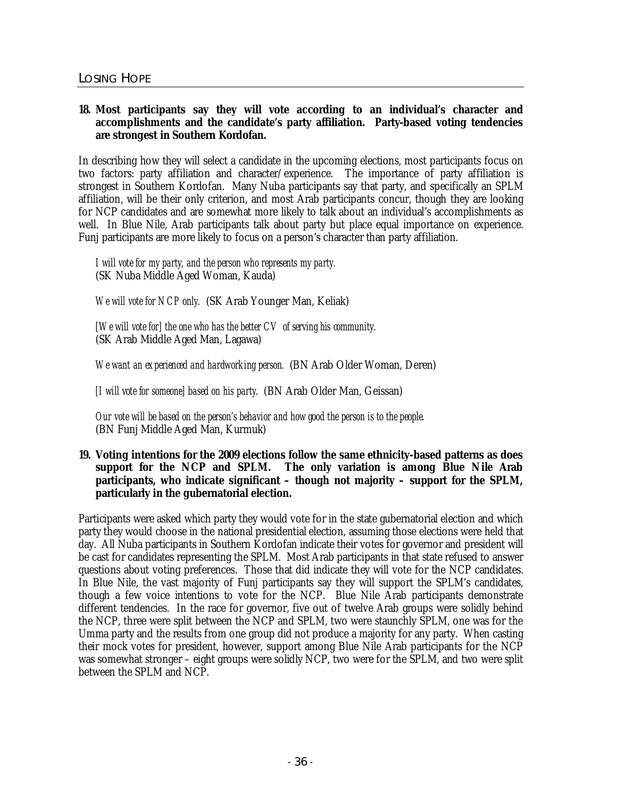# **18. Most participants say they will vote according to an individual's character and accomplishments and the candidate's party affiliation. Party-based voting tendencies are strongest in Southern Kordofan.**

In describing how they will select a candidate in the upcoming elections, most participants focus on two factors: party affiliation and character/experience. The importance of party affiliation is strongest in Southern Kordofan. Many Nuba participants say that party, and specifically an SPLM affiliation, will be their only criterion, and most Arab participants concur, though they are looking for NCP candidates and are somewhat more likely to talk about an individual's accomplishments as well. In Blue Nile, Arab participants talk about party but place equal importance on experience. Funj participants are more likely to focus on a person's character than party affiliation.

*I will vote for my party, and the person who represents my party.* (SK Nuba Middle Aged Woman, Kauda)

*We will vote for NCP only.* (SK Arab Younger Man, Keliak)

*[We will vote for] the one who has the better CV of serving his community.* (SK Arab Middle Aged Man, Lagawa)

*We want an experienced and hardworking person.* (BN Arab Older Woman, Deren)

*[I will vote for someone] based on his party.* (BN Arab Older Man, Geissan)

*Our vote will be based on the person's behavior and how good the person is to the people.* (BN Funj Middle Aged Man, Kurmuk)

**19. Voting intentions for the 2009 elections follow the same ethnicity-based patterns as does support for the NCP and SPLM. The only variation is among Blue Nile Arab participants, who indicate significant – though not majority – support for the SPLM, particularly in the gubernatorial election.** 

Participants were asked which party they would vote for in the state gubernatorial election and which party they would choose in the national presidential election, assuming those elections were held that day. All Nuba participants in Southern Kordofan indicate their votes for governor and president will be cast for candidates representing the SPLM. Most Arab participants in that state refused to answer questions about voting preferences. Those that did indicate they will vote for the NCP candidates. In Blue Nile, the vast majority of Funj participants say they will support the SPLM's candidates, though a few voice intentions to vote for the NCP. Blue Nile Arab participants demonstrate different tendencies. In the race for governor, five out of twelve Arab groups were solidly behind the NCP, three were split between the NCP and SPLM, two were staunchly SPLM, one was for the Umma party and the results from one group did not produce a majority for any party. When casting their mock votes for president, however, support among Blue Nile Arab participants for the NCP was somewhat stronger – eight groups were solidly NCP, two were for the SPLM, and two were split between the SPLM and NCP.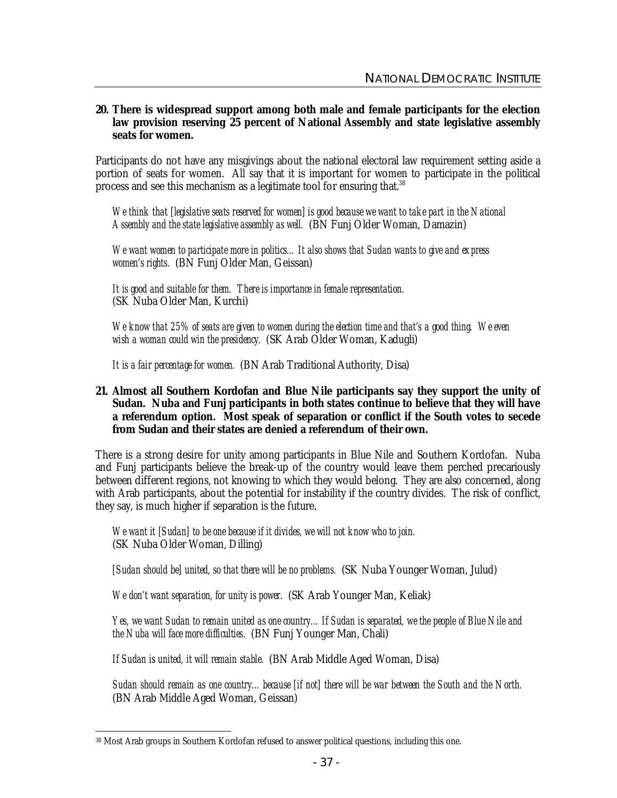#### **20. There is widespread support among both male and female participants for the election law provision reserving 25 percent of National Assembly and state legislative assembly seats for women.**

Participants do not have any misgivings about the national electoral law requirement setting aside a portion of seats for women. All say that it is important for women to participate in the political process and see this mechanism as a legitimate tool for ensuring that.<sup>38</sup>

*We think that [legislative seats reserved for women] is good because we want to take part in the National Assembly and the state legislative assembly as well.* (BN Funj Older Woman, Damazin)

*We want women to participate more in politics…It also shows that Sudan wants to give and express women's rights.* (BN Funj Older Man, Geissan)

*It is good and suitable for them. There is importance in female representation.* (SK Nuba Older Man, Kurchi)

*We know that 25% of seats are given to women during the election time and that's a good thing. We even wish a woman could win the presidency.* (SK Arab Older Woman, Kadugli)

*It is a fair percentage for women.* (BN Arab Traditional Authority, Disa)

#### **21. Almost all Southern Kordofan and Blue Nile participants say they support the unity of Sudan. Nuba and Funj participants in both states continue to believe that they will have a referendum option. Most speak of separation or conflict if the South votes to secede from Sudan and their states are denied a referendum of their own.**

There is a strong desire for unity among participants in Blue Nile and Southern Kordofan. Nuba and Funj participants believe the break-up of the country would leave them perched precariously between different regions, not knowing to which they would belong. They are also concerned, along with Arab participants, about the potential for instability if the country divides. The risk of conflict, they say, is much higher if separation is the future.

*We want it [Sudan] to be one because if it divides, we will not know who to join.* (SK Nuba Older Woman, Dilling)

*[Sudan should be] united, so that there will be no problems.* (SK Nuba Younger Woman, Julud)

*We don't want separation, for unity is power.* (SK Arab Younger Man, Keliak)

*Yes, we want Sudan to remain united as one country…If Sudan is separated, we the people of Blue Nile and the Nuba will face more difficulties.* (BN Funj Younger Man, Chali)

*If Sudan is united, it will remain stable.* (BN Arab Middle Aged Woman, Disa)

*Sudan should remain as one country…because [if not] there will be war between the South and the North.* (BN Arab Middle Aged Woman, Geissan)

 $\ddot{\phantom{a}}$ <sup>38</sup> Most Arab groups in Southern Kordofan refused to answer political questions, including this one.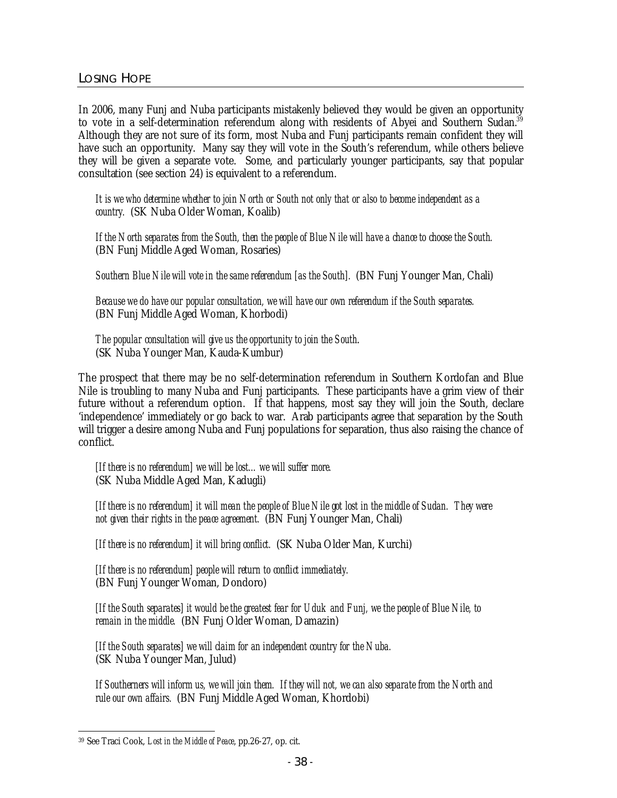In 2006, many Funj and Nuba participants mistakenly believed they would be given an opportunity to vote in a self-determination referendum along with residents of Abyei and Southern Sudan.<sup>39</sup> Although they are not sure of its form, most Nuba and Funj participants remain confident they will have such an opportunity. Many say they will vote in the South's referendum, while others believe they will be given a separate vote. Some, and particularly younger participants, say that popular consultation (see section 24) is equivalent to a referendum.

*It is we who determine whether to join North or South not only that or also to become independent as a country.* (SK Nuba Older Woman, Koalib)

*If the North separates from the South, then the people of Blue Nile will have a chance to choose the South.* (BN Funj Middle Aged Woman, Rosaries)

*Southern Blue Nile will vote in the same referendum [as the South].* (BN Funj Younger Man, Chali)

*Because we do have our popular consultation, we will have our own referendum if the South separates.* (BN Funj Middle Aged Woman, Khorbodi)

#### *The popular consultation will give us the opportunity to join the South*. (SK Nuba Younger Man, Kauda-Kumbur)

The prospect that there may be no self-determination referendum in Southern Kordofan and Blue Nile is troubling to many Nuba and Funj participants. These participants have a grim view of their future without a referendum option. If that happens, most say they will join the South, declare 'independence' immediately or go back to war. Arab participants agree that separation by the South will trigger a desire among Nuba and Funj populations for separation, thus also raising the chance of conflict.

*[If there is no referendum] we will be lost…we will suffer more.* (SK Nuba Middle Aged Man, Kadugli)

*[If there is no referendum] it will mean the people of Blue Nile got lost in the middle of Sudan. They were not given their rights in the peace agreement.* (BN Funj Younger Man, Chali)

*[If there is no referendum] it will bring conflict.* (SK Nuba Older Man, Kurchi)

*[If there is no referendum] people will return to conflict immediately.* (BN Funj Younger Woman, Dondoro)

*[If the South separates] it would be the greatest fear for Uduk and Funj, we the people of Blue Nile, to remain in the middle.* (BN Funj Older Woman, Damazin)

*[If the South separates] we will claim for an independent country for the Nuba.* (SK Nuba Younger Man, Julud)

*If Southerners will inform us, we will join them. If they will not, we can also separate from the North and rule our own affairs.* (BN Funj Middle Aged Woman, Khordobi)

 $\ddot{\phantom{a}}$ <sup>39</sup> See Traci Cook, *Lost in the Middle of Peace*, pp.26-27, op. cit.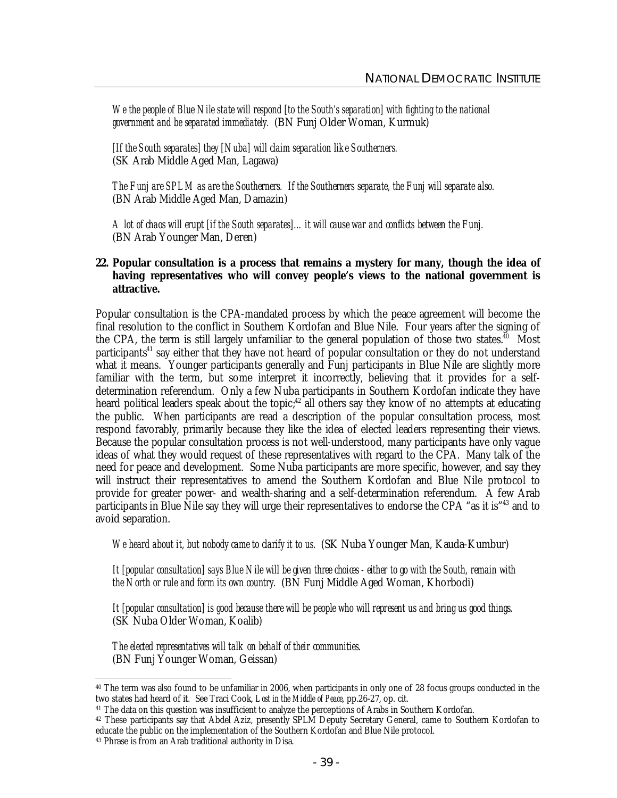*We the people of Blue Nile state will respond [to the South's separation] with fighting to the national government and be separated immediately.* (BN Funj Older Woman, Kurmuk)

*[If the South separates] they [Nuba] will claim separation like Southerners.* (SK Arab Middle Aged Man, Lagawa)

*The Funj are SPLM as are the Southerners. If the Southerners separate, the Funj will separate also.* (BN Arab Middle Aged Man, Damazin)

*A lot of chaos will erupt [if the South separates]…it will cause war and conflicts between the Funj.* (BN Arab Younger Man, Deren)

#### **22. Popular consultation is a process that remains a mystery for many, though the idea of having representatives who will convey people's views to the national government is attractive.**

Popular consultation is the CPA-mandated process by which the peace agreement will become the final resolution to the conflict in Southern Kordofan and Blue Nile. Four years after the signing of the CPA, the term is still largely unfamiliar to the general population of those two states.<sup>40</sup> Most participants<sup>41</sup> say either that they have not heard of popular consultation or they do not understand what it means. Younger participants generally and Funj participants in Blue Nile are slightly more familiar with the term, but some interpret it incorrectly, believing that it provides for a selfdetermination referendum. Only a few Nuba participants in Southern Kordofan indicate they have heard political leaders speak about the topic;<sup>42</sup> all others say they know of no attempts at educating the public. When participants are read a description of the popular consultation process, most respond favorably, primarily because they like the idea of elected leaders representing their views. Because the popular consultation process is not well-understood, many participants have only vague ideas of what they would request of these representatives with regard to the CPA. Many talk of the need for peace and development. Some Nuba participants are more specific, however, and say they will instruct their representatives to amend the Southern Kordofan and Blue Nile protocol to provide for greater power- and wealth-sharing and a self-determination referendum. A few Arab participants in Blue Nile say they will urge their representatives to endorse the CPA "as it is"<sup>43</sup> and to avoid separation.

*We heard about it, but nobody came to clarify it to us.* (SK Nuba Younger Man, Kauda-Kumbur)

*It [popular consultation] says Blue Nile will be given three choices - either to go with the South, remain with the North or rule and form its own country.* (BN Funj Middle Aged Woman, Khorbodi)

*It [popular consultation] is good because there will be people who will represent us and bring us good things*. (SK Nuba Older Woman, Koalib)

#### *The elected representatives will talk on behalf of their communities.* (BN Funj Younger Woman, Geissan)

 $\overline{a}$ <sup>40</sup> The term was also found to be unfamiliar in 2006, when participants in only one of 28 focus groups conducted in the two states had heard of it. See Traci Cook, *Lost in the Middle of Peace*, pp.26-27, op. cit.

<sup>41</sup> The data on this question was insufficient to analyze the perceptions of Arabs in Southern Kordofan.

<sup>42</sup> These participants say that Abdel Aziz, presently SPLM Deputy Secretary General, came to Southern Kordofan to educate the public on the implementation of the Southern Kordofan and Blue Nile protocol.

<sup>43</sup> Phrase is from an Arab traditional authority in Disa.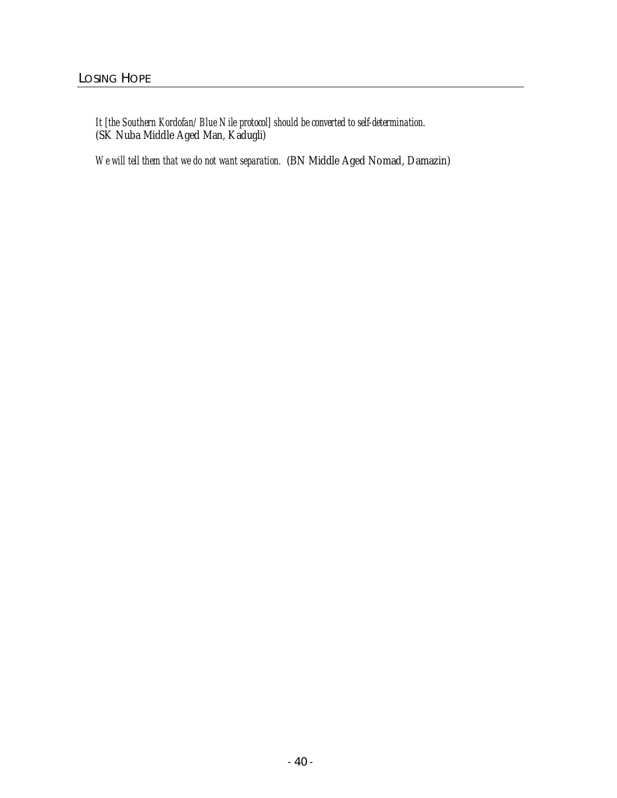*It [the Southern Kordofan/Blue Nile protocol] should be converted to self-determination.* (SK Nuba Middle Aged Man, Kadugli)

*We will tell them that we do not want separation.* (BN Middle Aged Nomad, Damazin)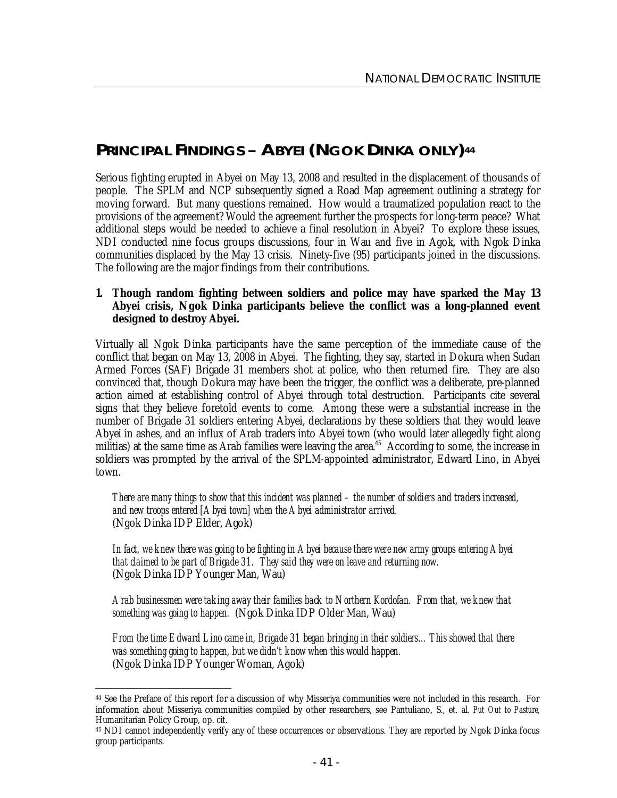# **PRINCIPAL FINDINGS – ABYEI (NGOK DINKA ONLY) 44**

Serious fighting erupted in Abyei on May 13, 2008 and resulted in the displacement of thousands of people. The SPLM and NCP subsequently signed a Road Map agreement outlining a strategy for moving forward. But many questions remained. How would a traumatized population react to the provisions of the agreement? Would the agreement further the prospects for long-term peace? What additional steps would be needed to achieve a final resolution in Abyei? To explore these issues, NDI conducted nine focus groups discussions, four in Wau and five in Agok, with Ngok Dinka communities displaced by the May 13 crisis. Ninety-five (95) participants joined in the discussions. The following are the major findings from their contributions.

## **1. Though random fighting between soldiers and police may have sparked the May 13 Abyei crisis, Ngok Dinka participants believe the conflict was a long-planned event designed to destroy Abyei.**

Virtually all Ngok Dinka participants have the same perception of the immediate cause of the conflict that began on May 13, 2008 in Abyei. The fighting, they say, started in Dokura when Sudan Armed Forces (SAF) Brigade 31 members shot at police, who then returned fire. They are also convinced that, though Dokura may have been the trigger, the conflict was a deliberate, pre-planned action aimed at establishing control of Abyei through total destruction. Participants cite several signs that they believe foretold events to come. Among these were a substantial increase in the number of Brigade 31 soldiers entering Abyei, declarations by these soldiers that they would leave Abyei in ashes, and an influx of Arab traders into Abyei town (who would later allegedly fight along militias) at the same time as Arab families were leaving the area.<sup>45</sup> According to some, the increase in soldiers was prompted by the arrival of the SPLM-appointed administrator, Edward Lino, in Abyei town.

*There are many things to show that this incident was planned – the number of soldiers and traders increased, and new troops entered [Abyei town] when the Abyei administrator arrived.* (Ngok Dinka IDP Elder, Agok)

*In fact, we knew there was going to be fighting in Abyei because there were new army groups entering Abyei that claimed to be part of Brigade 31. They said they were on leave and returning now.* (Ngok Dinka IDP Younger Man, Wau)

*Arab businessmen were taking away their families back to Northern Kordofan. From that, we knew that something was going to happen.* (Ngok Dinka IDP Older Man, Wau)

*From the time Edward Lino came in, Brigade 31 began bringing in their soldiers…This showed that there was something going to happen, but we didn't know when this would happen.* (Ngok Dinka IDP Younger Woman, Agok)

 $\ddot{\phantom{a}}$ <sup>44</sup> See the Preface of this report for a discussion of why Misseriya communities were not included in this research. For information about Misseriya communities compiled by other researchers, see Pantuliano, S., et. al. *Put Out to Pasture,*  Humanitarian Policy Group, op. cit.

<sup>45</sup> NDI cannot independently verify any of these occurrences or observations. They are reported by Ngok Dinka focus group participants.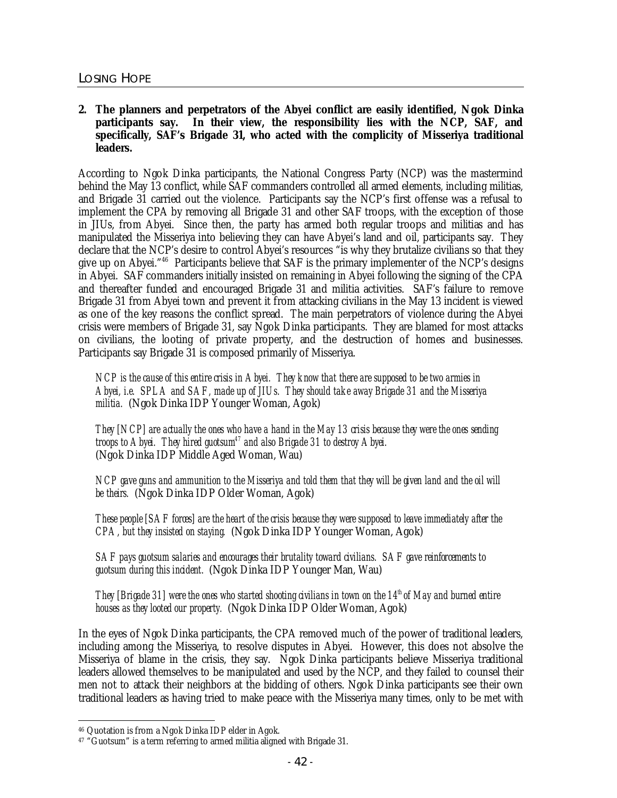**2. The planners and perpetrators of the Abyei conflict are easily identified, Ngok Dinka participants say. In their view, the responsibility lies with the NCP, SAF, and specifically, SAF's Brigade 31, who acted with the complicity of Misseriya traditional leaders.** 

According to Ngok Dinka participants, the National Congress Party (NCP) was the mastermind behind the May 13 conflict, while SAF commanders controlled all armed elements, including militias, and Brigade 31 carried out the violence. Participants say the NCP's first offense was a refusal to implement the CPA by removing all Brigade 31 and other SAF troops, with the exception of those in JIUs, from Abyei. Since then, the party has armed both regular troops and militias and has manipulated the Misseriya into believing they can have Abyei's land and oil, participants say. They declare that the NCP's desire to control Abyei's resources "is why they brutalize civilians so that they give up on Abyei."<sup>46</sup> Participants believe that SAF is the primary implementer of the NCP's designs in Abyei. SAF commanders initially insisted on remaining in Abyei following the signing of the CPA and thereafter funded and encouraged Brigade 31 and militia activities. SAF's failure to remove Brigade 31 from Abyei town and prevent it from attacking civilians in the May 13 incident is viewed as one of the key reasons the conflict spread. The main perpetrators of violence during the Abyei crisis were members of Brigade 31, say Ngok Dinka participants. They are blamed for most attacks on civilians, the looting of private property, and the destruction of homes and businesses. Participants say Brigade 31 is composed primarily of Misseriya.

*NCP is the cause of this entire crisis in Abyei. They know that there are supposed to be two armies in Abyei, i.e. SPLA and SAF, made up of JIUs. They should take away Brigade 31 and the Misseriya militia.* (Ngok Dinka IDP Younger Woman, Agok)

*They [NCP] are actually the ones who have a hand in the May 13 crisis because they were the ones sending troops to Abyei. They hired guotsum<sup>47</sup> and also Brigade 31 to destroy Abyei.* (Ngok Dinka IDP Middle Aged Woman, Wau)

*NCP gave guns and ammunition to the Misseriya and told them that they will be given land and the oil will be theirs.* (Ngok Dinka IDP Older Woman, Agok)

*These people [SAF forces] are the heart of the crisis because they were supposed to leave immediately after the CPA, but they insisted on staying.* (Ngok Dinka IDP Younger Woman, Agok)

*SAF pays guotsum salaries and encourages their brutality toward civilians. SAF gave reinforcements to guotsum during this incident.* (Ngok Dinka IDP Younger Man, Wau)

*They [Brigade 31] were the ones who started shooting civilians in town on the 14th of May and burned entire houses as they looted our property.* (Ngok Dinka IDP Older Woman, Agok)

In the eyes of Ngok Dinka participants, the CPA removed much of the power of traditional leaders, including among the Misseriya, to resolve disputes in Abyei. However, this does not absolve the Misseriya of blame in the crisis, they say. Ngok Dinka participants believe Misseriya traditional leaders allowed themselves to be manipulated and used by the NCP, and they failed to counsel their men not to attack their neighbors at the bidding of others. Ngok Dinka participants see their own traditional leaders as having tried to make peace with the Misseriya many times, only to be met with

 $\ddot{\phantom{a}}$ <sup>46</sup> Quotation is from a Ngok Dinka IDP elder in Agok.

<sup>&</sup>lt;sup>47</sup> "Guotsum" is a term referring to armed militia aligned with Brigade 31.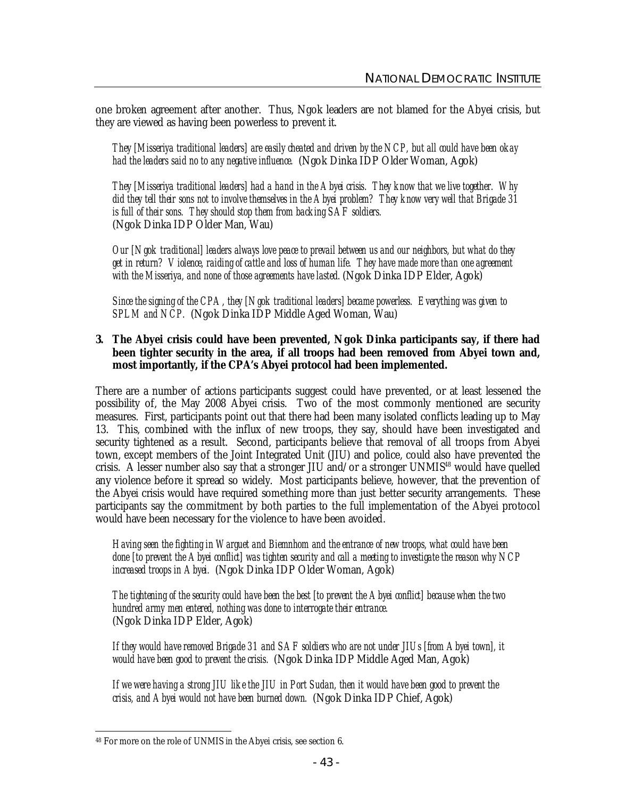one broken agreement after another. Thus, Ngok leaders are not blamed for the Abyei crisis, but they are viewed as having been powerless to prevent it.

*They [Misseriya traditional leaders] are easily cheated and driven by the NCP, but all could have been okay had the leaders said no to any negative influence.* (Ngok Dinka IDP Older Woman, Agok)

*They [Misseriya traditional leaders] had a hand in the Abyei crisis. They know that we live together. Why did they tell their sons not to involve themselves in the Abyei problem? They know very well that Brigade 31 is full of their sons. They should stop them from backing SAF soldiers.* (Ngok Dinka IDP Older Man, Wau)

*Our [Ngok traditional] leaders always love peace to prevail between us and our neighbors, but what do they get in return? Violence, raiding of cattle and loss of human life. They have made more than one agreement with the Misseriya, and none of those agreements have lasted.* (Ngok Dinka IDP Elder, Agok)

*Since the signing of the CPA, they [Ngok traditional leaders] became powerless. Everything was given to SPLM and NCP.* (Ngok Dinka IDP Middle Aged Woman, Wau)

#### **3. The Abyei crisis could have been prevented, Ngok Dinka participants say, if there had been tighter security in the area, if all troops had been removed from Abyei town and, most importantly, if the CPA's Abyei protocol had been implemented.**

There are a number of actions participants suggest could have prevented, or at least lessened the possibility of, the May 2008 Abyei crisis. Two of the most commonly mentioned are security measures. First, participants point out that there had been many isolated conflicts leading up to May 13. This, combined with the influx of new troops, they say, should have been investigated and security tightened as a result. Second, participants believe that removal of all troops from Abyei town, except members of the Joint Integrated Unit (JIU) and police, could also have prevented the crisis. A lesser number also say that a stronger JIU and/or a stronger UNMIS<sup>48</sup> would have quelled any violence before it spread so widely. Most participants believe, however, that the prevention of the Abyei crisis would have required something more than just better security arrangements. These participants say the commitment by both parties to the full implementation of the Abyei protocol would have been necessary for the violence to have been avoided.

*Having seen the fighting in Warguet and Biemnhom and the entrance of new troops, what could have been done [to prevent the Abyei conflict] was tighten security and call a meeting to investigate the reason why NCP increased troops in Abyei.* (Ngok Dinka IDP Older Woman, Agok)

*The tightening of the security could have been the best [to prevent the Abyei conflict] because when the two hundred army men entered, nothing was done to interrogate their entrance.* (Ngok Dinka IDP Elder, Agok)

*If they would have removed Brigade 31 and SAF soldiers who are not under JIUs [from Abyei town], it would have been good to prevent the crisis.* (Ngok Dinka IDP Middle Aged Man, Agok)

*If we were having a strong JIU like the JIU in Port Sudan, then it would have been good to prevent the crisis, and Abyei would not have been burned down.* (Ngok Dinka IDP Chief, Agok)

 $\ddot{\phantom{a}}$ <sup>48</sup> For more on the role of UNMIS in the Abyei crisis, see section 6.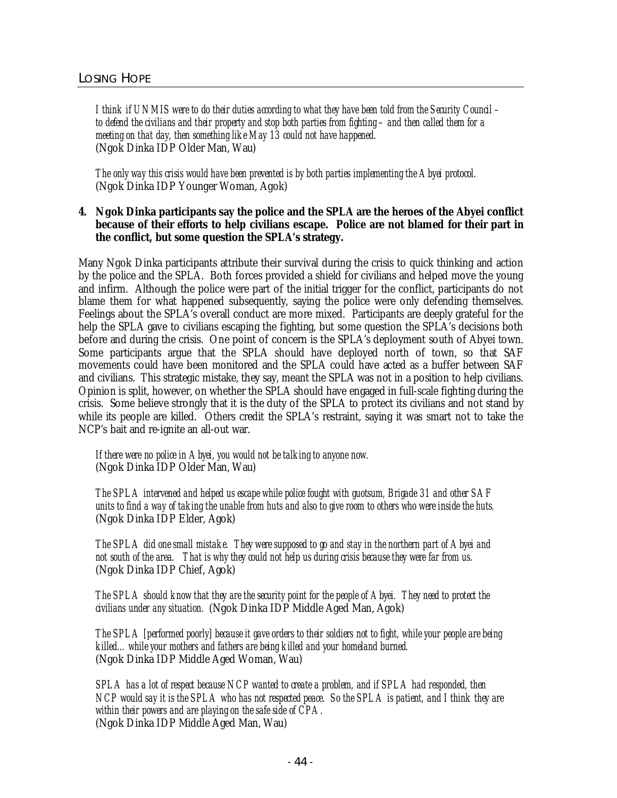*I think if UNMIS were to do their duties according to what they have been told from the Security Council – to defend the civilians and their property and stop both parties from fighting – and then called them for a meeting on that day, then something like May 13 could not have happened.* (Ngok Dinka IDP Older Man, Wau)

*The only way this crisis would have been prevented is by both parties implementing the Abyei protocol.* (Ngok Dinka IDP Younger Woman, Agok)

# **4. Ngok Dinka participants say the police and the SPLA are the heroes of the Abyei conflict because of their efforts to help civilians escape. Police are not blamed for their part in the conflict, but some question the SPLA's strategy.**

Many Ngok Dinka participants attribute their survival during the crisis to quick thinking and action by the police and the SPLA. Both forces provided a shield for civilians and helped move the young and infirm. Although the police were part of the initial trigger for the conflict, participants do not blame them for what happened subsequently, saying the police were only defending themselves. Feelings about the SPLA's overall conduct are more mixed. Participants are deeply grateful for the help the SPLA gave to civilians escaping the fighting, but some question the SPLA's decisions both before and during the crisis. One point of concern is the SPLA's deployment south of Abyei town. Some participants argue that the SPLA should have deployed north of town, so that SAF movements could have been monitored and the SPLA could have acted as a buffer between SAF and civilians. This strategic mistake, they say, meant the SPLA was not in a position to help civilians. Opinion is split, however, on whether the SPLA should have engaged in full-scale fighting during the crisis. Some believe strongly that it is the duty of the SPLA to protect its civilians and not stand by while its people are killed. Others credit the SPLA's restraint, saying it was smart not to take the NCP's bait and re-ignite an all-out war.

*If there were no police in Abyei, you would not be talking to anyone now.* (Ngok Dinka IDP Older Man, Wau)

*The SPLA intervened and helped us escape while police fought with guotsum, Brigade 31 and other SAF*  units to find a way of taking the unable from huts and also to give room to others who were inside the huts. (Ngok Dinka IDP Elder, Agok)

*The SPLA did one small mistake. They were supposed to go and stay in the northern part of Abyei and not south of the area. That is why they could not help us during crisis because they were far from us.* (Ngok Dinka IDP Chief, Agok)

*The SPLA should know that they are the security point for the people of Abyei. They need to protect the civilians under any situation.* (Ngok Dinka IDP Middle Aged Man, Agok)

*The SPLA [performed poorly] because it gave orders to their soldiers not to fight, while your people are being killed…while your mothers and fathers are being killed and your homeland burned.* (Ngok Dinka IDP Middle Aged Woman, Wau)

*SPLA has a lot of respect because NCP wanted to create a problem, and if SPLA had responded, then NCP would say it is the SPLA who has not respected peace. So the SPLA is patient, and I think they are within their powers and are playing on the safe side of CPA.* (Ngok Dinka IDP Middle Aged Man, Wau)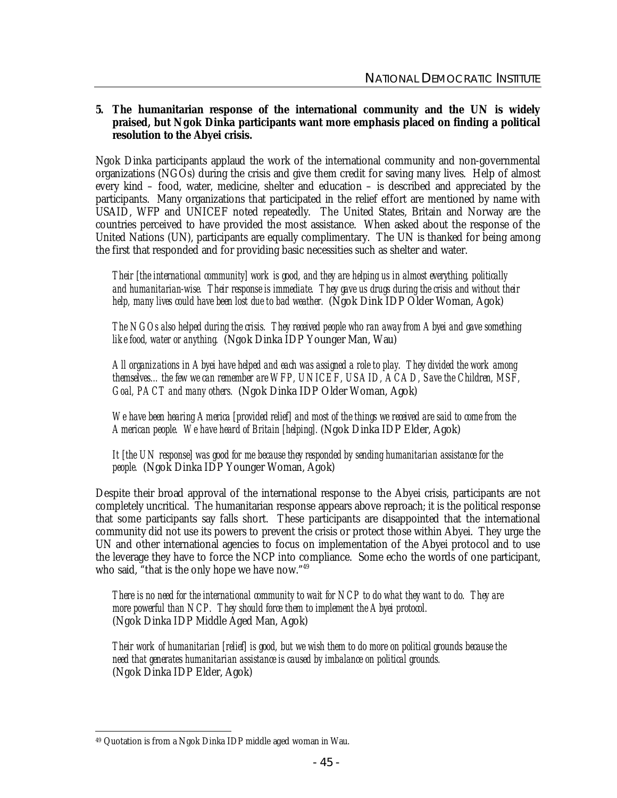# **5. The humanitarian response of the international community and the UN is widely praised, but Ngok Dinka participants want more emphasis placed on finding a political resolution to the Abyei crisis.**

Ngok Dinka participants applaud the work of the international community and non-governmental organizations (NGOs) during the crisis and give them credit for saving many lives. Help of almost every kind – food, water, medicine, shelter and education – is described and appreciated by the participants. Many organizations that participated in the relief effort are mentioned by name with USAID, WFP and UNICEF noted repeatedly. The United States, Britain and Norway are the countries perceived to have provided the most assistance. When asked about the response of the United Nations (UN), participants are equally complimentary. The UN is thanked for being among the first that responded and for providing basic necessities such as shelter and water.

*Their [the international community] work is good, and they are helping us in almost everything, politically and humanitarian-wise. Their response is immediate. They gave us drugs during the crisis and without their help, many lives could have been lost due to bad weather.* (Ngok Dink IDP Older Woman, Agok)

*The NGOs also helped during the crisis. They received people who ran away from Abyei and gave something like food, water or anything.* (Ngok Dinka IDP Younger Man, Wau)

*All organizations in Abyei have helped and each was assigned a role to play. They divided the work among themselves…the few we can remember are WFP, UNICEF, USAID, ACAD, Save the Children, MSF, Goal, PACT and many others.* (Ngok Dinka IDP Older Woman, Agok)

We have been hearing America [provided relief] and most of the things we received are said to come from the *American people. We have heard of Britain [helping].* (Ngok Dinka IDP Elder, Agok)

*It [the UN response] was good for me because they responded by sending humanitarian assistance for the people.* (Ngok Dinka IDP Younger Woman, Agok)

Despite their broad approval of the international response to the Abyei crisis, participants are not completely uncritical. The humanitarian response appears above reproach; it is the political response that some participants say falls short. These participants are disappointed that the international community did not use its powers to prevent the crisis or protect those within Abyei. They urge the UN and other international agencies to focus on implementation of the Abyei protocol and to use the leverage they have to force the NCP into compliance. Some echo the words of one participant, who said, "that is the only hope we have now."<sup>49</sup>

*There is no need for the international community to wait for NCP to do what they want to do. They are more powerful than NCP. They should force them to implement the Abyei protocol.* (Ngok Dinka IDP Middle Aged Man, Agok)

*Their work of humanitarian [relief] is good, but we wish them to do more on political grounds because the need that generates humanitarian assistance is caused by imbalance on political grounds.* (Ngok Dinka IDP Elder, Agok)

 $\ddot{\phantom{a}}$ <sup>49</sup> Quotation is from a Ngok Dinka IDP middle aged woman in Wau.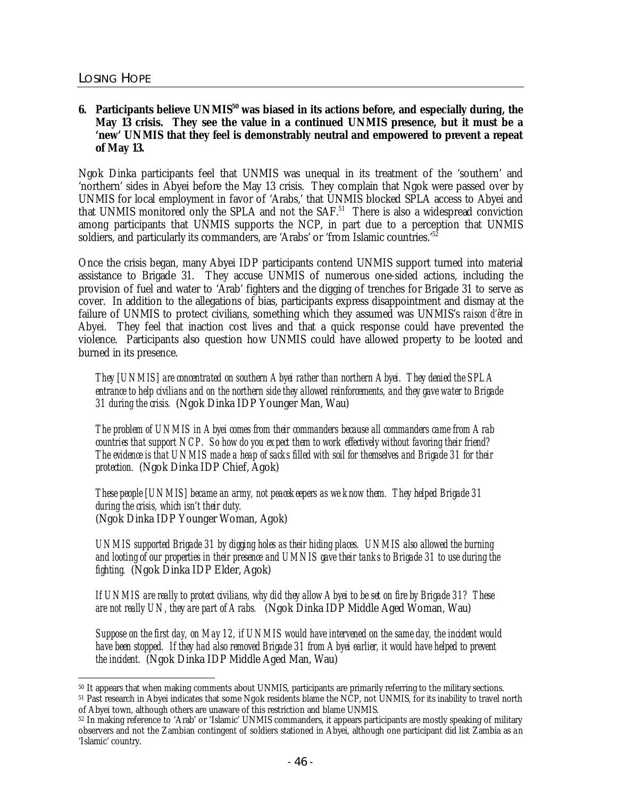## **6. Participants believe UNMIS<sup>50</sup> was biased in its actions before, and especially during, the May 13 crisis. They see the value in a continued UNMIS presence, but it must be a 'new' UNMIS that they feel is demonstrably neutral and empowered to prevent a repeat of May 13.**

Ngok Dinka participants feel that UNMIS was unequal in its treatment of the 'southern' and 'northern' sides in Abyei before the May 13 crisis. They complain that Ngok were passed over by UNMIS for local employment in favor of 'Arabs,' that UNMIS blocked SPLA access to Abyei and that UNMIS monitored only the SPLA and not the  $SAF<sup>51</sup>$  There is also a widespread conviction among participants that UNMIS supports the NCP, in part due to a perception that UNMIS soldiers, and particularly its commanders, are 'Arabs' or 'from Islamic countries.' $52$ 

Once the crisis began, many Abyei IDP participants contend UNMIS support turned into material assistance to Brigade 31. They accuse UNMIS of numerous one-sided actions, including the provision of fuel and water to 'Arab' fighters and the digging of trenches for Brigade 31 to serve as cover. In addition to the allegations of bias, participants express disappointment and dismay at the failure of UNMIS to protect civilians, something which they assumed was UNMIS's *raison d'être* in Abyei. They feel that inaction cost lives and that a quick response could have prevented the violence. Participants also question how UNMIS could have allowed property to be looted and burned in its presence.

*They [UNMIS] are concentrated on southern Abyei rather than northern Abyei. They denied the SPLA entrance to help civilians and on the northern side they allowed reinforcements, and they gave water to Brigade 31 during the crisis.* (Ngok Dinka IDP Younger Man, Wau)

*The problem of UNMIS in Abyei comes from their commanders because all commanders came from Arab countries that support NCP. So how do you expect them to work effectively without favoring their friend? The evidence is that UNMIS made a heap of sacks filled with soil for themselves and Brigade 31 for their protection.* (Ngok Dinka IDP Chief, Agok)

*These people [UNMIS] became an army, not peacekeepers as we know them. They helped Brigade 31 during the crisis, which isn't their duty.* (Ngok Dinka IDP Younger Woman, Agok)

*UNMIS supported Brigade 31 by digging holes as their hiding places. UNMIS also allowed the burning and looting of our properties in their presence and UMNIS gave their tanks to Brigade 31 to use during the fighting.* (Ngok Dinka IDP Elder, Agok)

*If UNMIS are really to protect civilians, why did they allow Abyei to be set on fire by Brigade 31? These are not really UN, they are part of Arabs.* (Ngok Dinka IDP Middle Aged Woman, Wau)

*Suppose on the first day, on May 12, if UNMIS would have intervened on the same day, the incident would have been stopped. If they had also removed Brigade 31 from Abyei earlier, it would have helped to prevent the incident.* (Ngok Dinka IDP Middle Aged Man, Wau)

 $\overline{a}$ <sup>50</sup> It appears that when making comments about UNMIS, participants are primarily referring to the military sections.

<sup>51</sup> Past research in Abyei indicates that some Ngok residents blame the NCP, not UNMIS, for its inability to travel north of Abyei town, although others are unaware of this restriction and blame UNMIS.

<sup>52</sup> In making reference to 'Arab' or 'Islamic' UNMIS commanders, it appears participants are mostly speaking of military observers and not the Zambian contingent of soldiers stationed in Abyei, although one participant did list Zambia as an 'Islamic' country.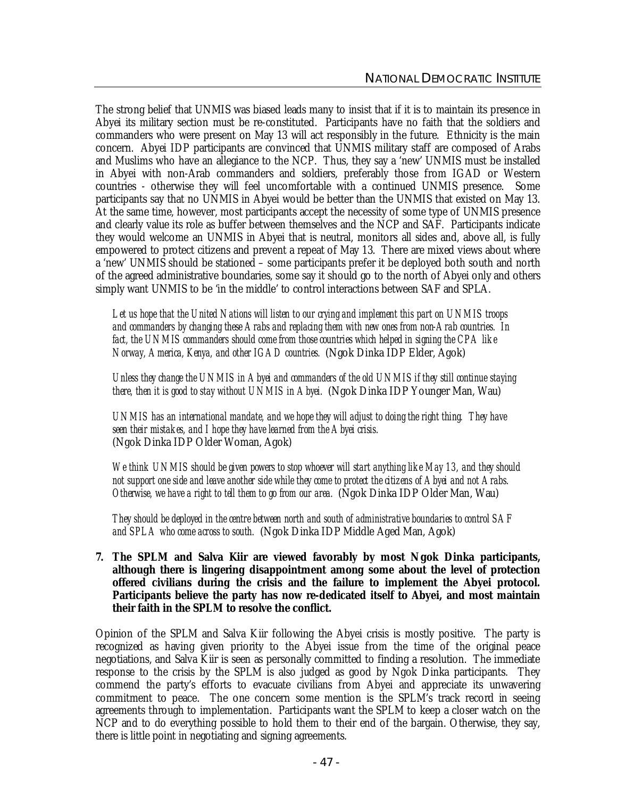The strong belief that UNMIS was biased leads many to insist that if it is to maintain its presence in Abyei its military section must be re-constituted. Participants have no faith that the soldiers and commanders who were present on May 13 will act responsibly in the future. Ethnicity is the main concern. Abyei IDP participants are convinced that UNMIS military staff are composed of Arabs and Muslims who have an allegiance to the NCP. Thus, they say a 'new' UNMIS must be installed in Abyei with non-Arab commanders and soldiers, preferably those from IGAD or Western countries - otherwise they will feel uncomfortable with a continued UNMIS presence. Some participants say that no UNMIS in Abyei would be better than the UNMIS that existed on May 13. At the same time, however, most participants accept the necessity of some type of UNMIS presence and clearly value its role as buffer between themselves and the NCP and SAF. Participants indicate they would welcome an UNMIS in Abyei that is neutral, monitors all sides and, above all, is fully empowered to protect citizens and prevent a repeat of May 13. There are mixed views about where a 'new' UNMIS should be stationed – some participants prefer it be deployed both south and north of the agreed administrative boundaries, some say it should go to the north of Abyei only and others simply want UNMIS to be 'in the middle' to control interactions between SAF and SPLA.

*Let us hope that the United Nations will listen to our crying and implement this part on UNMIS troops and commanders by changing these Arabs and replacing them with new ones from non-Arab countries. In fact, the UNMIS commanders should come from those countries which helped in signing the CPA like Norway, America, Kenya, and other IGAD countries.* (Ngok Dinka IDP Elder, Agok)

*Unless they change the UNMIS in Abyei and commanders of the old UNMIS if they still continue staying there, then it is good to stay without UNMIS in Abyei.* (Ngok Dinka IDP Younger Man, Wau)

*UNMIS has an international mandate, and we hope they will adjust to doing the right thing. They have seen their mistakes, and I hope they have learned from the Abyei crisis.* (Ngok Dinka IDP Older Woman, Agok)

*We think UNMIS should be given powers to stop whoever will start anything like May 13, and they should not support one side and leave another side while they come to protect the citizens of Abyei and not Arabs. Otherwise, we have a right to tell them to go from our area.* (Ngok Dinka IDP Older Man, Wau)

*They should be deployed in the centre between north and south of administrative boundaries to control SAF and SPLA who come across to south.* (Ngok Dinka IDP Middle Aged Man, Agok)

**7. The SPLM and Salva Kiir are viewed favorably by most Ngok Dinka participants, although there is lingering disappointment among some about the level of protection offered civilians during the crisis and the failure to implement the Abyei protocol. Participants believe the party has now re-dedicated itself to Abyei, and most maintain their faith in the SPLM to resolve the conflict.**

Opinion of the SPLM and Salva Kiir following the Abyei crisis is mostly positive. The party is recognized as having given priority to the Abyei issue from the time of the original peace negotiations, and Salva Kiir is seen as personally committed to finding a resolution. The immediate response to the crisis by the SPLM is also judged as good by Ngok Dinka participants. They commend the party's efforts to evacuate civilians from Abyei and appreciate its unwavering commitment to peace. The one concern some mention is the SPLM's track record in seeing agreements through to implementation. Participants want the SPLM to keep a closer watch on the NCP and to do everything possible to hold them to their end of the bargain. Otherwise, they say, there is little point in negotiating and signing agreements.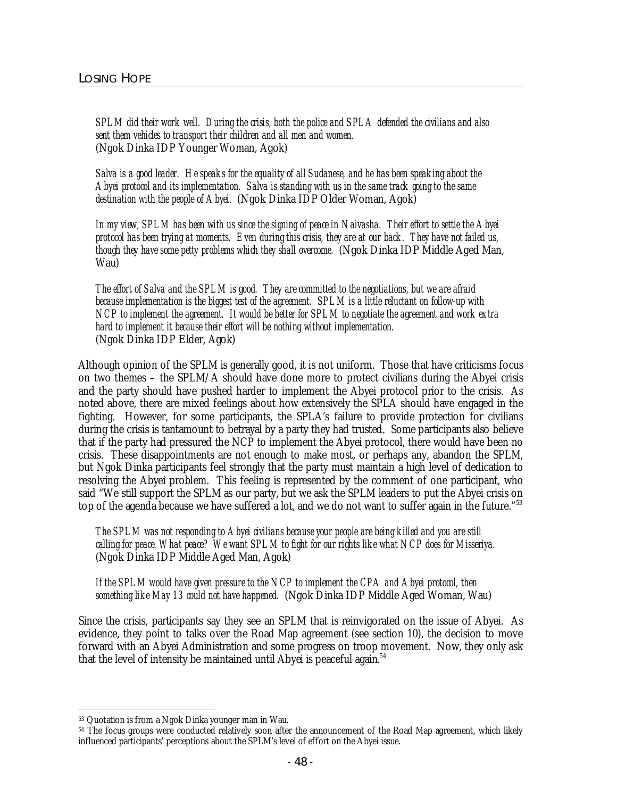*SPLM did their work well. During the crisis, both the police and SPLA defended the civilians and also sent them vehicles to transport their children and all men and women.* (Ngok Dinka IDP Younger Woman, Agok)

*Salva is a good leader. He speaks for the equality of all Sudanese, and he has been speaking about the Abyei protocol and its implementation. Salva is standing with us in the same track going to the same destination with the people of Abyei.* (Ngok Dinka IDP Older Woman, Agok)

*In my view, SPLM has been with us since the signing of peace in Naivasha. Their effort to settle the Abyei protocol has been trying at moments. Even during this crisis, they are at our back. They have not failed us, though they have some petty problems which they shall overcome.*(Ngok Dinka IDP Middle Aged Man, Wau)

*The effort of Salva and the SPLM is good. They are committed to the negotiations, but we are afraid because implementation is the biggest test of the agreement. SPLM is a little reluctant on follow-up with NCP to implement the agreement. It would be better for SPLM to negotiate the agreement and work extra hard to implement it because their effort will be nothing without implementation.* (Ngok Dinka IDP Elder, Agok)

Although opinion of the SPLM is generally good, it is not uniform. Those that have criticisms focus on two themes – the SPLM/A should have done more to protect civilians during the Abyei crisis and the party should have pushed harder to implement the Abyei protocol prior to the crisis. As noted above, there are mixed feelings about how extensively the SPLA should have engaged in the fighting. However, for some participants, the SPLA's failure to provide protection for civilians during the crisis is tantamount to betrayal by a party they had trusted. Some participants also believe that if the party had pressured the NCP to implement the Abyei protocol, there would have been no crisis. These disappointments are not enough to make most, or perhaps any, abandon the SPLM, but Ngok Dinka participants feel strongly that the party must maintain a high level of dedication to resolving the Abyei problem. This feeling is represented by the comment of one participant, who said "We still support the SPLM as our party, but we ask the SPLM leaders to put the Abyei crisis on top of the agenda because we have suffered a lot, and we do not want to suffer again in the future."<sup>53</sup>

*The SPLM was not responding to Abyei civilians because your people are being killed and you are still calling for peace. What peace? We want SPLM to fight for our rights like what NCP does for Misseriya.* (Ngok Dinka IDP Middle Aged Man, Agok)

*If the SPLM would have given pressure to the NCP to implement the CPA and Abyei protocol, then something like May 13 could not have happened.* (Ngok Dinka IDP Middle Aged Woman, Wau)

Since the crisis, participants say they see an SPLM that is reinvigorated on the issue of Abyei. As evidence, they point to talks over the Road Map agreement (see section 10), the decision to move forward with an Abyei Administration and some progress on troop movement. Now, they only ask that the level of intensity be maintained until Abyei is peaceful again.<sup>54</sup>

 $\overline{a}$ <sup>53</sup> Quotation is from a Ngok Dinka younger man in Wau.

<sup>54</sup> The focus groups were conducted relatively soon after the announcement of the Road Map agreement, which likely influenced participants' perceptions about the SPLM's level of effort on the Abyei issue.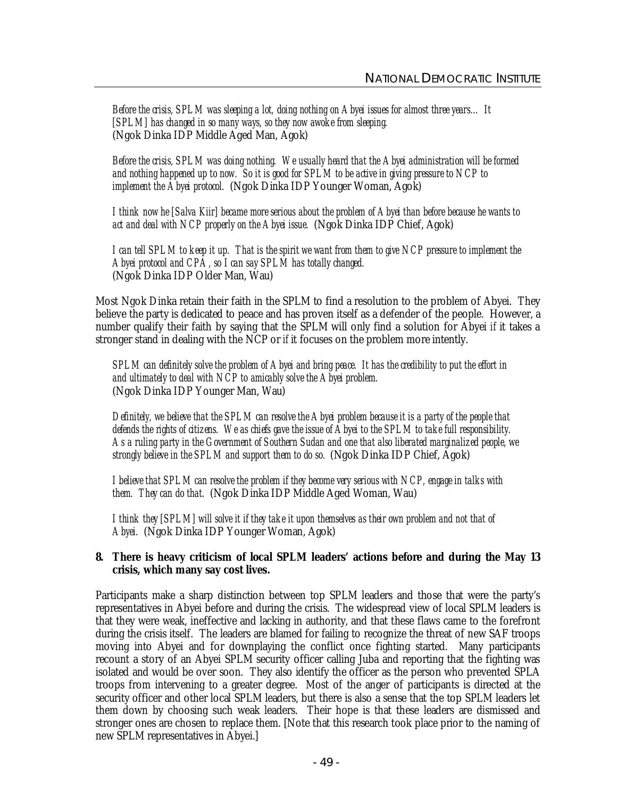*Before the crisis, SPLM was sleeping a lot, doing nothing on Abyei issues for almost three years… It [SPLM] has changed in so many ways, so they now awoke from sleeping.* (Ngok Dinka IDP Middle Aged Man, Agok)

*Before the crisis, SPLM was doing nothing. We usually heard that the Abyei administration will be formed and nothing happened up to now. So it is good for SPLM to be active in giving pressure to NCP to implement the Abyei protocol.* (Ngok Dinka IDP Younger Woman, Agok)

*I think now he [Salva Kiir] became more serious about the problem of Abyei than before because he wants to act and deal with NCP properly on the Abyei issue.* (Ngok Dinka IDP Chief, Agok)

*I can tell SPLM to keep it up. That is the spirit we want from them to give NCP pressure to implement the Abyei protocol and CPA, so I can say SPLM has totally changed.* (Ngok Dinka IDP Older Man, Wau)

Most Ngok Dinka retain their faith in the SPLM to find a resolution to the problem of Abyei. They believe the party is dedicated to peace and has proven itself as a defender of the people. However, a number qualify their faith by saying that the SPLM will only find a solution for Abyei *if* it takes a stronger stand in dealing with the NCP or *if* it focuses on the problem more intently.

*SPLM can definitely solve the problem of Abyei and bring peace. It has the credibility to put the effort in and ultimately to deal with NCP to amicably solve the Abyei problem.* (Ngok Dinka IDP Younger Man, Wau)

*Definitely, we believe that the SPLM can resolve the Abyei problem because it is a party of the people that defends the rights of citizens. We as chiefs gave the issue of Abyei to the SPLM to take full responsibility. As a ruling party in the Government of Southern Sudan and one that also liberated marginalized people, we strongly believe in the SPLM and support them to do so.* (Ngok Dinka IDP Chief, Agok)

*I believe that SPLM can resolve the problem if they become very serious with NCP, engage in talks with them. They can do that.* (Ngok Dinka IDP Middle Aged Woman, Wau)

*I think they [SPLM] will solve it if they take it upon themselves as their own problem and not that of Abyei.* (Ngok Dinka IDP Younger Woman, Agok)

# **8. There is heavy criticism of local SPLM leaders' actions before and during the May 13 crisis, which many say cost lives.**

Participants make a sharp distinction between top SPLM leaders and those that were the party's representatives in Abyei before and during the crisis. The widespread view of local SPLM leaders is that they were weak, ineffective and lacking in authority, and that these flaws came to the forefront during the crisis itself. The leaders are blamed for failing to recognize the threat of new SAF troops moving into Abyei and for downplaying the conflict once fighting started. Many participants recount a story of an Abyei SPLM security officer calling Juba and reporting that the fighting was isolated and would be over soon. They also identify the officer as the person who prevented SPLA troops from intervening to a greater degree. Most of the anger of participants is directed at the security officer and other local SPLM leaders, but there is also a sense that the top SPLM leaders let them down by choosing such weak leaders. Their hope is that these leaders are dismissed and stronger ones are chosen to replace them. [Note that this research took place prior to the naming of new SPLM representatives in Abyei.]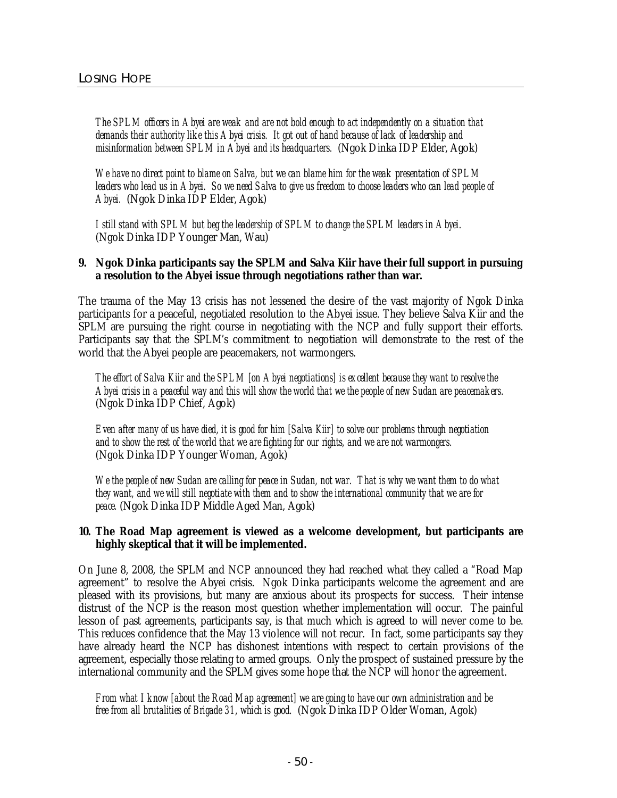*The SPLM officers in Abyei are weak and are not bold enough to act independently on a situation that demands their authority like this Abyei crisis. It got out of hand because of lack of leadership and misinformation between SPLM in Abyei and its headquarters.* (Ngok Dinka IDP Elder, Agok)

*We have no direct point to blame on Salva, but we can blame him for the weak presentation of SPLM leaders who lead us in Abyei. So we need Salva to give us freedom to choose leaders who can lead people of Abyei.* (Ngok Dinka IDP Elder, Agok)

*I still stand with SPLM but beg the leadership of SPLM to change the SPLM leaders in Abyei.* (Ngok Dinka IDP Younger Man, Wau)

#### **9. Ngok Dinka participants say the SPLM and Salva Kiir have their full support in pursuing a resolution to the Abyei issue through negotiations rather than war.**

The trauma of the May 13 crisis has not lessened the desire of the vast majority of Ngok Dinka participants for a peaceful, negotiated resolution to the Abyei issue. They believe Salva Kiir and the SPLM are pursuing the right course in negotiating with the NCP and fully support their efforts. Participants say that the SPLM's commitment to negotiation will demonstrate to the rest of the world that the Abyei people are peacemakers, not warmongers.

*The effort of Salva Kiir and the SPLM [on Abyei negotiations] is excellent because they want to resolve the Abyei crisis in a peaceful way and this will show the world that we the people of new Sudan are peacemakers.* (Ngok Dinka IDP Chief, Agok)

*Even after many of us have died, it is good for him [Salva Kiir] to solve our problems through negotiation and to show the rest of the world that we are fighting for our rights, and we are not warmongers.* (Ngok Dinka IDP Younger Woman, Agok)

*We the people of new Sudan are calling for peace in Sudan, not war. That is why we want them to do what they want, and we will still negotiate with them and to show the international community that we are for peace.* (Ngok Dinka IDP Middle Aged Man, Agok)

## **10. The Road Map agreement is viewed as a welcome development, but participants are highly skeptical that it will be implemented.**

On June 8, 2008, the SPLM and NCP announced they had reached what they called a "Road Map agreement" to resolve the Abyei crisis. Ngok Dinka participants welcome the agreement and are pleased with its provisions, but many are anxious about its prospects for success. Their intense distrust of the NCP is the reason most question whether implementation will occur. The painful lesson of past agreements, participants say, is that much which is agreed to will never come to be. This reduces confidence that the May 13 violence will not recur. In fact, some participants say they have already heard the NCP has dishonest intentions with respect to certain provisions of the agreement, especially those relating to armed groups. Only the prospect of sustained pressure by the international community and the SPLM gives some hope that the NCP will honor the agreement.

#### From what I know [about the Road Map agreement] we are going to have our own administration and be *free from all brutalities of Brigade 31, which is good.* (Ngok Dinka IDP Older Woman, Agok)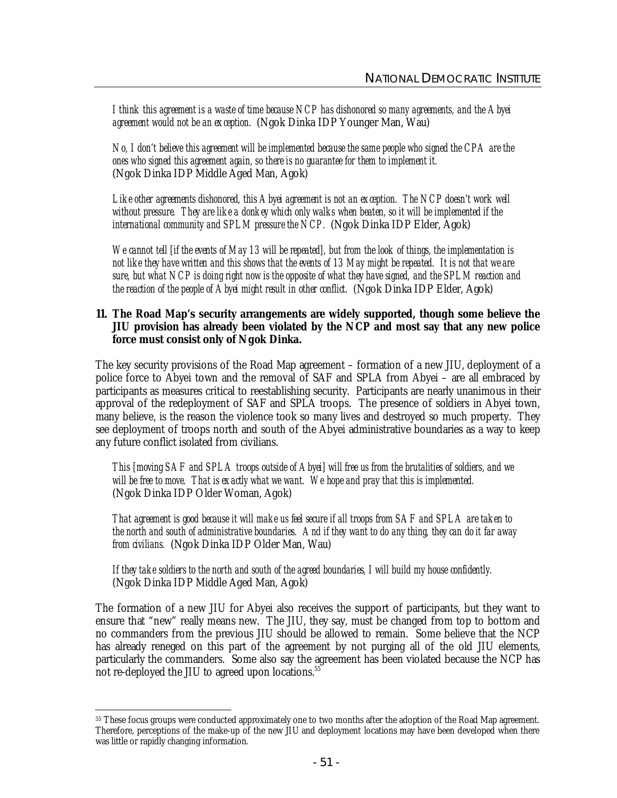*I think this agreement is a waste of time because NCP has dishonored so many agreements, and the Abyei agreement would not be an exception.* (Ngok Dinka IDP Younger Man, Wau)

*No, I don't believe this agreement will be implemented because the same people who signed the CPA are the ones who signed this agreement again, so there is no guarantee for them to implement it.* (Ngok Dinka IDP Middle Aged Man, Agok)

*Like other agreements dishonored, this Abyei agreement is not an exception. The NCP doesn't work well without pressure. They are like a donkey which only walks when beaten, so it will be implemented if the international community and SPLM pressure the NCP.* (Ngok Dinka IDP Elder, Agok)

*We cannot tell [if the events of May 13 will be repeated], but from the look of things, the implementation is not like they have written and this shows that the events of 13 May might be repeated. It is not that we are sure, but what NCP is doing right now is the opposite of what they have signed, and the SPLM reaction and the reaction of the people of Abyei might result in other conflict.* (Ngok Dinka IDP Elder, Agok)

#### **11. The Road Map's security arrangements are widely supported, though some believe the JIU provision has already been violated by the NCP and most say that any new police force must consist only of Ngok Dinka.**

The key security provisions of the Road Map agreement – formation of a new JIU, deployment of a police force to Abyei town and the removal of SAF and SPLA from Abyei – are all embraced by participants as measures critical to reestablishing security. Participants are nearly unanimous in their approval of the redeployment of SAF and SPLA troops. The presence of soldiers in Abyei town, many believe, is the reason the violence took so many lives and destroyed so much property. They see deployment of troops north and south of the Abyei administrative boundaries as a way to keep any future conflict isolated from civilians.

*This [moving SAF and SPLA troops outside of Abyei] will free us from the brutalities of soldiers, and we will be free to move. That is exactly what we want. We hope and pray that this is implemented.* (Ngok Dinka IDP Older Woman, Agok)

*That agreement is good because it will make us feel secure if all troops from SAF and SPLA are taken to the north and south of administrative boundaries. And if they want to do any thing, they can do it far away from civilians.* (Ngok Dinka IDP Older Man, Wau)

*If they take soldiers to the north and south of the agreed boundaries, I will build my house confidently.* (Ngok Dinka IDP Middle Aged Man, Agok)

The formation of a new JIU for Abyei also receives the support of participants, but they want to ensure that "new" really means new. The JIU, they say, must be changed from top to bottom and no commanders from the previous JIU should be allowed to remain. Some believe that the NCP has already reneged on this part of the agreement by not purging all of the old JIU elements, particularly the commanders. Some also say the agreement has been violated because the NCP has not re-deployed the JIU to agreed upon locations.<sup>55</sup>

 <sup>55</sup> These focus groups were conducted approximately one to two months after the adoption of the Road Map agreement. Therefore, perceptions of the make-up of the new JIU and deployment locations may have been developed when there was little or rapidly changing information.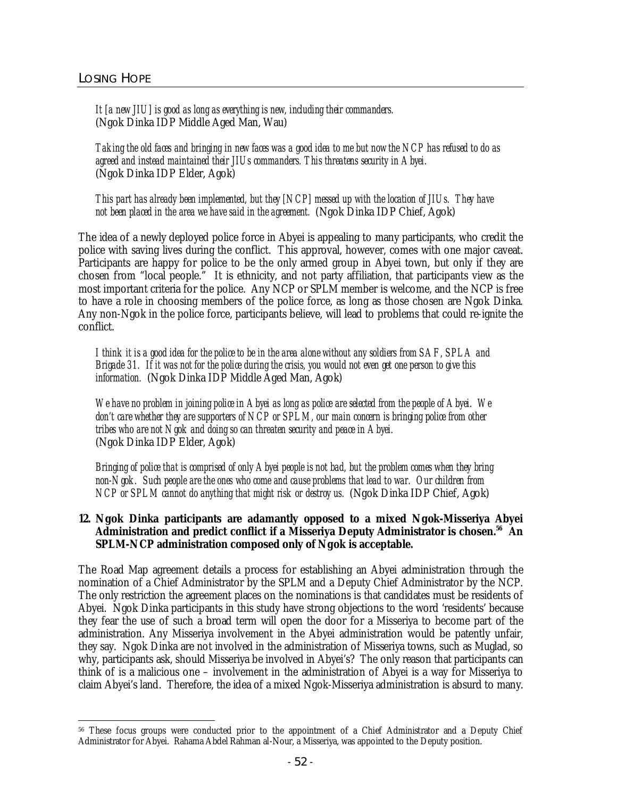*It [a new JIU] is good as long as everything is new, including their commanders.* (Ngok Dinka IDP Middle Aged Man, Wau)

*Taking the old faces and bringing in new faces was a good idea to me but now the NCP has refused to do as agreed and instead maintained their JIUs commanders. This threatens security in Abyei.* (Ngok Dinka IDP Elder, Agok)

*This part has already been implemented, but they [NCP] messed up with the location of JIUs. They have not been placed in the area we have said in the agreement.* (Ngok Dinka IDP Chief, Agok)

The idea of a newly deployed police force in Abyei is appealing to many participants, who credit the police with saving lives during the conflict. This approval, however, comes with one major caveat. Participants are happy for police to be the only armed group in Abyei town, but only if they are chosen from "local people." It is ethnicity, and not party affiliation, that participants view as the most important criteria for the police. Any NCP or SPLM member is welcome, and the NCP is free to have a role in choosing members of the police force, as long as those chosen are Ngok Dinka. Any non-Ngok in the police force, participants believe, will lead to problems that could re-ignite the conflict.

*I think it is a good idea for the police to be in the area alone without any soldiers from SAF, SPLA and Brigade 31. If it was not for the police during the crisis, you would not even get one person to give this information.* (Ngok Dinka IDP Middle Aged Man, Agok)

*We have no problem in joining police in Abyei as long as police are selected from the people of Abyei. We don't care whether they are supporters of NCP or SPLM, our main concern is bringing police from other tribes who are not Ngok and doing so can threaten security and peace in Abyei.* (Ngok Dinka IDP Elder, Agok)

*Bringing of police that is comprised of only Abyei people is not bad, but the problem comes when they bring non-Ngok. Such people are the ones who come and cause problems that lead to war. Our children from NCP or SPLM cannot do anything that might risk or destroy us.* (Ngok Dinka IDP Chief, Agok)

#### **12. Ngok Dinka participants are adamantly opposed to a mixed Ngok-Misseriya Abyei Administration and predict conflict if a Misseriya Deputy Administrator is chosen.<sup>56</sup> An SPLM-NCP administration composed only of Ngok is acceptable.**

The Road Map agreement details a process for establishing an Abyei administration through the nomination of a Chief Administrator by the SPLM and a Deputy Chief Administrator by the NCP. The only restriction the agreement places on the nominations is that candidates must be residents of Abyei. Ngok Dinka participants in this study have strong objections to the word 'residents' because they fear the use of such a broad term will open the door for a Misseriya to become part of the administration. Any Misseriya involvement in the Abyei administration would be patently unfair, they say. Ngok Dinka are not involved in the administration of Misseriya towns, such as Muglad, so why, participants ask, should Misseriya be involved in Abyei's? The only reason that participants can think of is a malicious one – involvement in the administration of Abyei is a way for Misseriya to claim Abyei's land. Therefore, the idea of a mixed Ngok-Misseriya administration is absurd to many.

 $\ddot{\phantom{a}}$ <sup>56</sup> These focus groups were conducted prior to the appointment of a Chief Administrator and a Deputy Chief Administrator for Abyei. Rahama Abdel Rahman al-Nour, a Misseriya, was appointed to the Deputy position.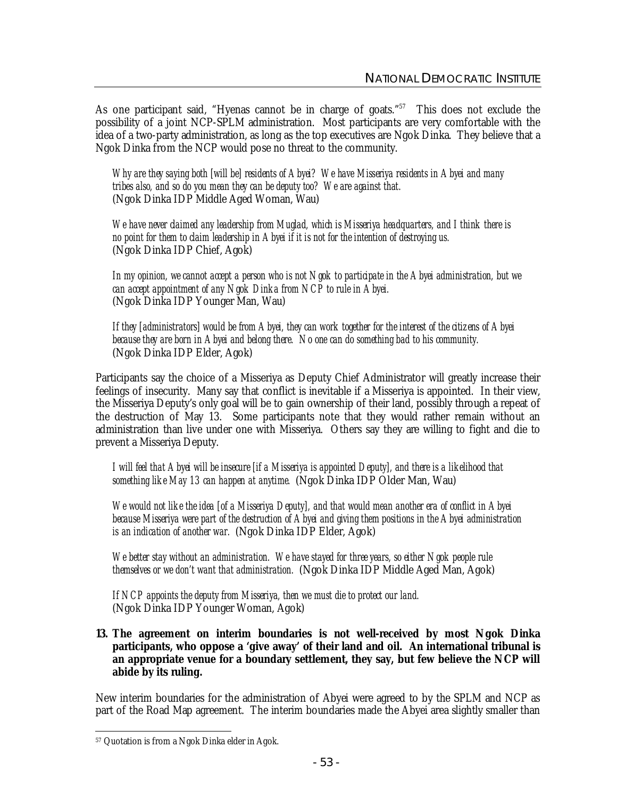As one participant said, "Hyenas cannot be in charge of goats."<sup>57</sup> This does not exclude the possibility of a joint NCP-SPLM administration. Most participants are very comfortable with the idea of a two-party administration, as long as the top executives are Ngok Dinka. They believe that a Ngok Dinka from the NCP would pose no threat to the community.

*Why are they saying both [will be] residents of Abyei? We have Misseriya residents in Abyei and many tribes also, and so do you mean they can be deputy too? We are against that.* (Ngok Dinka IDP Middle Aged Woman, Wau)

*We have never claimed any leadership from Muglad, which is Misseriya headquarters, and I think there is no point for them to claim leadership in Abyei if it is not for the intention of destroying us.* (Ngok Dinka IDP Chief, Agok)

*In my opinion, we cannot accept a person who is not Ngok to participate in the Abyei administration, but we can accept appointment of any Ngok Dinka from NCP to rule in Abyei.* (Ngok Dinka IDP Younger Man, Wau)

*If they [administrators] would be from Abyei, they can work together for the interest of the citizens of Abyei because they are born in Abyei and belong there. No one can do something bad to his community.* (Ngok Dinka IDP Elder, Agok)

Participants say the choice of a Misseriya as Deputy Chief Administrator will greatly increase their feelings of insecurity. Many say that conflict is inevitable if a Misseriya is appointed. In their view, the Misseriya Deputy's only goal will be to gain ownership of their land, possibly through a repeat of the destruction of May 13. Some participants note that they would rather remain without an administration than live under one with Misseriya. Others say they are willing to fight and die to prevent a Misseriya Deputy.

*I will feel that Abyei will be insecure [if a Misseriya is appointed Deputy], and there is a likelihood that something like May 13 can happen at anytime.* (Ngok Dinka IDP Older Man, Wau)

*We would not like the idea [of a Misseriya Deputy], and that would mean another era of conflict in Abyei because Misseriya were part of the destruction of Abyei and giving them positions in the Abyei administration is an indication of another war.* (Ngok Dinka IDP Elder, Agok)

*We better stay without an administration. We have stayed for three years, so either Ngok people rule themselves or we don't want that administration.* (Ngok Dinka IDP Middle Aged Man, Agok)

*If NCP appoints the deputy from Misseriya, then we must die to protect our land.* (Ngok Dinka IDP Younger Woman, Agok)

**13. The agreement on interim boundaries is not well-received by most Ngok Dinka participants, who oppose a 'give away' of their land and oil. An international tribunal is an appropriate venue for a boundary settlement, they say, but few believe the NCP will abide by its ruling.**

New interim boundaries for the administration of Abyei were agreed to by the SPLM and NCP as part of the Road Map agreement. The interim boundaries made the Abyei area slightly smaller than

 $\ddot{\phantom{a}}$ <sup>57</sup> Quotation is from a Ngok Dinka elder in Agok.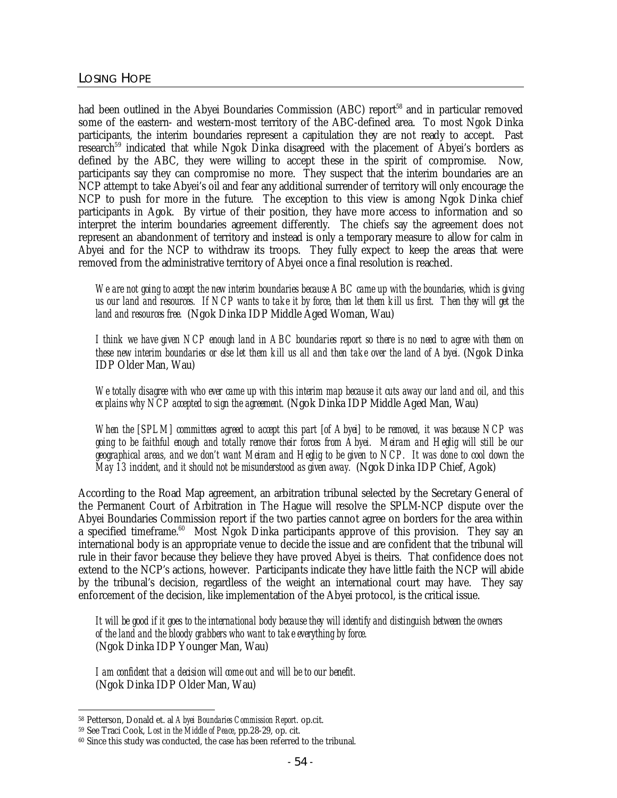had been outlined in the Abyei Boundaries Commission (ABC) report<sup>58</sup> and in particular removed some of the eastern- and western-most territory of the ABC-defined area. To most Ngok Dinka participants, the interim boundaries represent a capitulation they are not ready to accept. Past research<sup>59</sup> indicated that while Ngok Dinka disagreed with the placement of Abyei's borders as defined by the ABC, they were willing to accept these in the spirit of compromise. Now, participants say they can compromise no more. They suspect that the interim boundaries are an NCP attempt to take Abyei's oil and fear any additional surrender of territory will only encourage the NCP to push for more in the future. The exception to this view is among Ngok Dinka chief participants in Agok. By virtue of their position, they have more access to information and so interpret the interim boundaries agreement differently. The chiefs say the agreement does not represent an abandonment of territory and instead is only a temporary measure to allow for calm in Abyei and for the NCP to withdraw its troops. They fully expect to keep the areas that were removed from the administrative territory of Abyei once a final resolution is reached.

*We are not going to accept the new interim boundaries because ABC came up with the boundaries, which is giving*  us our land and resources. If NCP wants to take it by force, then let them kill us first. Then they will get the *land and resources free.* (Ngok Dinka IDP Middle Aged Woman, Wau)

I think we have given NCP enough land in ABC boundaries report so there is no need to agree with them on these new interim boundaries or else let them kill us all and then take over the land of Abyei. (Ngok Dinka IDP Older Man, Wau)

We totally disagree with who ever came up with this interim map because it cuts away our land and oil, and this *explains why NCP accepted to sign the agreement.* (Ngok Dinka IDP Middle Aged Man, Wau)

*When the [SPLM] committees agreed to accept this part [of Abyei] to be removed, it was because NCP was*  going to be faithful enough and totally remove their forces from Abyei. Meiram and Heglig will still be our geographical areas, and we don't want Meiram and Heglig to be given to NCP. It was done to cool down the *May 13 incident, and it should not be misunderstood as given away.* (Ngok Dinka IDP Chief, Agok)

According to the Road Map agreement, an arbitration tribunal selected by the Secretary General of the Permanent Court of Arbitration in The Hague will resolve the SPLM-NCP dispute over the Abyei Boundaries Commission report if the two parties cannot agree on borders for the area within a specified timeframe.<sup>60</sup> Most Ngok Dinka participants approve of this provision. They say an international body is an appropriate venue to decide the issue and are confident that the tribunal will rule in their favor because they believe they have proved Abyei is theirs. That confidence does not extend to the NCP's actions, however. Participants indicate they have little faith the NCP will abide by the tribunal's decision, regardless of the weight an international court may have. They say enforcement of the decision, like implementation of the Abyei protocol, is the critical issue.

*It will be good if it goes to the international body because they will identify and distinguish between the owners of the land and the bloody grabbers who want to take everything by force.* (Ngok Dinka IDP Younger Man, Wau)

*I am confident that a decision will come out and will be to our benefit.* (Ngok Dinka IDP Older Man, Wau)

 $\overline{a}$ <sup>58</sup> Petterson, Donald et. al *Abyei Boundaries Commission Report*. op.cit.

<sup>59</sup> See Traci Cook, *Lost in the Middle of Peace*, pp.28-29, op. cit.

<sup>60</sup> Since this study was conducted, the case has been referred to the tribunal.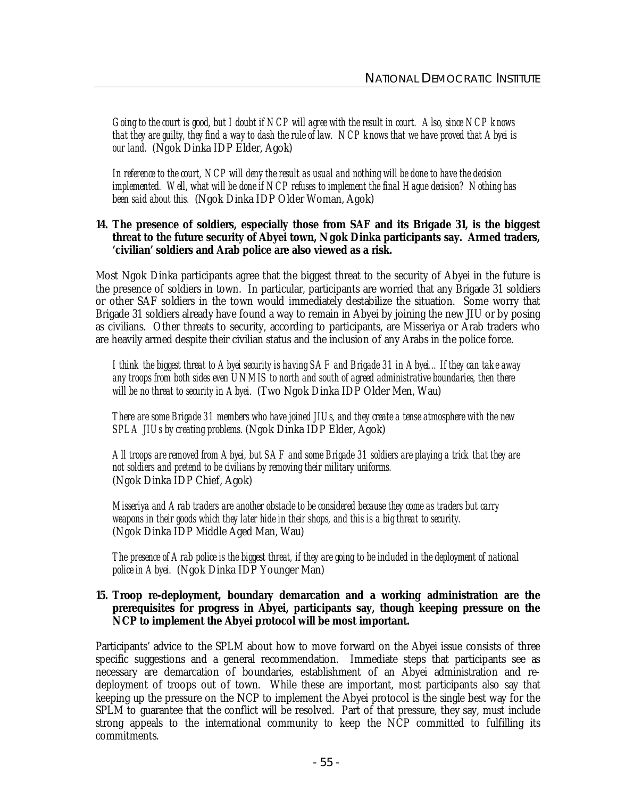*Going to the court is good, but I doubt if NCP will agree with the result in court. Also, since NCP knows that they are guilty, they find a way to dash the rule of law. NCP knows that we have proved that Abyei is our land.* (Ngok Dinka IDP Elder, Agok)

*In reference to the court, NCP will deny the result as usual and nothing will be done to have the decision implemented. Well, what will be done if NCP refuses to implement the final Hague decision? Nothing has been said about this.* (Ngok Dinka IDP Older Woman, Agok)

## **14. The presence of soldiers, especially those from SAF and its Brigade 31, is the biggest threat to the future security of Abyei town, Ngok Dinka participants say. Armed traders, 'civilian' soldiers and Arab police are also viewed as a risk.**

Most Ngok Dinka participants agree that the biggest threat to the security of Abyei in the future is the presence of soldiers in town. In particular, participants are worried that any Brigade 31 soldiers or other SAF soldiers in the town would immediately destabilize the situation. Some worry that Brigade 31 soldiers already have found a way to remain in Abyei by joining the new JIU or by posing as civilians. Other threats to security, according to participants, are Misseriya or Arab traders who are heavily armed despite their civilian status and the inclusion of any Arabs in the police force.

*I think the biggest threat to Abyei security is having SAF and Brigade 31 in Abyei…If they can take away any troops from both sides even UNMIS to north and south of agreed administrative boundaries, then there will be no threat to security in Abyei.* (Two Ngok Dinka IDP Older Men, Wau)

*There are some Brigade 31 members who have joined JIUs, and they create a tense atmosphere with the new SPLA JIUs by creating problems.* (Ngok Dinka IDP Elder, Agok)

*All troops are removed from Abyei, but SAF and some Brigade 31 soldiers are playing a trick that they are not soldiers and pretend to be civilians by removing their military uniforms.* (Ngok Dinka IDP Chief, Agok)

*Misseriya and Arab traders are another obstacle to be considered because they come as traders but carry weapons in their goods which they later hide in their shops, and this is a big threat to security.* (Ngok Dinka IDP Middle Aged Man, Wau)

*The presence of Arab police is the biggest threat, if they are going to be included in the deployment of national police in Abyei.* (Ngok Dinka IDP Younger Man)

#### **15. Troop re-deployment, boundary demarcation and a working administration are the prerequisites for progress in Abyei, participants say, though keeping pressure on the NCP to implement the Abyei protocol will be most important.**

Participants' advice to the SPLM about how to move forward on the Abyei issue consists of three specific suggestions and a general recommendation. Immediate steps that participants see as necessary are demarcation of boundaries, establishment of an Abyei administration and redeployment of troops out of town. While these are important, most participants also say that keeping up the pressure on the NCP to implement the Abyei protocol is the single best way for the SPLM to guarantee that the conflict will be resolved. Part of that pressure, they say, must include strong appeals to the international community to keep the NCP committed to fulfilling its commitments.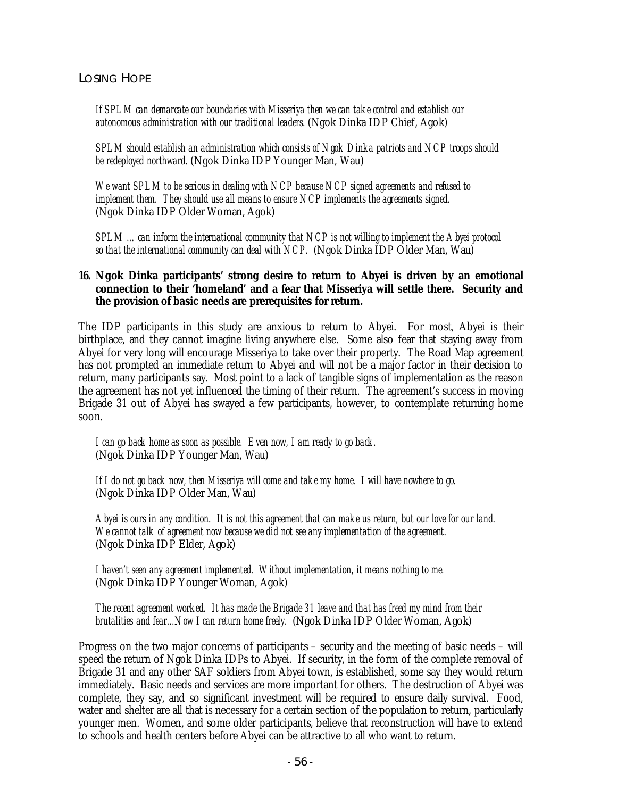*If SPLM can demarcate our boundaries with Misseriya then we can take control and establish our autonomous administration with our traditional leaders.* (Ngok Dinka IDP Chief, Agok)

*SPLM should establish an administration which consists of Ngok Dinka patriots and NCP troops should be redeployed northward.* (Ngok Dinka IDP Younger Man, Wau)

*We want SPLM to be serious in dealing with NCP because NCP signed agreements and refused to implement them. They should use all means to ensure NCP implements the agreements signed.* (Ngok Dinka IDP Older Woman, Agok)

*SPLM …can inform the international community that NCP is not willing to implement the Abyei protocol so that the international community can deal with NCP.* (Ngok Dinka IDP Older Man, Wau)

## **16. Ngok Dinka participants' strong desire to return to Abyei is driven by an emotional connection to their 'homeland' and a fear that Misseriya will settle there. Security and the provision of basic needs are prerequisites for return.**

The IDP participants in this study are anxious to return to Abyei. For most, Abyei is their birthplace, and they cannot imagine living anywhere else. Some also fear that staying away from Abyei for very long will encourage Misseriya to take over their property. The Road Map agreement has not prompted an immediate return to Abyei and will not be a major factor in their decision to return, many participants say. Most point to a lack of tangible signs of implementation as the reason the agreement has not yet influenced the timing of their return. The agreement's success in moving Brigade 31 out of Abyei has swayed a few participants, however, to contemplate returning home soon.

*I can go back home as soon as possible. Even now, I am ready to go back.* (Ngok Dinka IDP Younger Man, Wau)

*If I do not go back now, then Misseriya will come and take my home. I will have nowhere to go.* (Ngok Dinka IDP Older Man, Wau)

*Abyei is ours in any condition. It is not this agreement that can make us return, but our love for our land. We cannot talk of agreement now because we did not see any implementation of the agreement.* (Ngok Dinka IDP Elder, Agok)

*I haven't seen any agreement implemented. Without implementation, it means nothing to me.* (Ngok Dinka IDP Younger Woman, Agok)

*The recent agreement worked. It has made the Brigade 31 leave and that has freed my mind from their brutalities and fear...Now I can return home freely.* (Ngok Dinka IDP Older Woman, Agok)

Progress on the two major concerns of participants – security and the meeting of basic needs – will speed the return of Ngok Dinka IDPs to Abyei. If security, in the form of the complete removal of Brigade 31 and any other SAF soldiers from Abyei town, is established, some say they would return immediately. Basic needs and services are more important for others. The destruction of Abyei was complete, they say, and so significant investment will be required to ensure daily survival. Food, water and shelter are all that is necessary for a certain section of the population to return, particularly younger men. Women, and some older participants, believe that reconstruction will have to extend to schools and health centers before Abyei can be attractive to all who want to return.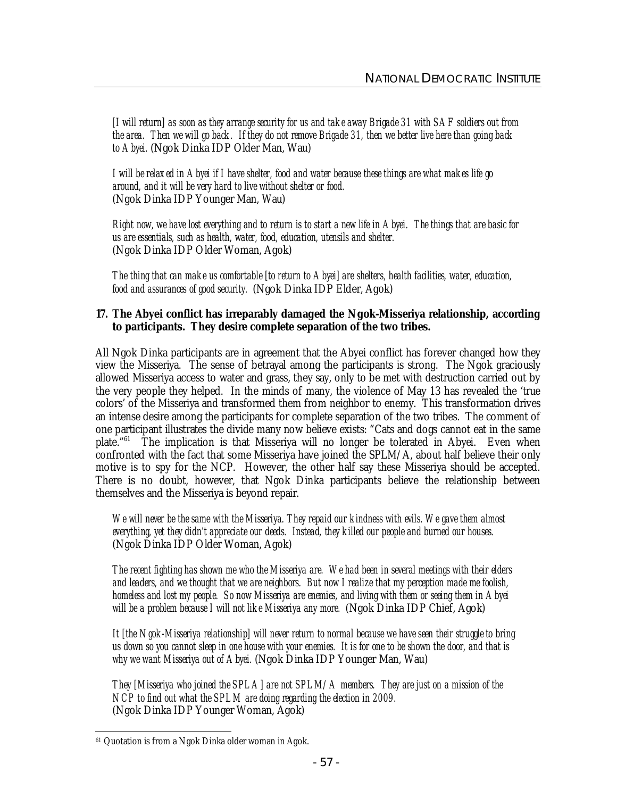[I will return] as soon as they arrange security for us and take away Brigade 31 with SAF soldiers out from *the area. Then we will go back. If they do not remove Brigade 31, then we better live here than going back to Abyei.* (Ngok Dinka IDP Older Man, Wau)

*I will be relaxed in Abyei if I have shelter, food and water because these things are what makes life go around, and it will be very hard to live without shelter or food.* (Ngok Dinka IDP Younger Man, Wau)

Right now, we have lost everything and to return is to start a new life in Abyei. The things that are basic for *us are essentials, such as health, water, food, education, utensils and shelter.* (Ngok Dinka IDP Older Woman, Agok)

*The thing that can make us comfortable [to return to Abyei] are shelters, health facilities, water, education, food and assurances of good security.* (Ngok Dinka IDP Elder, Agok)

## **17. The Abyei conflict has irreparably damaged the Ngok-Misseriya relationship, according to participants. They desire complete separation of the two tribes.**

All Ngok Dinka participants are in agreement that the Abyei conflict has forever changed how they view the Misseriya. The sense of betrayal among the participants is strong. The Ngok graciously allowed Misseriya access to water and grass, they say, only to be met with destruction carried out by the very people they helped. In the minds of many, the violence of May 13 has revealed the 'true colors' of the Misseriya and transformed them from neighbor to enemy. This transformation drives an intense desire among the participants for complete separation of the two tribes. The comment of one participant illustrates the divide many now believe exists: "Cats and dogs cannot eat in the same plate."<sup>61</sup> The implication is that Misseriya will no longer be tolerated in Abyei. Even when confronted with the fact that some Misseriya have joined the SPLM/A, about half believe their only motive is to spy for the NCP. However, the other half say these Misseriya should be accepted. There is no doubt, however, that Ngok Dinka participants believe the relationship between themselves and the Misseriya is beyond repair.

*We will never be the same with the Misseriya. They repaid our kindness with evils. We gave them almost everything, yet they didn't appreciate our deeds. Instead, they killed our people and burned our houses.* (Ngok Dinka IDP Older Woman, Agok)

*The recent fighting has shown me who the Misseriya are. We had been in several meetings with their elders and leaders, and we thought that we are neighbors. But now I realize that my perception made me foolish, homeless and lost my people. So now Misseriya are enemies, and living with them or seeing them in Abyei will be a problem because I will not like Misseriya any more.* (Ngok Dinka IDP Chief, Agok)

*It [the Ngok-Misseriya relationship] will never return to normal because we have seen their struggle to bring us down so you cannot sleep in one house with your enemies. It is for one to be shown the door, and that is why we want Misseriya out of Abyei.* (Ngok Dinka IDP Younger Man, Wau)

*They [Misseriya who joined the SPLA] are not SPLM/A members. They are just on a mission of the NCP to find out what the SPLM are doing regarding the election in 2009.* (Ngok Dinka IDP Younger Woman, Agok)

 $\ddot{\phantom{a}}$ <sup>61</sup> Quotation is from a Ngok Dinka older woman in Agok.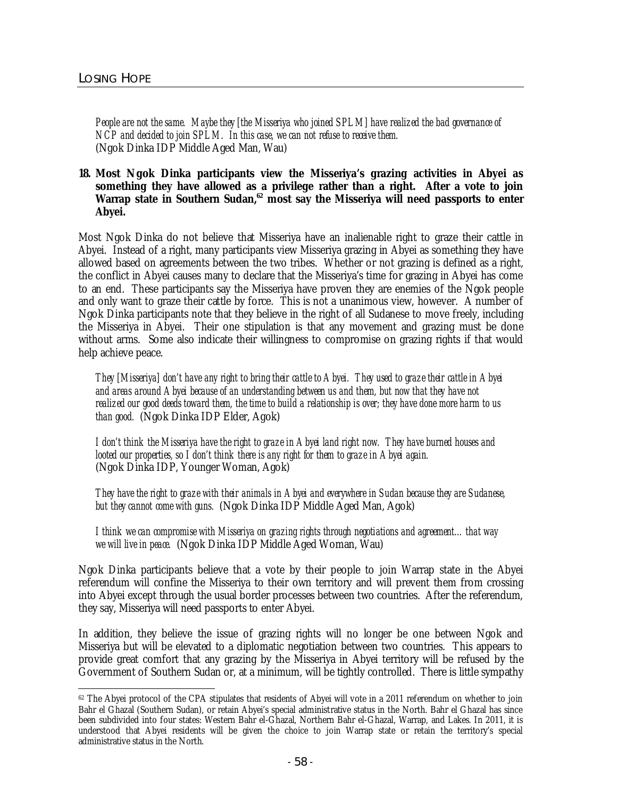*People are not the same. Maybe they [the Misseriya who joined SPLM] have realized the bad governance of NCP and decided to join SPLM. In this case, we can not refuse to receive them.* (Ngok Dinka IDP Middle Aged Man, Wau)

#### **18. Most Ngok Dinka participants view the Misseriya's grazing activities in Abyei as something they have allowed as a privilege rather than a right. After a vote to join Warrap state in Southern Sudan,<sup>62</sup> most say the Misseriya will need passports to enter Abyei.**

Most Ngok Dinka do not believe that Misseriya have an inalienable right to graze their cattle in Abyei. Instead of a right, many participants view Misseriya grazing in Abyei as something they have allowed based on agreements between the two tribes. Whether or not grazing is defined as a right, the conflict in Abyei causes many to declare that the Misseriya's time for grazing in Abyei has come to an end. These participants say the Misseriya have proven they are enemies of the Ngok people and only want to graze their cattle by force. This is not a unanimous view, however. A number of Ngok Dinka participants note that they believe in the right of all Sudanese to move freely, including the Misseriya in Abyei. Their one stipulation is that any movement and grazing must be done without arms. Some also indicate their willingness to compromise on grazing rights if that would help achieve peace.

*They [Misseriya] don't have any right to bring their cattle to Abyei. They used to graze their cattle in Abyei and areas around Abyei because of an understanding between us and them, but now that they have not realized our good deeds toward them, the time to build a relationship is over; they have done more harm to us than good.* (Ngok Dinka IDP Elder, Agok)

*I don't think the Misseriya have the right to graze in Abyei land right now. They have burned houses and looted our properties, so I don't think there is any right for them to graze in Abyei again.* (Ngok Dinka IDP, Younger Woman, Agok)

*They have the right to graze with their animals in Abyei and everywhere in Sudan because they are Sudanese, but they cannot come with guns.* (Ngok Dinka IDP Middle Aged Man, Agok)

*I think we can compromise with Misseriya on grazing rights through negotiations and agreement…that way we will live in peace.* (Ngok Dinka IDP Middle Aged Woman, Wau)

Ngok Dinka participants believe that a vote by their people to join Warrap state in the Abyei referendum will confine the Misseriya to their own territory and will prevent them from crossing into Abyei except through the usual border processes between two countries. After the referendum, they say, Misseriya will need passports to enter Abyei.

In addition, they believe the issue of grazing rights will no longer be one between Ngok and Misseriya but will be elevated to a diplomatic negotiation between two countries. This appears to provide great comfort that any grazing by the Misseriya in Abyei territory will be refused by the Government of Southern Sudan or, at a minimum, will be tightly controlled. There is little sympathy

 $\ddot{\phantom{a}}$ <sup>62</sup> The Abyei protocol of the CPA stipulates that residents of Abyei will vote in a 2011 referendum on whether to join Bahr el Ghazal (Southern Sudan), or retain Abyei's special administrative status in the North. Bahr el Ghazal has since been subdivided into four states: Western Bahr el-Ghazal, Northern Bahr el-Ghazal, Warrap, and Lakes. In 2011, it is understood that Abyei residents will be given the choice to join Warrap state or retain the territory's special administrative status in the North.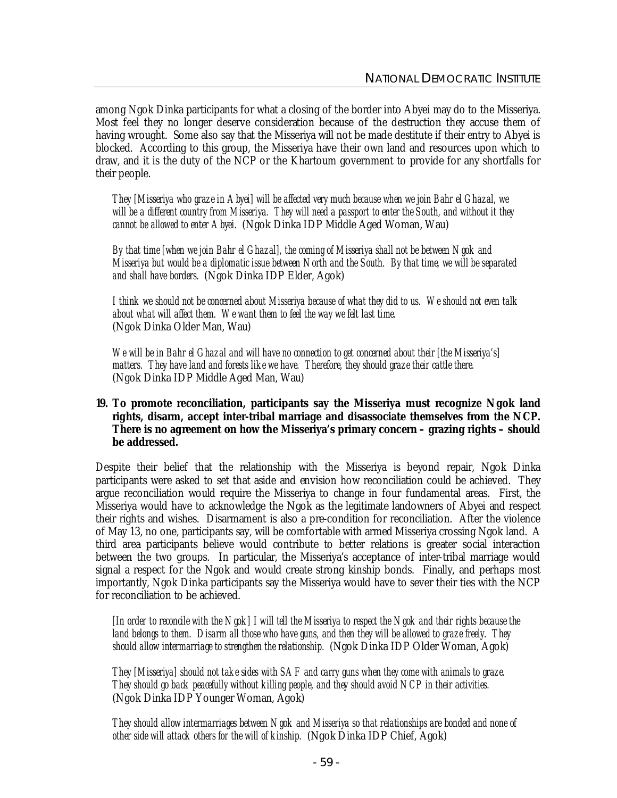among Ngok Dinka participants for what a closing of the border into Abyei may do to the Misseriya. Most feel they no longer deserve consideration because of the destruction they accuse them of having wrought. Some also say that the Misseriya will not be made destitute if their entry to Abyei is blocked. According to this group, the Misseriya have their own land and resources upon which to draw, and it is the duty of the NCP or the Khartoum government to provide for any shortfalls for their people.

*They [Misseriya who graze in Abyei] will be affected very much because when we join Bahr el Ghazal, we will be a different country from Misseriya. They will need a passport to enter the South, and without it they cannot be allowed to enter Abyei.* (Ngok Dinka IDP Middle Aged Woman, Wau)

*By that time [when we join Bahr el Ghazal], the coming of Misseriya shall not be between Ngok and Misseriya but would be a diplomatic issue between North and the South. By that time, we will be separated and shall have borders.* (Ngok Dinka IDP Elder, Agok)

*I think we should not be concerned about Misseriya because of what they did to us. We should not even talk about what will affect them. We want them to feel the way we felt last time.* (Ngok Dinka Older Man, Wau)

*We will be in Bahr el Ghazal and will have no connection to get concerned about their [the Misseriya's] matters. They have land and forests like we have. Therefore, they should graze their cattle there.* (Ngok Dinka IDP Middle Aged Man, Wau)

## **19. To promote reconciliation, participants say the Misseriya must recognize Ngok land rights, disarm, accept inter-tribal marriage and disassociate themselves from the NCP. There is no agreement on how the Misseriya's primary concern – grazing rights – should be addressed.**

Despite their belief that the relationship with the Misseriya is beyond repair, Ngok Dinka participants were asked to set that aside and envision how reconciliation could be achieved. They argue reconciliation would require the Misseriya to change in four fundamental areas. First, the Misseriya would have to acknowledge the Ngok as the legitimate landowners of Abyei and respect their rights and wishes. Disarmament is also a pre-condition for reconciliation. After the violence of May 13, no one, participants say, will be comfortable with armed Misseriya crossing Ngok land. A third area participants believe would contribute to better relations is greater social interaction between the two groups. In particular, the Misseriya's acceptance of inter-tribal marriage would signal a respect for the Ngok and would create strong kinship bonds. Finally, and perhaps most importantly, Ngok Dinka participants say the Misseriya would have to sever their ties with the NCP for reconciliation to be achieved.

*[In order to reconcile with the Ngok] I will tell the Misseriya to respect the Ngok and their rights because the land belongs to them. Disarm all those who have guns, and then they will be allowed to graze freely. They should allow intermarriage to strengthen the relationship.* (Ngok Dinka IDP Older Woman, Agok)

*They [Misseriya] should not take sides with SAF and carry guns when they come with animals to graze. They should go back peacefully without killing people, and they should avoid NCP in their activities.* (Ngok Dinka IDP Younger Woman, Agok)

*They should allow intermarriages between Ngok and Misseriya so that relationships are bonded and none of other side will attack others for the will of kinship.* (Ngok Dinka IDP Chief, Agok)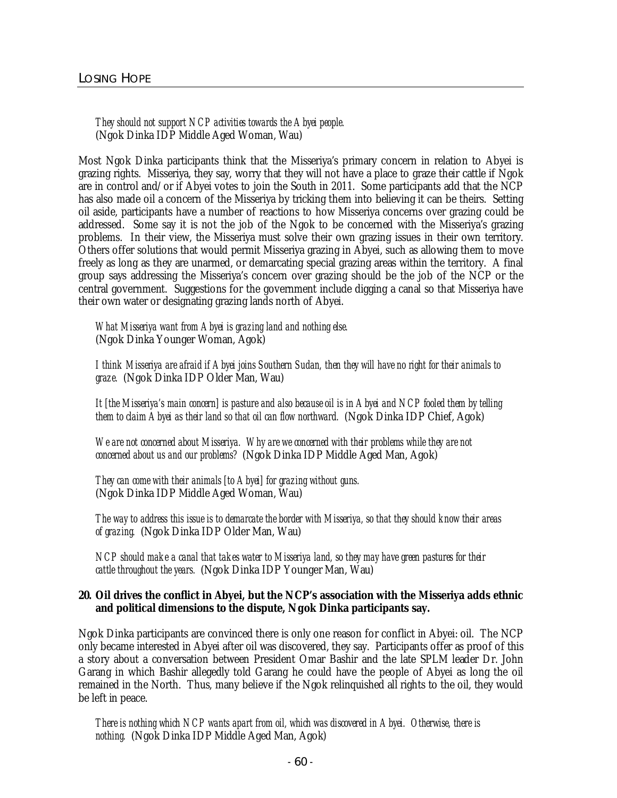## *They should not support NCP activities towards the Abyei people.* (Ngok Dinka IDP Middle Aged Woman, Wau)

Most Ngok Dinka participants think that the Misseriya's primary concern in relation to Abyei is grazing rights. Misseriya, they say, worry that they will not have a place to graze their cattle if Ngok are in control and/or if Abyei votes to join the South in 2011. Some participants add that the NCP has also made oil a concern of the Misseriya by tricking them into believing it can be theirs. Setting oil aside, participants have a number of reactions to how Misseriya concerns over grazing could be addressed. Some say it is not the job of the Ngok to be concerned with the Misseriya's grazing problems. In their view, the Misseriya must solve their own grazing issues in their own territory. Others offer solutions that would permit Misseriya grazing in Abyei, such as allowing them to move freely as long as they are unarmed, or demarcating special grazing areas within the territory. A final group says addressing the Misseriya's concern over grazing should be the job of the NCP or the central government. Suggestions for the government include digging a canal so that Misseriya have their own water or designating grazing lands north of Abyei.

*What Misseriya want from Abyei is grazing land and nothing else.*

(Ngok Dinka Younger Woman, Agok)

*I think Misseriya are afraid if Abyei joins Southern Sudan, then they will have no right for their animals to graze.* (Ngok Dinka IDP Older Man, Wau)

*It [the Misseriya's main concern] is pasture and also because oil is in Abyei and NCP fooled them by telling them to claim Abyei as their land so that oil can flow northward.* (Ngok Dinka IDP Chief, Agok)

*We are not concerned about Misseriya. Why are we concerned with their problems while they are not concerned about us and our problems?* (Ngok Dinka IDP Middle Aged Man, Agok)

*They can come with their animals [to Abyei] for grazing without guns.* (Ngok Dinka IDP Middle Aged Woman, Wau)

*The way to address this issue is to demarcate the border with Misseriya, so that they should know their areas of grazing.* (Ngok Dinka IDP Older Man, Wau)

*NCP should make a canal that takes water to Misseriya land, so they may have green pastures for their cattle throughout the years.* (Ngok Dinka IDP Younger Man, Wau)

#### **20. Oil drives the conflict in Abyei, but the NCP's association with the Misseriya adds ethnic and political dimensions to the dispute, Ngok Dinka participants say.**

Ngok Dinka participants are convinced there is only one reason for conflict in Abyei: oil. The NCP only became interested in Abyei after oil was discovered, they say. Participants offer as proof of this a story about a conversation between President Omar Bashir and the late SPLM leader Dr. John Garang in which Bashir allegedly told Garang he could have the people of Abyei as long the oil remained in the North. Thus, many believe if the Ngok relinquished all rights to the oil, they would be left in peace.

*There is nothing which NCP wants apart from oil, which was discovered in Abyei. Otherwise, there is nothing.* (Ngok Dinka IDP Middle Aged Man, Agok)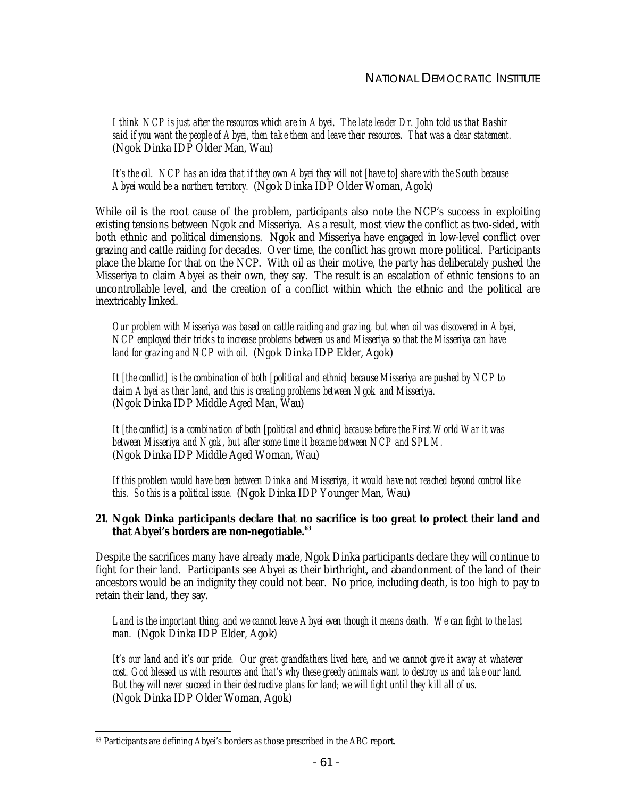*I think NCP is just after the resources which are in Abyei. The late leader Dr. John told us that Bashir said if you want the people of Abyei, then take them and leave their resources. That was a clear statement.* (Ngok Dinka IDP Older Man, Wau)

*It's the oil. NCP has an idea that if they own Abyei they will not [have to] share with the South because Abyei would be a northern territory.* (Ngok Dinka IDP Older Woman, Agok)

While oil is the root cause of the problem, participants also note the NCP's success in exploiting existing tensions between Ngok and Misseriya. As a result, most view the conflict as two-sided, with both ethnic and political dimensions. Ngok and Misseriya have engaged in low-level conflict over grazing and cattle raiding for decades. Over time, the conflict has grown more political. Participants place the blame for that on the NCP. With oil as their motive, the party has deliberately pushed the Misseriya to claim Abyei as their own, they say. The result is an escalation of ethnic tensions to an uncontrollable level, and the creation of a conflict within which the ethnic and the political are inextricably linked.

*Our problem with Misseriya was based on cattle raiding and grazing, but when oil was discovered in Abyei, NCP employed their tricks to increase problems between us and Misseriya so that the Misseriya can have land for grazing and NCP with oil.* (Ngok Dinka IDP Elder, Agok)

*It [the conflict] is the combination of both [political and ethnic] because Misseriya are pushed by NCP to claim Abyei as their land, and this is creating problems between Ngok and Misseriya.* (Ngok Dinka IDP Middle Aged Man, Wau)

*It [the conflict] is a combination of both [political and ethnic] because before the First World War it was between Misseriya and Ngok, but after some time it became between NCP and SPLM.* (Ngok Dinka IDP Middle Aged Woman, Wau)

*If this problem would have been between Dinka and Misseriya, it would have not reached beyond control like this. So this is a political issue.* (Ngok Dinka IDP Younger Man, Wau)

#### **21. Ngok Dinka participants declare that no sacrifice is too great to protect their land and that Abyei's borders are non-negotiable.<sup>63</sup>**

Despite the sacrifices many have already made, Ngok Dinka participants declare they will continue to fight for their land. Participants see Abyei as their birthright, and abandonment of the land of their ancestors would be an indignity they could not bear. No price, including death, is too high to pay to retain their land, they say.

*Land is the important thing, and we cannot leave Abyei even though it means death. We can fight to the last man.* (Ngok Dinka IDP Elder, Agok)

It's our land and it's our pride. Our great grandfathers lived here, and we cannot give it away at whatever *cost. God blessed us with resources and that's why these greedy animals want to destroy us and take our land. But they will never succeed in their destructive plans for land; we will fight until they kill all of us.* (Ngok Dinka IDP Older Woman, Agok)

 $\ddot{\phantom{a}}$ <sup>63</sup> Participants are defining Abyei's borders as those prescribed in the ABC report.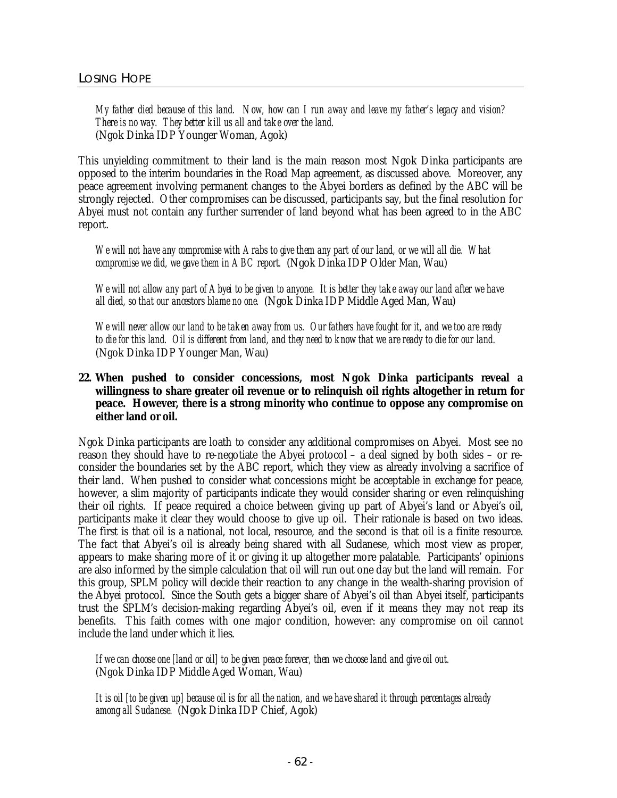My father died because of this land. Now, how can I run away and leave my father's legacy and vision? *There is no way. They better kill us all and take over the land.* (Ngok Dinka IDP Younger Woman, Agok)

This unyielding commitment to their land is the main reason most Ngok Dinka participants are opposed to the interim boundaries in the Road Map agreement, as discussed above. Moreover, any peace agreement involving permanent changes to the Abyei borders as defined by the ABC will be strongly rejected. Other compromises can be discussed, participants say, but the final resolution for Abyei must not contain any further surrender of land beyond what has been agreed to in the ABC report.

*We will not have any compromise with Arabs to give them any part of our land, or we will all die. What compromise we did, we gave them in ABC report.* (Ngok Dinka IDP Older Man, Wau)

*We will not allow any part of Abyei to be given to anyone. It is better they take away our land after we have all died, so that our ancestors blame no one.* (Ngok Dinka IDP Middle Aged Man, Wau)

We will never allow our land to be taken away from us. Our fathers have fought for it, and we too are ready *to die for this land. Oil is different from land, and they need to know that we are ready to die for our land.* (Ngok Dinka IDP Younger Man, Wau)

**22. When pushed to consider concessions, most Ngok Dinka participants reveal a willingness to share greater oil revenue or to relinquish oil rights altogether in return for peace. However, there is a strong minority who continue to oppose any compromise on either land or oil.** 

Ngok Dinka participants are loath to consider any additional compromises on Abyei. Most see no reason they should have to re-negotiate the Abyei protocol – a deal signed by both sides – or reconsider the boundaries set by the ABC report, which they view as already involving a sacrifice of their land. When pushed to consider what concessions might be acceptable in exchange for peace, however, a slim majority of participants indicate they would consider sharing or even relinquishing their oil rights. If peace required a choice between giving up part of Abyei's land or Abyei's oil, participants make it clear they would choose to give up oil. Their rationale is based on two ideas. The first is that oil is a national, not local, resource, and the second is that oil is a finite resource. The fact that Abyei's oil is already being shared with all Sudanese, which most view as proper, appears to make sharing more of it or giving it up altogether more palatable. Participants' opinions are also informed by the simple calculation that oil will run out one day but the land will remain. For this group, SPLM policy will decide their reaction to any change in the wealth-sharing provision of the Abyei protocol. Since the South gets a bigger share of Abyei's oil than Abyei itself, participants trust the SPLM's decision-making regarding Abyei's oil, even if it means they may not reap its benefits. This faith comes with one major condition, however: any compromise on oil cannot include the land under which it lies.

*If we can choose one [land or oil] to be given peace forever, then we choose land and give oil out.* (Ngok Dinka IDP Middle Aged Woman, Wau)

*It is oil [to be given up] because oil is for all the nation, and we have shared it through percentages already among all Sudanese.* (Ngok Dinka IDP Chief, Agok)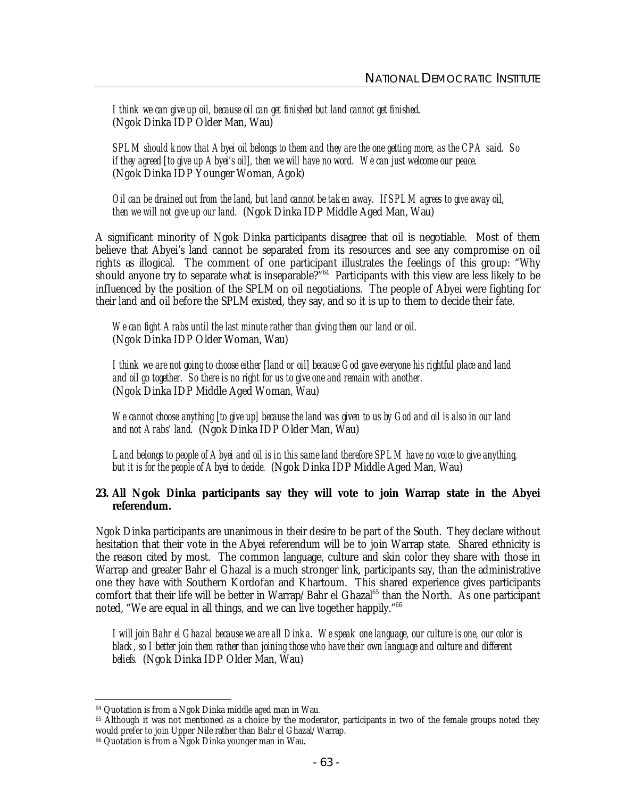*I think we can give up oil, because oil can get finished but land cannot get finished*. (Ngok Dinka IDP Older Man, Wau)

*SPLM should know that Abyei oil belongs to them and they are the one getting more, as the CPA said. So if they agreed [to give up Abyei's oil], then we will have no word. We can just welcome our peace.* (Ngok Dinka IDP Younger Woman, Agok)

*Oil can be drained out from the land, but land cannot be taken away. If SPLM agrees to give away oil, then we will not give up our land.* (Ngok Dinka IDP Middle Aged Man, Wau)

A significant minority of Ngok Dinka participants disagree that oil is negotiable. Most of them believe that Abyei's land cannot be separated from its resources and see any compromise on oil rights as illogical. The comment of one participant illustrates the feelings of this group: "Why should anyone try to separate what is inseparable?<sup>764</sup> Participants with this view are less likely to be influenced by the position of the SPLM on oil negotiations. The people of Abyei were fighting for their land and oil before the SPLM existed, they say, and so it is up to them to decide their fate.

*We can fight Arabs until the last minute rather than giving them our land or oil.* (Ngok Dinka IDP Older Woman, Wau)

*I think we are not going to choose either [land or oil] because God gave everyone his rightful place and land and oil go together. So there is no right for us to give one and remain with another.* (Ngok Dinka IDP Middle Aged Woman, Wau)

*We cannot choose anything [to give up] because the land was given to us by God and oil is also in our land and not Arabs' land.* (Ngok Dinka IDP Older Man, Wau)

*Land belongs to people of Abyei and oil is in this same land therefore SPLM have no voice to give anything, but it is for the people of Abyei to decide.* (Ngok Dinka IDP Middle Aged Man, Wau)

**23. All Ngok Dinka participants say they will vote to join Warrap state in the Abyei referendum.**

Ngok Dinka participants are unanimous in their desire to be part of the South. They declare without hesitation that their vote in the Abyei referendum will be to join Warrap state. Shared ethnicity is the reason cited by most. The common language, culture and skin color they share with those in Warrap and greater Bahr el Ghazal is a much stronger link, participants say, than the administrative one they have with Southern Kordofan and Khartoum. This shared experience gives participants comfort that their life will be better in Warrap/Bahr el Ghazal<sup>65</sup> than the North. As one participant noted, "We are equal in all things, and we can live together happily." 66

*I will join Bahr el Ghazal because we are all Dinka. We speak one language, our culture is one, our color is black, so I better join them rather than joining those who have their own language and culture and different beliefs.* (Ngok Dinka IDP Older Man, Wau)

 $\ddot{\phantom{a}}$ 

<sup>64</sup> Quotation is from a Ngok Dinka middle aged man in Wau.

<sup>&</sup>lt;sup>65</sup> Although it was not mentioned as a choice by the moderator, participants in two of the female groups noted they would prefer to join Upper Nile rather than Bahr el Ghazal/Warrap.

<sup>66</sup> Quotation is from a Ngok Dinka younger man in Wau.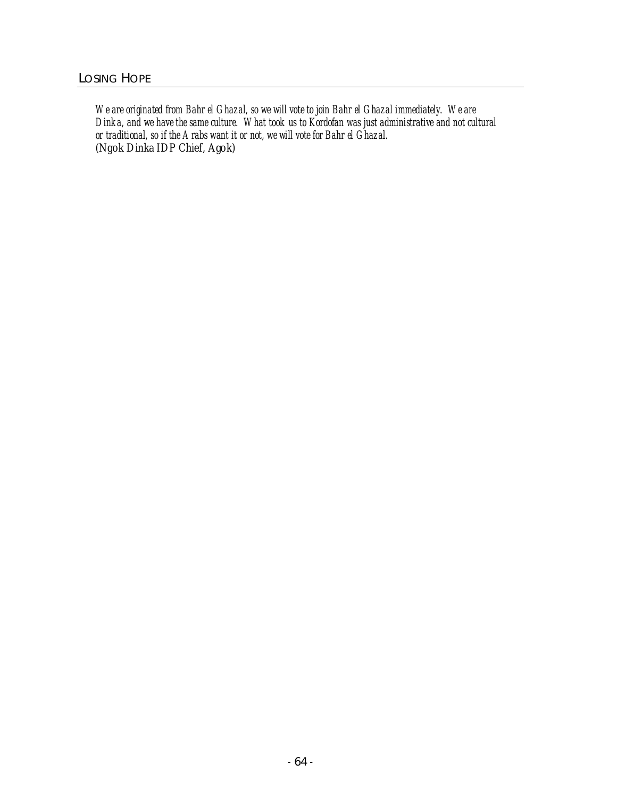*We are originated from Bahr el Ghazal, so we will vote to join Bahr el Ghazal immediately. We are Dinka, and we have the same culture. What took us to Kordofan was just administrative and not cultural or traditional, so if the Arabs want it or not, we will vote for Bahr el Ghazal.* (Ngok Dinka IDP Chief, Agok)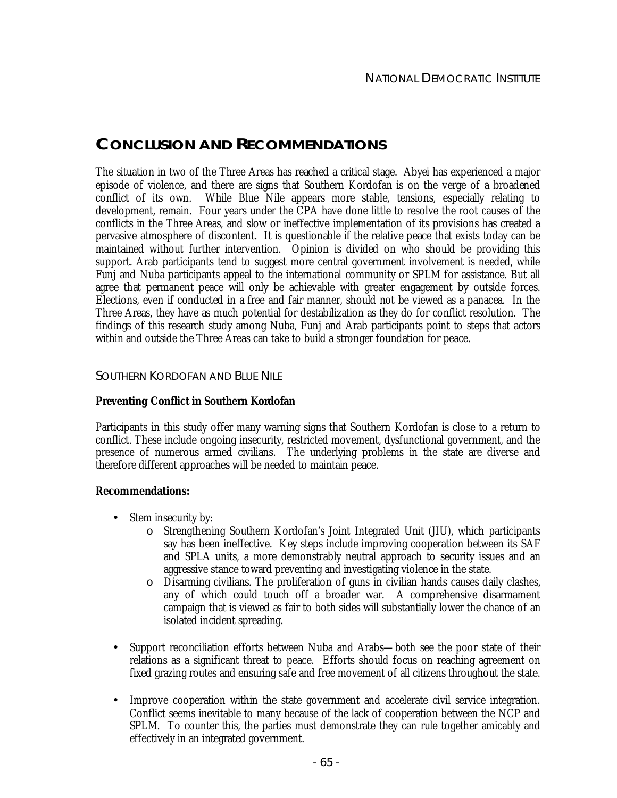# **CONCLUSION AND RECOMMENDATIONS**

The situation in two of the Three Areas has reached a critical stage. Abyei has experienced a major episode of violence, and there are signs that Southern Kordofan is on the verge of a broadened conflict of its own. While Blue Nile appears more stable, tensions, especially relating to development, remain. Four years under the CPA have done little to resolve the root causes of the conflicts in the Three Areas, and slow or ineffective implementation of its provisions has created a pervasive atmosphere of discontent. It is questionable if the relative peace that exists today can be maintained without further intervention. Opinion is divided on who should be providing this support. Arab participants tend to suggest more central government involvement is needed, while Funj and Nuba participants appeal to the international community or SPLM for assistance. But all agree that permanent peace will only be achievable with greater engagement by outside forces. Elections, even if conducted in a free and fair manner, should not be viewed as a panacea. In the Three Areas, they have as much potential for destabilization as they do for conflict resolution. The findings of this research study among Nuba, Funj and Arab participants point to steps that actors within and outside the Three Areas can take to build a stronger foundation for peace.

# SOUTHERN KORDOFAN AND BLUE NILE

# **Preventing Conflict in Southern Kordofan**

Participants in this study offer many warning signs that Southern Kordofan is close to a return to conflict. These include ongoing insecurity, restricted movement, dysfunctional government, and the presence of numerous armed civilians. The underlying problems in the state are diverse and therefore different approaches will be needed to maintain peace.

#### **Recommendations:**

- Stem insecurity by:
	- o Strengthening Southern Kordofan's Joint Integrated Unit (JIU), which participants say has been ineffective. Key steps include improving cooperation between its SAF and SPLA units, a more demonstrably neutral approach to security issues and an aggressive stance toward preventing and investigating violence in the state.
	- Disarming civilians. The proliferation of guns in civilian hands causes daily clashes, any of which could touch off a broader war. A comprehensive disarmament campaign that is viewed as fair to both sides will substantially lower the chance of an isolated incident spreading.
- Support reconciliation efforts between Nuba and Arabs—both see the poor state of their relations as a significant threat to peace. Efforts should focus on reaching agreement on fixed grazing routes and ensuring safe and free movement of all citizens throughout the state.
- Improve cooperation within the state government and accelerate civil service integration. Conflict seems inevitable to many because of the lack of cooperation between the NCP and SPLM. To counter this, the parties must demonstrate they can rule together amicably and effectively in an integrated government.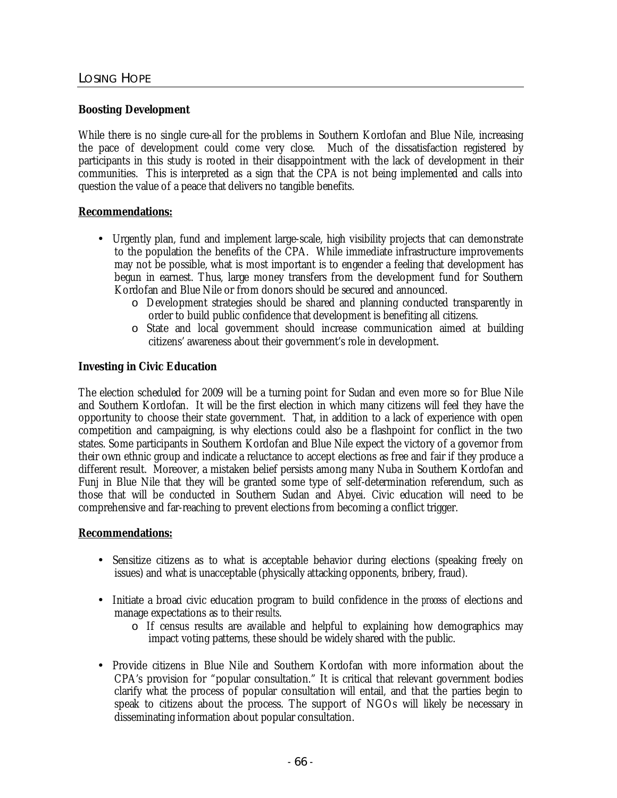## **Boosting Development**

While there is no single cure-all for the problems in Southern Kordofan and Blue Nile, increasing the pace of development could come very close. Much of the dissatisfaction registered by participants in this study is rooted in their disappointment with the lack of development in their communities. This is interpreted as a sign that the CPA is not being implemented and calls into question the value of a peace that delivers no tangible benefits.

## **Recommendations:**

- Urgently plan, fund and implement large-scale, high visibility projects that can demonstrate to the population the benefits of the CPA. While immediate infrastructure improvements may not be possible, what is most important is to engender a feeling that development has begun in earnest. Thus, large money transfers from the development fund for Southern Kordofan and Blue Nile or from donors should be secured and announced.
	- o Development strategies should be shared and planning conducted transparently in order to build public confidence that development is benefiting all citizens.
	- o State and local government should increase communication aimed at building citizens' awareness about their government's role in development.

## **Investing in Civic Education**

The election scheduled for 2009 will be a turning point for Sudan and even more so for Blue Nile and Southern Kordofan. It will be the first election in which many citizens will feel they have the opportunity to choose their state government. That, in addition to a lack of experience with open competition and campaigning, is why elections could also be a flashpoint for conflict in the two states. Some participants in Southern Kordofan and Blue Nile expect the victory of a governor from their own ethnic group and indicate a reluctance to accept elections as free and fair if they produce a different result. Moreover, a mistaken belief persists among many Nuba in Southern Kordofan and Funj in Blue Nile that they will be granted some type of self-determination referendum, such as those that will be conducted in Southern Sudan and Abyei. Civic education will need to be comprehensive and far-reaching to prevent elections from becoming a conflict trigger.

#### **Recommendations:**

- Sensitize citizens as to what is acceptable behavior during elections (speaking freely on issues) and what is unacceptable (physically attacking opponents, bribery, fraud).
- Initiate a broad civic education program to build confidence in the *process* of elections and manage expectations as to their *results*.
	- o If census results are available and helpful to explaining how demographics may impact voting patterns, these should be widely shared with the public.
- Provide citizens in Blue Nile and Southern Kordofan with more information about the CPA's provision for "popular consultation." It is critical that relevant government bodies clarify what the process of popular consultation will entail, and that the parties begin to speak to citizens about the process. The support of NGOs will likely be necessary in disseminating information about popular consultation.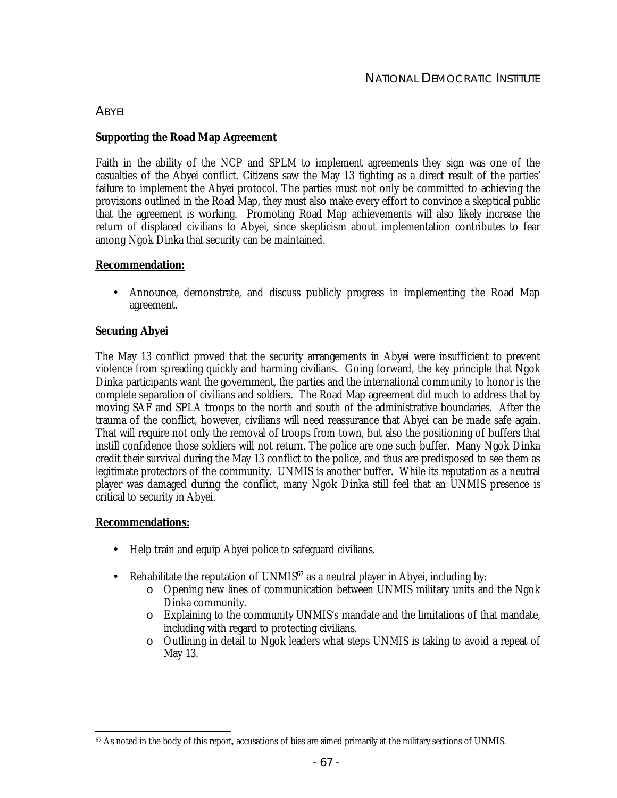## **ABYEI**

## **Supporting the Road Map Agreement**

Faith in the ability of the NCP and SPLM to implement agreements they sign was one of the casualties of the Abyei conflict. Citizens saw the May 13 fighting as a direct result of the parties' failure to implement the Abyei protocol. The parties must not only be committed to achieving the provisions outlined in the Road Map, they must also make every effort to convince a skeptical public that the agreement is working. Promoting Road Map achievements will also likely increase the return of displaced civilians to Abyei, since skepticism about implementation contributes to fear among Ngok Dinka that security can be maintained.

## **Recommendation:**

• Announce, demonstrate, and discuss publicly progress in implementing the Road Map agreement.

## **Securing Abyei**

The May 13 conflict proved that the security arrangements in Abyei were insufficient to prevent violence from spreading quickly and harming civilians. Going forward, the key principle that Ngok Dinka participants want the government, the parties and the international community to honor is the complete separation of civilians and soldiers. The Road Map agreement did much to address that by moving SAF and SPLA troops to the north and south of the administrative boundaries. After the trauma of the conflict, however, civilians will need reassurance that Abyei can be made safe again. That will require not only the removal of troops from town, but also the positioning of buffers that instill confidence those soldiers will not return. The police are one such buffer. Many Ngok Dinka credit their survival during the May 13 conflict to the police, and thus are predisposed to see them as legitimate protectors of the community. UNMIS is another buffer. While its reputation as a neutral player was damaged during the conflict, many Ngok Dinka still feel that an UNMIS presence is critical to security in Abyei.

## **Recommendations:**

- Help train and equip Abyei police to safeguard civilians.
- Rehabilitate the reputation of UNMIS<sup>67</sup> as a neutral player in Abyei, including by:
	- o Opening new lines of communication between UNMIS military units and the Ngok Dinka community.
	- o Explaining to the community UNMIS's mandate and the limitations of that mandate, including with regard to protecting civilians.
	- $\circ$  Outlining in detail to Ngok leaders what steps UNMIS is taking to avoid a repeat of May 13.

 $\overline{a}$ <sup>67</sup> As noted in the body of this report, accusations of bias are aimed primarily at the military sections of UNMIS.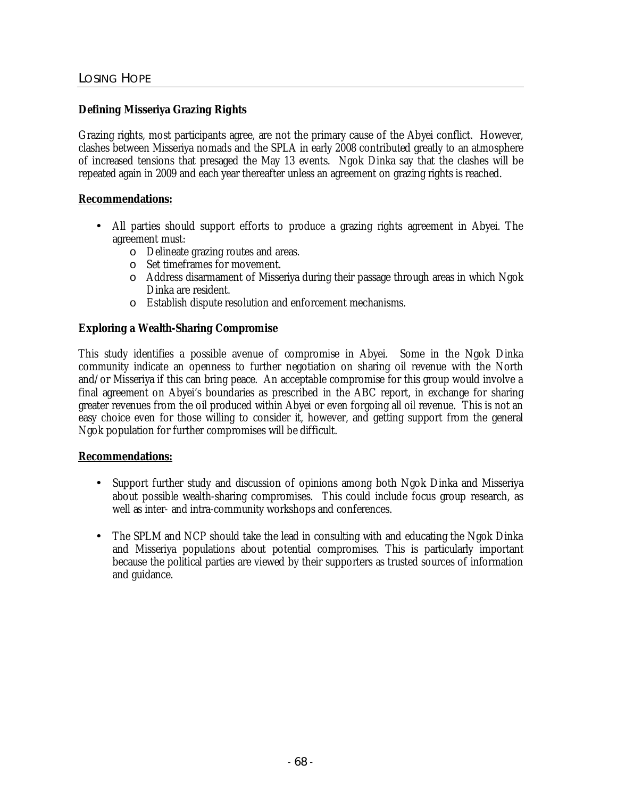## **Defining Misseriya Grazing Rights**

Grazing rights, most participants agree, are not the primary cause of the Abyei conflict. However, clashes between Misseriya nomads and the SPLA in early 2008 contributed greatly to an atmosphere of increased tensions that presaged the May 13 events. Ngok Dinka say that the clashes will be repeated again in 2009 and each year thereafter unless an agreement on grazing rights is reached.

## **Recommendations:**

- All parties should support efforts to produce a grazing rights agreement in Abyei. The agreement must:
	- o Delineate grazing routes and areas.
	- o Set timeframes for movement.
	- o Address disarmament of Misseriya during their passage through areas in which Ngok Dinka are resident.
	- o Establish dispute resolution and enforcement mechanisms.

#### **Exploring a Wealth-Sharing Compromise**

This study identifies a possible avenue of compromise in Abyei. Some in the Ngok Dinka community indicate an openness to further negotiation on sharing oil revenue with the North and/or Misseriya if this can bring peace. An acceptable compromise for this group would involve a final agreement on Abyei's boundaries as prescribed in the ABC report, in exchange for sharing greater revenues from the oil produced within Abyei or even forgoing all oil revenue. This is not an easy choice even for those willing to consider it, however, and getting support from the general Ngok population for further compromises will be difficult.

#### **Recommendations:**

- Support further study and discussion of opinions among both Ngok Dinka and Misseriya about possible wealth-sharing compromises. This could include focus group research, as well as inter- and intra-community workshops and conferences.
- The SPLM and NCP should take the lead in consulting with and educating the Ngok Dinka and Misseriya populations about potential compromises. This is particularly important because the political parties are viewed by their supporters as trusted sources of information and guidance.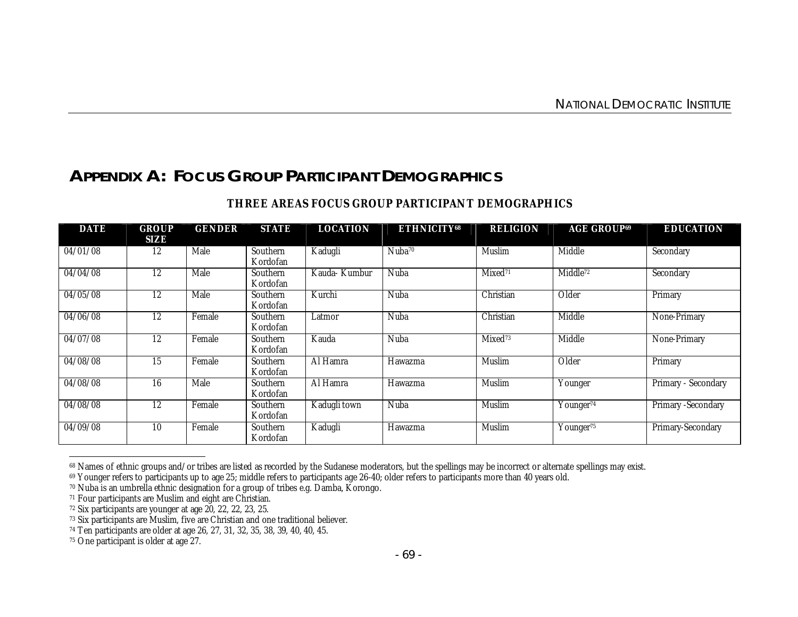# **APPENDIX A: FOCUS GROUP PARTICIPANT DEMOGRAPHICS**

| <b>DATE</b> | <b>GROUP</b><br>SIZE | <b>GENDER</b> | <b>STATE</b>                | <b>LOCATION</b>     | <b>ETHNICITY68</b> | <b>RELIGION</b>     | <b>AGE GROUP<sup>69</sup></b>    | <b>EDUCATION</b>          |
|-------------|----------------------|---------------|-----------------------------|---------------------|--------------------|---------------------|----------------------------------|---------------------------|
| 04/01/08    | 12                   | Male          | <b>Southern</b><br>Kordofan | Kadugli             | Nuba <sup>70</sup> | <b>Muslim</b>       | Middle                           | Secondary                 |
| 04/04/08    | 12                   | Male          | Southern<br>Kordofan        | Kauda- Kumbur       | Nuba               | Mixed <sup>71</sup> | Middle <sup>72</sup>             | Secondary                 |
| 04/05/08    | 12                   | Male          | Southern<br>Kordofan        | Kurchi              | Nuba               | Christian           | Older                            | Primary                   |
| 04/06/08    | 12                   | Female        | Southern<br>Kordofan        | Latmor              | Nuba               | Christian           | Middle                           | None-Primary              |
| 04/07/08    | 12                   | Female        | Southern<br>Kordofan        | Kauda               | Nuba               | Mixed <sup>73</sup> | Middle                           | None-Primary              |
| 04/08/08    | 15                   | Female        | Southern<br>Kordofan        | Al Hamra            | Hawazma            | <b>Muslim</b>       | Older                            | Primary                   |
| 04/08/08    | 16                   | Male          | <b>Southern</b><br>Kordofan | Al Hamra            | Hawazma            | <b>Muslim</b>       | Younger                          | Primary - Secondary       |
| 04/08/08    | 12                   | Female        | Southern<br>Kordofan        | <b>Kadugli town</b> | Nuba               | <b>Muslim</b>       | Younger <sup>74</sup>            | <b>Primary -Secondary</b> |
| 04/09/08    | 10                   | Female        | Southern<br>Kordofan        | Kadugli             | Hawazma            | <b>Muslim</b>       | $\overline{\text{Younger}}^{75}$ | Primary-Secondary         |

## **THREE AREAS FOCUS GROUP PARTICIPANT DEMOGRAPHICS**

 $\overline{a}$ 

<sup>68</sup> Names of ethnic groups and/or tribes are listed as recorded by the Sudanese moderators, but the spellings may be incorrect or alternate spellings may exist.

<sup>69</sup> Younger refers to participants up to age 25; middle refers to participants age 26-40; older refers to participants more than 40 years old.

<sup>70</sup> Nuba is an umbrella ethnic designation for a group of tribes e.g. Damba, Korongo.

<sup>71</sup> Four participants are Muslim and eight are Christian.

<sup>72</sup> Six participants are younger at age 20, 22, 22, 23, 25.

<sup>&</sup>lt;sup>73</sup> Six participants are Muslim, five are Christian and one traditional believer.

<sup>74</sup> Ten participants are older at age 26, 27, 31, 32, 35, 38, 39, 40, 40, 45.

<sup>75</sup> One participant is older at age 27.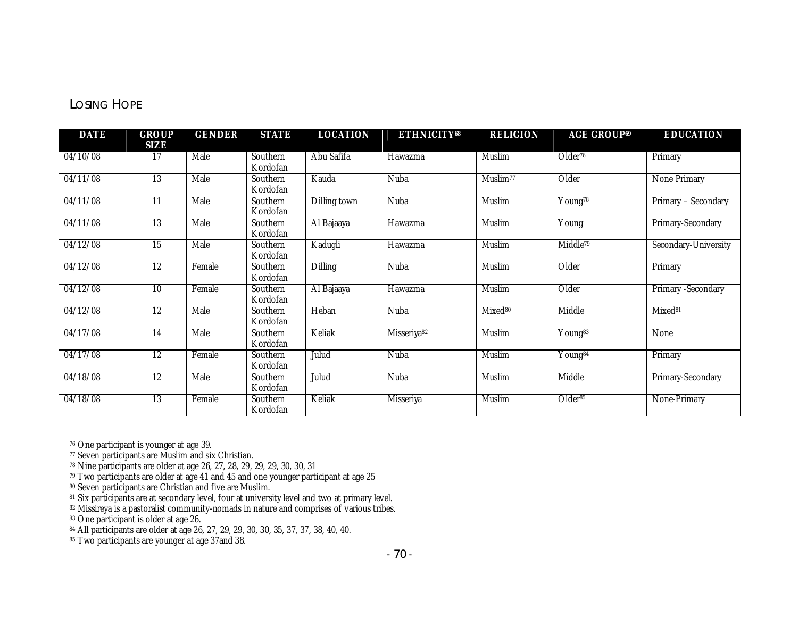## LOSING HOPE

| <b>DATE</b> | <b>GROUP</b><br>SIZE | <b>GENDER</b> | <b>STATE</b>                | <b>LOCATION</b> | <b>ETHNICITY68</b>      | <b>RELIGION</b>      | <b>AGE GROUP69</b>               | <b>EDUCATION</b>          |
|-------------|----------------------|---------------|-----------------------------|-----------------|-------------------------|----------------------|----------------------------------|---------------------------|
| 04/10/08    | 17                   | <b>Male</b>   | Southern<br>Kordofan        | Abu Safifa      | Hawazma                 | <b>Muslim</b>        | Older <sup>76</sup>              | Primary                   |
| 04/11/08    | 13                   | Male          | Southern<br>Kordofan        | Kauda           | Nuba                    | Muslim <sup>77</sup> | Older                            | <b>None Primary</b>       |
| 04/11/08    | $\overline{11}$      | <b>Male</b>   | Southern<br>Kordofan        | Dilling town    | Nuba                    | <b>Muslim</b>        | Young <sup>78</sup>              | Primary - Secondary       |
| 04/11/08    | <sup>13</sup>        | <b>Male</b>   | <b>Southern</b><br>Kordofan | Al Bajaaya      | Hawazma                 | <b>Muslim</b>        | $\overline{Y}$ oung              | Primary-Secondary         |
| 04/12/08    | 15                   | <b>Male</b>   | Southern<br>Kordofan        | Kadugli         | Hawazma                 | <b>Muslim</b>        | Middle <sup>79</sup>             | Secondary-University      |
| 04/12/08    | 12                   | Female        | Southern<br>Kordofan        | <b>Dilling</b>  | Nuba                    | <b>Muslim</b>        | Older                            | Primary                   |
| 04/12/08    | 10                   | Female        | Southern<br>Kordofan        | Al Bajaaya      | Hawazma                 | <b>Muslim</b>        | Older                            | <b>Primary -Secondary</b> |
| 04/12/08    | 12                   | <b>Male</b>   | Southern<br>Kordofan        | Heban           | Nuba                    | Mixed <sup>80</sup>  | <b>Middle</b>                    | Mixed <sup>81</sup>       |
| 04/17/08    | 14                   | Male          | <b>Southern</b><br>Kordofan | Keliak          | Misseriya <sup>82</sup> | <b>Muslim</b>        | Young <sup>83</sup>              | None                      |
| 04/17/08    | 12                   | Female        | Southern<br>Kordofan        | Julud           | Nuba                    | <b>Muslim</b>        | $\overline{\mathrm{Young}}^{84}$ | Primary                   |
| 04/18/08    | $\overline{12}$      | <b>Male</b>   | Southern<br>Kordofan        | Julud           | Nuba                    | <b>Muslim</b>        | <b>Middle</b>                    | Primary-Secondary         |
| 04/18/08    | <sup>13</sup>        | Female        | Southern<br>Kordofan        | Keliak          | <b>Misseriya</b>        | <b>Muslim</b>        | Older <sup>85</sup>              | None-Primary              |

<sup>76</sup> One participant is younger at age 39.

 $\overline{a}$ 

<sup>77</sup> Seven participants are Muslim and six Christian.

<sup>78</sup> Nine participants are older at age 26, 27, 28, 29, 29, 29, 30, 30, 31

<sup>79</sup> Two participants are older at age 41 and 45 and one younger participant at age 25

<sup>80</sup> Seven participants are Christian and five are Muslim.

<sup>81</sup> Six participants are at secondary level, four at university level and two at primary level.

<sup>&</sup>lt;sup>82</sup> Missireya is a pastoralist community-nomads in nature and comprises of various tribes.

<sup>83</sup> One participant is older at age 26.

<sup>84</sup> All participants are older at age 26, 27, 29, 29, 30, 30, 35, 37, 37, 38, 40, 40.

<sup>85</sup> Two participants are younger at age 37and 38.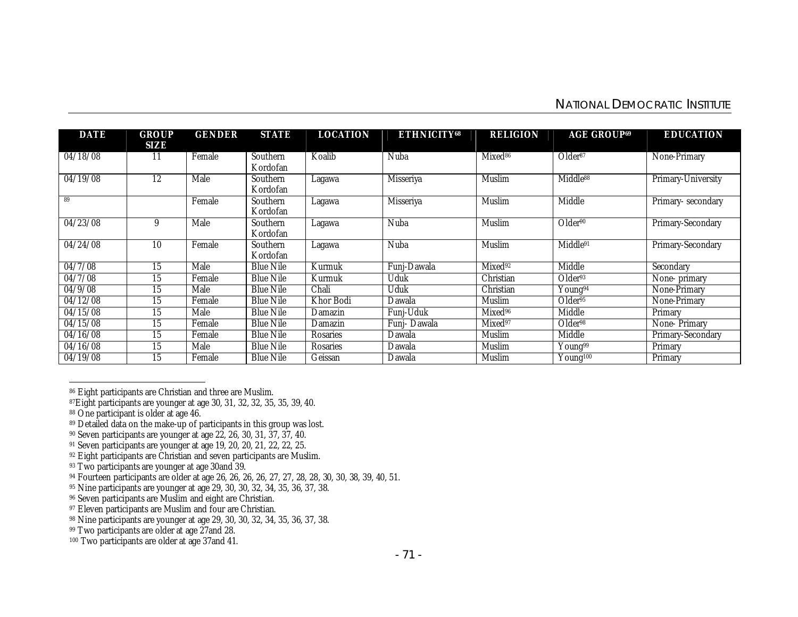## NATIONAL DEMOCRATIC INSTITUTE

| <b>DATE</b>      | <b>GROUP</b><br>SIZE | <b>GENDER</b> | <b>STATE</b>         | <b>LOCATION</b>  | <b>ETHNICITY68</b> | <b>RELIGION</b>     | <b>AGE GROUP<sup>69</sup></b> | <b>EDUCATION</b>    |
|------------------|----------------------|---------------|----------------------|------------------|--------------------|---------------------|-------------------------------|---------------------|
| 04/18/08         | 11                   | Female        | Southern<br>Kordofan | Koalib           | Nuba               | Mixed <sup>86</sup> | Older <sup>87</sup>           | None-Primary        |
| 04/19/08         | 12                   | Male          | Southern<br>Kordofan | Lagawa           | <b>Misseriya</b>   | <b>Muslim</b>       | Middle <sup>88</sup>          | Primary-University  |
| 89               |                      | Female        | Southern<br>Kordofan | Lagawa           | <b>Misseriya</b>   | <b>Muslim</b>       | Middle                        | Primary-secondary   |
| 04/23/08         | 9                    | Male          | Southern<br>Kordofan | Lagawa           | Nuba               | <b>Muslim</b>       | Older <sup>90</sup>           | Primary-Secondary   |
| 04/24/08         | 10                   | Female        | Southern<br>Kordofan | Lagawa           | Nuba               | <b>Muslim</b>       | Middle91                      | Primary-Secondary   |
| 04/7/08          | 15                   | Male          | <b>Blue Nile</b>     | Kurmuk           | Funj-Dawala        | Mixed <sup>92</sup> | Middle                        | Secondary           |
| $04/7/\sqrt{08}$ | 15                   | Female        | <b>Blue Nile</b>     | Kurmuk           | Uduk               | Christian           | Older <sup>93</sup>           | None-primary        |
| 04/9/08          | 15                   | Male          | <b>Blue Nile</b>     | <b>Chali</b>     | Uduk               | Christian           | Young <sup>94</sup>           | None-Primary        |
| 04/12/08         | 15                   | Female        | <b>Blue Nile</b>     | <b>Khor Bodi</b> | Dawala             | Muslim              | Older <sup>95</sup>           | <b>None-Primary</b> |
| 04/15/08         | 15                   | Male          | <b>Blue Nile</b>     | Damazin          | Funj-Uduk          | Mixed <sup>96</sup> | Middle                        | Primary             |
| 04/15/08         | 15                   | Female        | <b>Blue Nile</b>     | Damazin          | Funj- Dawala       | Mixed <sup>97</sup> | Older <sup>98</sup>           | <b>None-Primary</b> |
| 04/16/08         | 15                   | Female        | <b>Blue Nile</b>     | <b>Rosaries</b>  | Dawala             | Muslim              | Middle                        | Primary-Secondary   |
| 04/16/08         | 15                   | Male          | <b>Blue Nile</b>     | <b>Rosaries</b>  | Dawala             | Muslim              | Young <sup>99</sup>           | Primary             |
| 04/19/08         | 15                   | Female        | <b>Blue Nile</b>     | Geissan          | Dawala             | Muslim              | Young <sup>100</sup>          | Primary             |

<sup>86</sup> Eight participants are Christian and three are Muslim.

 $\overline{a}$ 

<sup>87</sup>Eight participants are younger at age 30, 31, 32, 32, 35, 35, 39, 40.

<sup>88</sup> One participant is older at age 46.

<sup>89</sup> Detailed data on the make-up of participants in this group was lost.

<sup>90</sup> Seven participants are younger at age 22, 26, 30, 31, 37, 37, 40.

<sup>91</sup> Seven participants are younger at age 19, 20, 20, 21, 22, 22, 25.

<sup>92</sup> Eight participants are Christian and seven participants are Muslim.

<sup>&</sup>lt;sup>93</sup> Two participants are younger at age 30and 39.

<sup>&</sup>lt;sup>94</sup> Fourteen participants are older at age 26, 26, 26, 26, 27, 27, 28, 28, 30, 30, 38, 39, 40, 51.

<sup>95</sup> Nine participants are younger at age 29, 30, 30, 32, 34, 35, 36, 37, 38.

<sup>96</sup> Seven participants are Muslim and eight are Christian.

<sup>&</sup>lt;sup>97</sup> Eleven participants are Muslim and four are Christian.

<sup>98</sup> Nine participants are younger at age 29, 30, 30, 32, 34, 35, 36, 37, 38.

<sup>&</sup>lt;sup>99</sup> Two participants are older at age 27 and 28.

<sup>100</sup> Two participants are older at age 37and 41.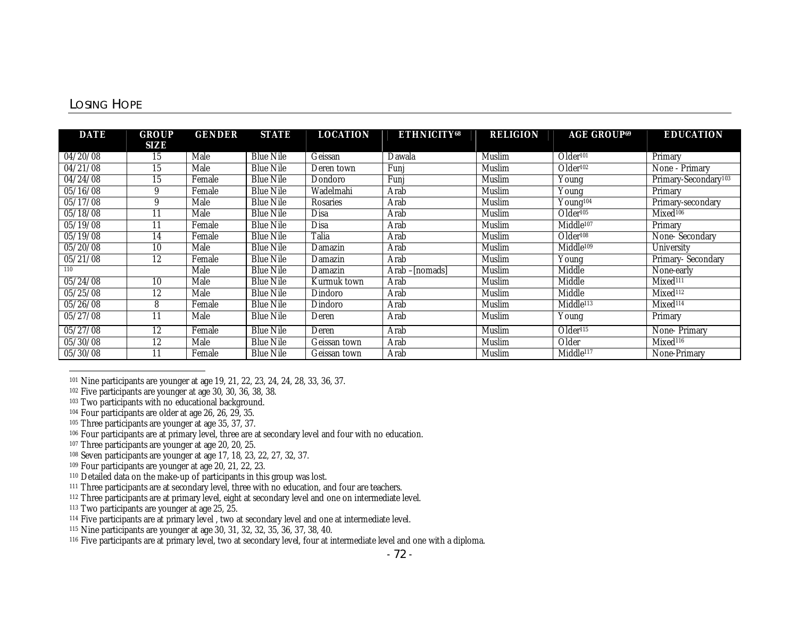## LOSING HOPE

| <b>DATE</b> | <b>GROUP</b> | <b>GENDER</b> | <b>STATE</b>     | <b>LOCATION</b> | <b>ETHNICITY68</b> | <b>RELIGION</b> | <b>AGE GROUP<sup>69</sup></b> | <b>EDUCATION</b>                 |
|-------------|--------------|---------------|------------------|-----------------|--------------------|-----------------|-------------------------------|----------------------------------|
|             | SIZE         |               |                  |                 |                    |                 |                               |                                  |
| 04/20/08    | 15           | Male          | <b>Blue Nile</b> | Geissan         | Dawala             | <b>Muslim</b>   | Older <sup>101</sup>          | Primary                          |
| 04/21/08    | 15           | Male          | <b>Blue Nile</b> | Deren town      | Funi               | Muslim          | Older <sup>102</sup>          | None - Primary                   |
| 04/24/08    | 15           | Female        | <b>Blue Nile</b> | Dondoro         | Funj               | Muslim          | $\overline{Y}$ oung           | Primary-Secondary <sup>103</sup> |
| 05/16/08    | 9            | Female        | <b>Blue Nile</b> | Wadelmahi       | Arab               | <b>Muslim</b>   | Young                         | Primary                          |
| 05/17/08    | 9            | Male          | <b>Blue Nile</b> | <b>Rosaries</b> | Arab               | Muslim          | Young <sup>104</sup>          | Primary-secondary                |
| 05/18/08    | 11           | Male          | <b>Blue Nile</b> | <b>Disa</b>     | Arab               | Muslim          | Older <sup>105</sup>          | Mixed <sup>106</sup>             |
| 05/19/08    | 11           | Female        | <b>Blue Nile</b> | <b>Disa</b>     | Arab               | Muslim          | Middle <sup>107</sup>         | Primary                          |
| 05/19/08    | 14           | Female        | <b>Blue Nile</b> | Talia           | Arab               | Muslim          | Older <sup>108</sup>          | <b>None-Secondary</b>            |
| 05/20/08    | 10           | Male          | <b>Blue Nile</b> | Damazin         | Arab               | Muslim          | Middle <sup>109</sup>         | <b>University</b>                |
| 05/21/08    | 12           | Female        | <b>Blue Nile</b> | Damazin         | Arab               | <b>Muslim</b>   | $\overline{Y}$ oung           | Primary-Secondary                |
| 110         |              | Male          | <b>Blue Nile</b> | Damazin         | Arab – Inomadsl    | Muslim          | Middle                        | None-early                       |
| 05/24/08    | 10           | Male          | <b>Blue Nile</b> | Kurmuk town     | Arab               | Muslim          | Middle                        | Mixed <sup>111</sup>             |
| 05/25/08    | 12           | Male          | <b>Blue Nile</b> | Dindoro         | Arab               | Muslim          | Middle                        | Mixed <sup>112</sup>             |
| 05/26/08    | 8            | Female        | <b>Blue Nile</b> | Dindoro         | Arab               | Muslim          | Middle <sup>113</sup>         | Mixed <sup>114</sup>             |
| 05/27/08    | 11           | Male          | <b>Blue Nile</b> | Deren           | Arab               | Muslim          | Young                         | Primary                          |
| 05/27/08    | 12           | Female        | <b>Blue Nile</b> | Deren           | Arab               | Muslim          | Older <sup>115</sup>          | <b>None-Primary</b>              |
| 05/30/08    | 12           | Male          | <b>Blue Nile</b> | Geissan town    | Arab               | Muslim          | Older                         | Mixed <sup>116</sup>             |
| 05/30/08    | 11           | Female        | <b>Blue Nile</b> | Geissan town    | Arab               | Muslim          | Middle <sup>117</sup>         | None-Primary                     |

 $\overline{a}$ <sup>101</sup> Nine participants are younger at age 19, 21, 22, 23, 24, 24, 28, 33, 36, 37.

<sup>102</sup> Five participants are younger at age 30, 30, 36, 38, 38.

<sup>103</sup> Two participants with no educational background.

<sup>104</sup> Four participants are older at age 26, 26, 29, 35.

<sup>105</sup> Three participants are younger at age 35, 37, 37.

<sup>106</sup> Four participants are at primary level, three are at secondary level and four with no education.

- <sup>107</sup> Three participants are younger at age 20, 20, 25.
- <sup>108</sup> Seven participants are younger at age 17, 18, 23, 22, 27, 32, 37.
- <sup>109</sup> Four participants are younger at age 20, 21, 22, 23.
- <sup>110</sup> Detailed data on the make-up of participants in this group was lost.
- <sup>111</sup> Three participants are at secondary level, three with no education, and four are teachers.
- <sup>112</sup> Three participants are at primary level, eight at secondary level and one on intermediate level.
- <sup>113</sup> Two participants are younger at age 25, 25.
- <sup>114</sup> Five participants are at primary level, two at secondary level and one at intermediate level.
- <sup>115</sup> Nine participants are younger at age 30, 31, 32, 32, 35, 36, 37, 38, 40.
- <sup>116</sup> Five participants are at primary level, two at secondary level, four at intermediate level and one with a diploma.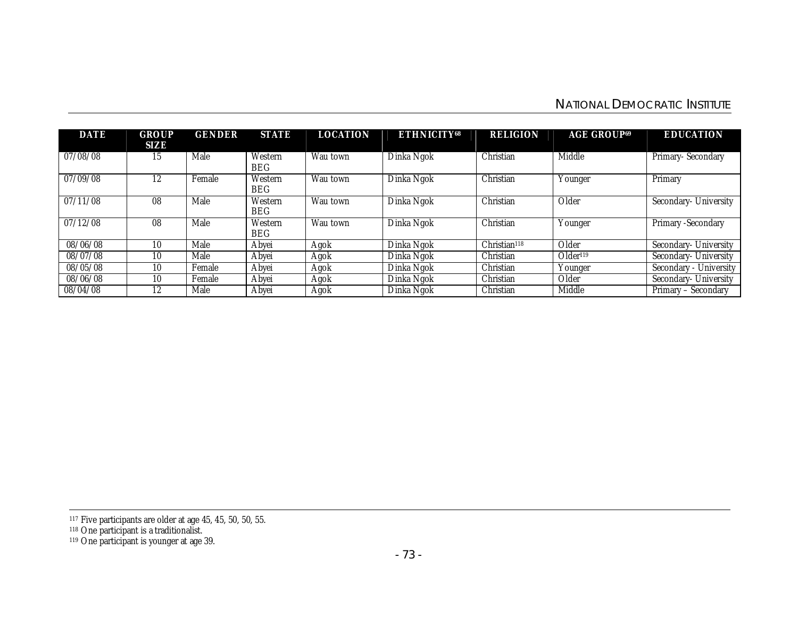# NATIONAL DEMOCRATIC INSTITUTE

| <b>DATE</b> | <b>GROUP</b><br>SIZE | <b>GENDER</b> | <b>STATE</b>          | <b>LOCATION</b> | <b>ETHNICITY68</b> | <b>RELIGION</b>          | <b>AGE GROUP69</b>   | <b>EDUCATION</b>                 |
|-------------|----------------------|---------------|-----------------------|-----------------|--------------------|--------------------------|----------------------|----------------------------------|
| 07/08/08    | 15                   | Male          | Western<br><b>BEG</b> | Wau town        | Dinka Ngok         | Christian                | Middle               | Primary-Secondary                |
| 07/09/08    | 12                   | Female        | Western<br><b>BEG</b> | Wau town        | Dinka Ngok         | Christian                | Younger              | Primary                          |
| 07/11/08    | 08                   | Male          | Western<br><b>BEG</b> | Wau town        | Dinka Ngok         | Christian                | Older                | Secondary- University            |
| 07/12/08    | 08                   | Male          | Western<br><b>BEG</b> | Wau town        | Dinka Ngok         | Christian                | Younger              | Primary -Secondary               |
| 08/06/08    | 10                   | Male          | Abyei                 | Agok            | Dinka Ngok         | Christian <sup>118</sup> | Older                | Secondary- University            |
| 08/07/08    | 10                   | Male          | Abyei                 | Agok            | Dinka Ngok         | Christian                | Older <sup>119</sup> | Secondary- University            |
| 08/05/08    | 10                   | Female        | Abyei                 | Agok            | Dinka Ngok         | Christian                | Younger              | <b>University</b><br>Secondary - |
| 08/06/08    | 10                   | Female        | Abyei                 | Agok            | Dinka Ngok         | Christian                | Older                | Secondary- University            |
| 08/04/08    | 12                   | Male          | Abyei                 | Agok            | Dinka Ngok         | Christian                | Middle               | Primary<br>– Secondary           |

 $\ddot{\phantom{a}}$ 

<sup>117</sup> Five participants are older at age 45, 45, 50, 50, 55.

<sup>118</sup> One participant is a traditionalist.

<sup>119</sup> One participant is younger at age 39.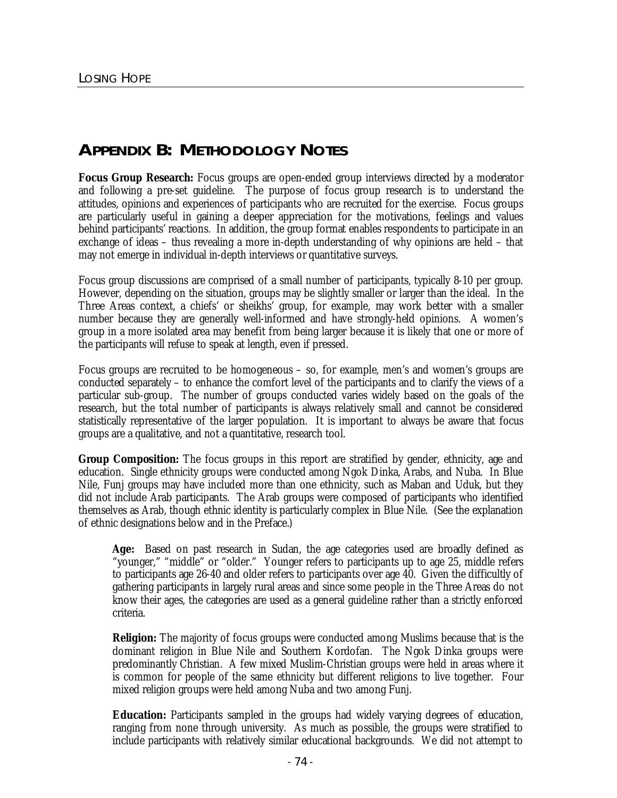# **APPENDIX B: METHODOLOGY NOTES**

**Focus Group Research:** Focus groups are open-ended group interviews directed by a moderator and following a pre-set guideline. The purpose of focus group research is to understand the attitudes, opinions and experiences of participants who are recruited for the exercise. Focus groups are particularly useful in gaining a deeper appreciation for the motivations, feelings and values behind participants' reactions. In addition, the group format enables respondents to participate in an exchange of ideas – thus revealing a more in-depth understanding of why opinions are held – that may not emerge in individual in-depth interviews or quantitative surveys.

Focus group discussions are comprised of a small number of participants, typically 8-10 per group. However, depending on the situation, groups may be slightly smaller or larger than the ideal. In the Three Areas context, a chiefs' or sheikhs' group, for example, may work better with a smaller number because they are generally well-informed and have strongly-held opinions. A women's group in a more isolated area may benefit from being larger because it is likely that one or more of the participants will refuse to speak at length, even if pressed.

Focus groups are recruited to be homogeneous – so, for example, men's and women's groups are conducted separately – to enhance the comfort level of the participants and to clarify the views of a particular sub-group. The number of groups conducted varies widely based on the goals of the research, but the total number of participants is always relatively small and cannot be considered statistically representative of the larger population. It is important to always be aware that focus groups are a qualitative, and not a quantitative, research tool.

**Group Composition:** The focus groups in this report are stratified by gender, ethnicity, age and education. Single ethnicity groups were conducted among Ngok Dinka, Arabs, and Nuba. In Blue Nile, Funj groups may have included more than one ethnicity, such as Maban and Uduk, but they did not include Arab participants. The Arab groups were composed of participants who identified themselves as Arab, though ethnic identity is particularly complex in Blue Nile. (See the explanation of ethnic designations below and in the Preface.)

**Age:** Based on past research in Sudan, the age categories used are broadly defined as "younger," "middle" or "older." Younger refers to participants up to age 25, middle refers to participants age 26-40 and older refers to participants over age 40. Given the difficultly of gathering participants in largely rural areas and since some people in the Three Areas do not know their ages, the categories are used as a general guideline rather than a strictly enforced criteria.

**Religion:** The majority of focus groups were conducted among Muslims because that is the dominant religion in Blue Nile and Southern Kordofan. The Ngok Dinka groups were predominantly Christian. A few mixed Muslim-Christian groups were held in areas where it is common for people of the same ethnicity but different religions to live together. Four mixed religion groups were held among Nuba and two among Funj.

**Education:** Participants sampled in the groups had widely varying degrees of education, ranging from none through university. As much as possible, the groups were stratified to include participants with relatively similar educational backgrounds. We did not attempt to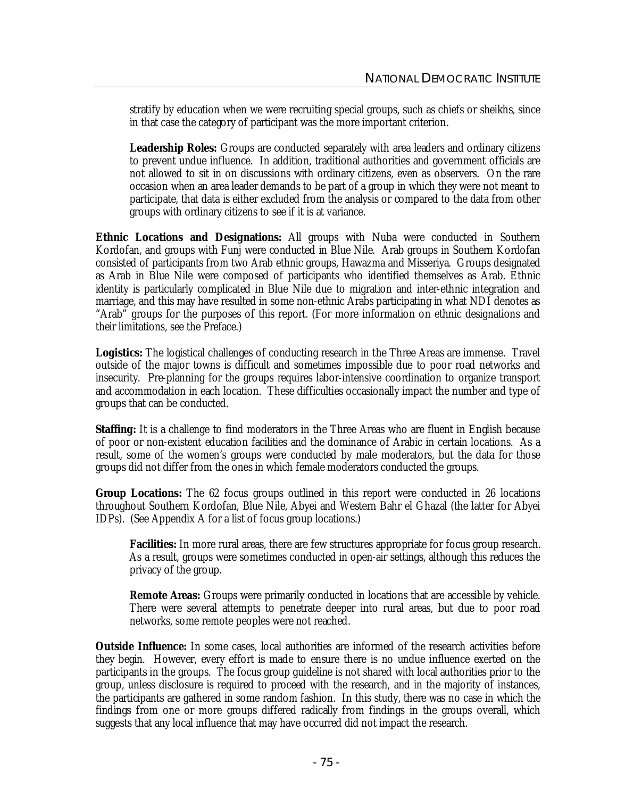stratify by education when we were recruiting special groups, such as chiefs or sheikhs, since in that case the category of participant was the more important criterion.

**Leadership Roles:** Groups are conducted separately with area leaders and ordinary citizens to prevent undue influence. In addition, traditional authorities and government officials are not allowed to sit in on discussions with ordinary citizens, even as observers. On the rare occasion when an area leader demands to be part of a group in which they were not meant to participate, that data is either excluded from the analysis or compared to the data from other groups with ordinary citizens to see if it is at variance.

**Ethnic Locations and Designations:** All groups with Nuba were conducted in Southern Kordofan, and groups with Funj were conducted in Blue Nile. Arab groups in Southern Kordofan consisted of participants from two Arab ethnic groups, Hawazma and Misseriya. Groups designated as Arab in Blue Nile were composed of participants who identified themselves as Arab. Ethnic identity is particularly complicated in Blue Nile due to migration and inter-ethnic integration and marriage, and this may have resulted in some non-ethnic Arabs participating in what NDI denotes as "Arab" groups for the purposes of this report. (For more information on ethnic designations and their limitations, see the Preface.)

**Logistics:** The logistical challenges of conducting research in the Three Areas are immense. Travel outside of the major towns is difficult and sometimes impossible due to poor road networks and insecurity. Pre-planning for the groups requires labor-intensive coordination to organize transport and accommodation in each location. These difficulties occasionally impact the number and type of groups that can be conducted.

**Staffing:** It is a challenge to find moderators in the Three Areas who are fluent in English because of poor or non-existent education facilities and the dominance of Arabic in certain locations. As a result, some of the women's groups were conducted by male moderators, but the data for those groups did not differ from the ones in which female moderators conducted the groups.

**Group Locations:** The 62 focus groups outlined in this report were conducted in 26 locations throughout Southern Kordofan, Blue Nile, Abyei and Western Bahr el Ghazal (the latter for Abyei IDPs). (See Appendix A for a list of focus group locations.)

**Facilities:** In more rural areas, there are few structures appropriate for focus group research. As a result, groups were sometimes conducted in open-air settings, although this reduces the privacy of the group.

**Remote Areas:** Groups were primarily conducted in locations that are accessible by vehicle. There were several attempts to penetrate deeper into rural areas, but due to poor road networks, some remote peoples were not reached.

**Outside Influence:** In some cases, local authorities are informed of the research activities before they begin. However, every effort is made to ensure there is no undue influence exerted on the participants in the groups. The focus group guideline is not shared with local authorities prior to the group, unless disclosure is required to proceed with the research, and in the majority of instances, the participants are gathered in some random fashion. In this study, there was no case in which the findings from one or more groups differed radically from findings in the groups overall, which suggests that any local influence that may have occurred did not impact the research.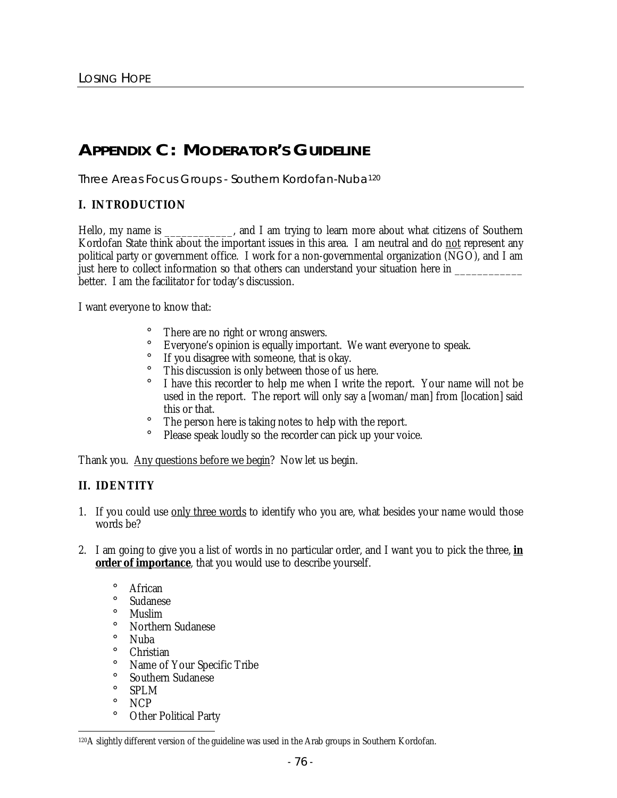# **APPENDIX C: MODERATOR'S GUIDELINE**

Three Areas Focus Groups - Southern Kordofan-Nuba<sup>120</sup>

## **I. INTRODUCTION**

Hello, my name is \_\_\_\_\_\_\_\_\_\_\_, and I am trying to learn more about what citizens of Southern Kordofan State think about the important issues in this area. I am neutral and do not represent any political party or government office. I work for a non-governmental organization (NGO), and I am just here to collect information so that others can understand your situation here in \_\_\_\_\_\_\_\_\_ better. I am the facilitator for today's discussion.

I want everyone to know that:

- There are no right or wrong answers.
- ¡ Everyone's opinion is equally important. We want everyone to speak.
- ¡ If you disagree with someone, that is okay.
- ¡ This discussion is only between those of us here.
- ¡ I have this recorder to help me when I write the report. Your name will not be used in the report. The report will only say a [woman/man] from [location] said this or that.
- ¡ The person here is taking notes to help with the report.
- Please speak loudly so the recorder can pick up your voice.

Thank you. Any questions before we begin? Now let us begin.

## **II. IDENTITY**

- 1. If you could use only three words to identify who you are, what besides your name would those words be?
- 2. I am going to give you a list of words in no particular order, and I want you to pick the three, **in order of importance**, that you would use to describe yourself.
	- ¡ African ¡ Sudanese ¡ Muslim ¡ Northern Sudanese ¡ Nuba ¡ Christian ¡ Name of Your Specific Tribe ¡ Southern Sudanese ¡ SPLM ¡ NCP ¡ Other Political Party

 $\ddot{\phantom{a}}$ <sup>120</sup>A slightly different version of the guideline was used in the Arab groups in Southern Kordofan.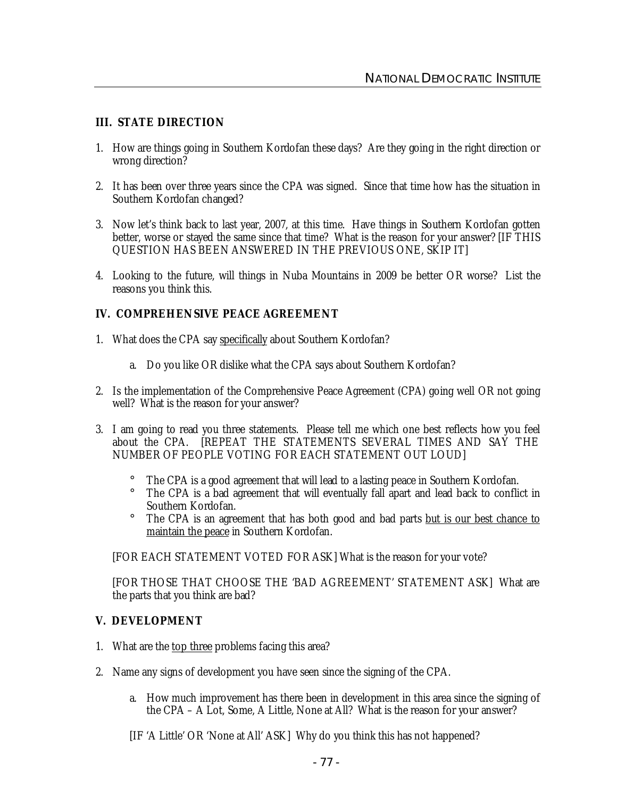#### **III. STATE DIRECTION**

- 1. How are things going in Southern Kordofan these days? Are they going in the right direction or wrong direction?
- 2. It has been over three years since the CPA was signed. Since that time how has the situation in Southern Kordofan changed?
- 3. Now let's think back to last year, 2007, at this time. Have things in Southern Kordofan gotten better, worse or stayed the same since that time? What is the reason for your answer? [IF THIS QUESTION HAS BEEN ANSWERED IN THE PREVIOUS ONE, SKIP IT]
- 4. Looking to the future, will things in Nuba Mountains in 2009 be better OR worse? List the reasons you think this.

#### **IV. COMPREHENSIVE PEACE AGREEMENT**

- 1. What does the CPA say specifically about Southern Kordofan?
	- a. Do you like OR dislike what the CPA says about Southern Kordofan?
- 2. Is the implementation of the Comprehensive Peace Agreement (CPA) going well OR not going well? What is the reason for your answer?
- 3. I am going to read you three statements. Please tell me which one best reflects how you feel about the CPA. [REPEAT THE STATEMENTS SEVERAL TIMES AND SAY THE NUMBER OF PEOPLE VOTING FOR EACH STATEMENT OUT LOUD]
	- ¡ The CPA is a good agreement that will lead to a lasting peace in Southern Kordofan.
	- The CPA is a bad agreement that will eventually fall apart and lead back to conflict in Southern Kordofan.
	- <sup>†</sup> The CPA is an agreement that has both good and bad parts <u>but is our best chance to</u> maintain the peace in Southern Kordofan.

[FOR EACH STATEMENT VOTED FOR ASK] What is the reason for your vote?

[FOR THOSE THAT CHOOSE THE 'BAD AGREEMENT' STATEMENT ASK] What are the parts that you think are bad?

#### **V. DEVELOPMENT**

- 1. What are the top three problems facing this area?
- 2. Name any signs of development you have seen since the signing of the CPA.
	- a. How much improvement has there been in development in this area since the signing of the CPA – A Lot, Some, A Little, None at All? What is the reason for your answer?
	- [IF 'A Little' OR 'None at All' ASK] Why do you think this has not happened?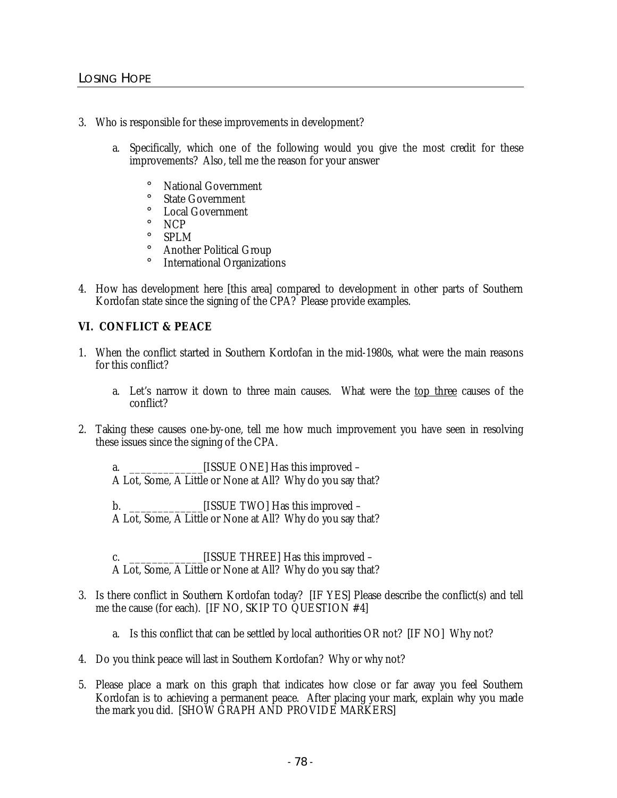- 3. Who is responsible for these improvements in development?
	- a. Specifically, which one of the following would you give the most credit for these improvements? Also, tell me the reason for your answer
		- National Government
		- ¡ State Government
		- ¡ Local Government
		- ¡ NCP
		- ¡ SPLM
		- ¡ Another Political Group
		- ¡ International Organizations
- 4. How has development here [this area] compared to development in other parts of Southern Kordofan state since the signing of the CPA? Please provide examples.

## **VI. CONFLICT & PEACE**

- 1. When the conflict started in Southern Kordofan in the mid-1980s, what were the main reasons for this conflict?
	- a. Let's narrow it down to three main causes. What were the top three causes of the conflict?
- 2. Taking these causes one-by-one, tell me how much improvement you have seen in resolving these issues since the signing of the CPA.
	- a. \_\_\_\_\_\_\_\_\_\_\_\_\_[ISSUE ONE] Has this improved A Lot, Some, A Little or None at All? Why do you say that?
	- b. \_\_\_\_\_\_\_\_\_\_\_\_\_[ISSUE TWO] Has this improved A Lot, Some, A Little or None at All? Why do you say that?
	- c. **ISSUE THREE** Has this improved A Lot, Some, A Little or None at All? Why do you say that?
- 3. Is there conflict in Southern Kordofan today? [IF YES] Please describe the conflict(s) and tell me the cause (for each). [IF NO, SKIP TO QUESTION #4]
	- a. Is this conflict that can be settled by local authorities OR not? [IF NO] Why not?
- 4. Do you think peace will last in Southern Kordofan? Why or why not?
- 5. Please place a mark on this graph that indicates how close or far away you feel Southern Kordofan is to achieving a permanent peace. After placing your mark, explain why you made the mark you did. [SHOW GRAPH AND PROVIDE MARKERS]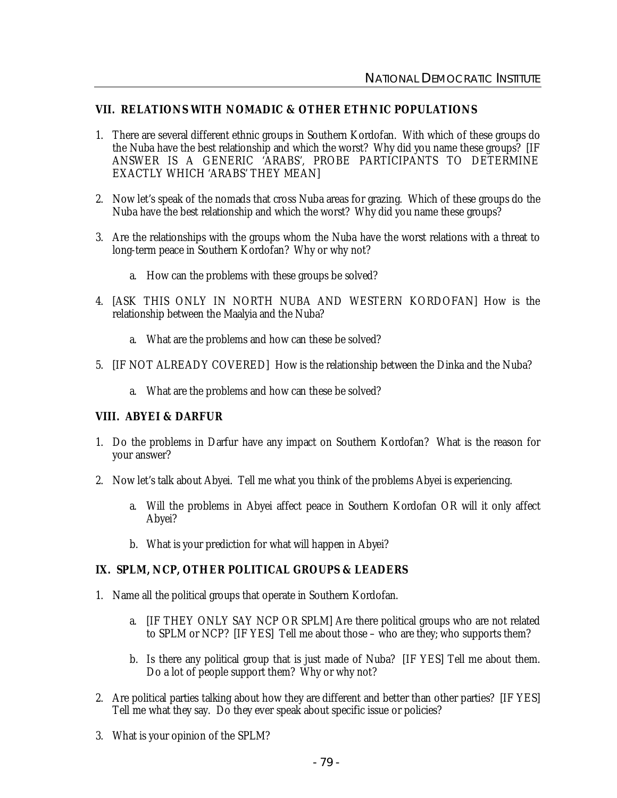#### **VII. RELATIONS WITH NOMADIC & OTHER ETHNIC POPULATIONS**

- 1. There are several different ethnic groups in Southern Kordofan. With which of these groups do the Nuba have the best relationship and which the worst? Why did you name these groups? [IF ANSWER IS A GENERIC 'ARABS', PROBE PARTICIPANTS TO DETERMINE EXACTLY WHICH 'ARABS' THEY MEAN]
- 2. Now let's speak of the nomads that cross Nuba areas for grazing. Which of these groups do the Nuba have the best relationship and which the worst? Why did you name these groups?
- 3. Are the relationships with the groups whom the Nuba have the worst relations with a threat to long-term peace in Southern Kordofan? Why or why not?
	- a. How can the problems with these groups be solved?
- 4. [ASK THIS ONLY IN NORTH NUBA AND WESTERN KORDOFAN] How is the relationship between the Maalyia and the Nuba?
	- a. What are the problems and how can these be solved?
- 5. [IF NOT ALREADY COVERED] How is the relationship between the Dinka and the Nuba?
	- a. What are the problems and how can these be solved?

#### **VIII. ABYEI & DARFUR**

- 1. Do the problems in Darfur have any impact on Southern Kordofan? What is the reason for your answer?
- 2. Now let's talk about Abyei. Tell me what you think of the problems Abyei is experiencing.
	- a. Will the problems in Abyei affect peace in Southern Kordofan OR will it only affect Abyei?
	- b. What is your prediction for what will happen in Abyei?

## **IX. SPLM, NCP, OTHER POLITICAL GROUPS & LEADERS**

- 1. Name all the political groups that operate in Southern Kordofan.
	- a. [IF THEY ONLY SAY NCP OR SPLM] Are there political groups who are not related to SPLM or NCP? [IF YES] Tell me about those – who are they; who supports them?
	- b. Is there any political group that is just made of Nuba? [IF YES] Tell me about them. Do a lot of people support them? Why or why not?
- 2. Are political parties talking about how they are different and better than other parties? [IF YES] Tell me what they say. Do they ever speak about specific issue or policies?
- 3. What is your opinion of the SPLM?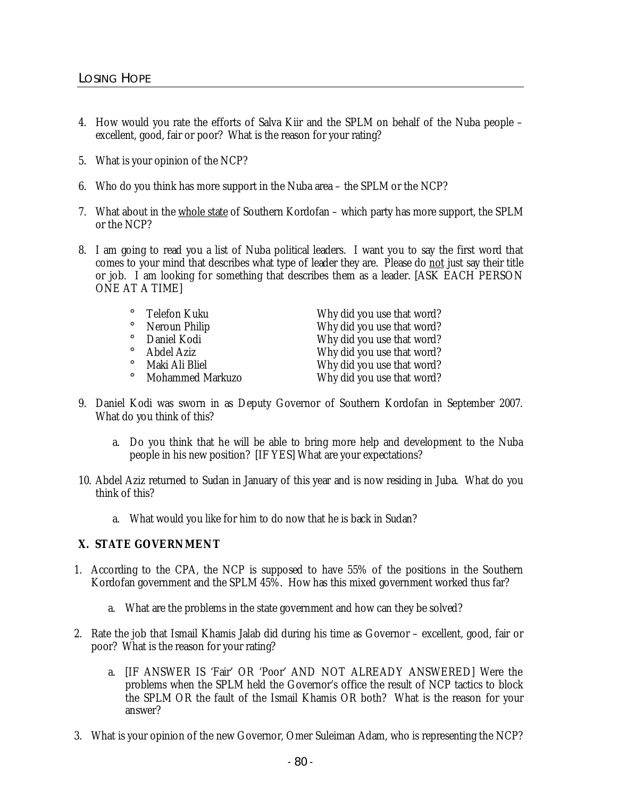- 4. How would you rate the efforts of Salva Kiir and the SPLM on behalf of the Nuba people excellent, good, fair or poor? What is the reason for your rating?
- 5. What is your opinion of the NCP?
- 6. Who do you think has more support in the Nuba area the SPLM or the NCP?
- 7. What about in the whole state of Southern Kordofan which party has more support, the SPLM or the NCP?
- 8. I am going to read you a list of Nuba political leaders. I want you to say the first word that comes to your mind that describes what type of leader they are. Please do not just say their title or job. I am looking for something that describes them as a leader. [ASK EACH PERSON ONE AT A TIME]

| Telefon Kuku<br>$\mathbf{i}$ | Why did you use that word? |
|------------------------------|----------------------------|
| Neroun Philip                | Why did you use that word? |
| Daniel Kodi                  | Why did you use that word? |
| Abdel Aziz<br>i.             | Why did you use that word? |
| Maki Ali Bliel               | Why did you use that word? |
| <b>Mohammed Markuzo</b>      | Why did you use that word? |

- 9. Daniel Kodi was sworn in as Deputy Governor of Southern Kordofan in September 2007. What do you think of this?
	- a. Do you think that he will be able to bring more help and development to the Nuba people in his new position? [IF YES] What are your expectations?
- 10. Abdel Aziz returned to Sudan in January of this year and is now residing in Juba. What do you think of this?
	- a. What would you like for him to do now that he is back in Sudan?

## **X. STATE GOVERNMENT**

- 1. According to the CPA, the NCP is supposed to have 55% of the positions in the Southern Kordofan government and the SPLM 45%. How has this mixed government worked thus far?
	- a. What are the problems in the state government and how can they be solved?
- 2. Rate the job that Ismail Khamis Jalab did during his time as Governor excellent, good, fair or poor? What is the reason for your rating?
	- a. [IF ANSWER IS 'Fair' OR 'Poor' AND NOT ALREADY ANSWERED] Were the problems when the SPLM held the Governor's office the result of NCP tactics to block the SPLM OR the fault of the Ismail Khamis OR both? What is the reason for your answer?
- 3. What is your opinion of the new Governor, Omer Suleiman Adam, who is representing the NCP?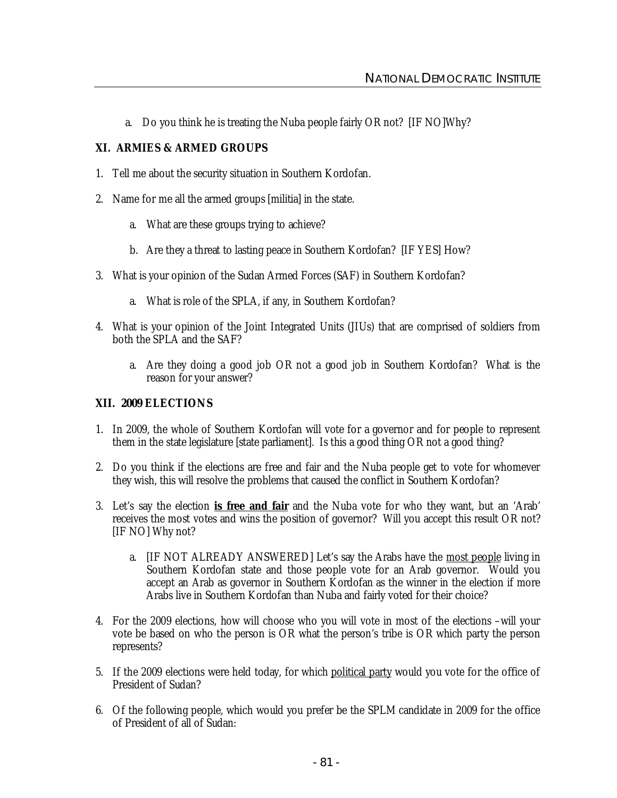a. Do you think he is treating the Nuba people fairly OR not? [IF NO]Why?

## **XI. ARMIES & ARMED GROUPS**

- 1. Tell me about the security situation in Southern Kordofan.
- 2. Name for me all the armed groups [militia] in the state.
	- a. What are these groups trying to achieve?
	- b. Are they a threat to lasting peace in Southern Kordofan? [IF YES] How?
- 3. What is your opinion of the Sudan Armed Forces (SAF) in Southern Kordofan?
	- a. What is role of the SPLA, if any, in Southern Kordofan?
- 4. What is your opinion of the Joint Integrated Units (JIUs) that are comprised of soldiers from both the SPLA and the SAF?
	- a. Are they doing a good job OR not a good job in Southern Kordofan? What is the reason for your answer?

## **XII. 2009 ELECTIONS**

- 1. In 2009, the whole of Southern Kordofan will vote for a governor and for people to represent them in the state legislature [state parliament]. Is this a good thing OR not a good thing?
- 2. Do you think if the elections are free and fair and the Nuba people get to vote for whomever they wish, this will resolve the problems that caused the conflict in Southern Kordofan?
- 3. Let's say the election **is free and fair** and the Nuba vote for who they want, but an 'Arab' receives the most votes and wins the position of governor? Will you accept this result OR not? [IF NO] Why not?
	- a. [IF NOT ALREADY ANSWERED] Let's say the Arabs have the most people living in Southern Kordofan state and those people vote for an Arab governor. Would you accept an Arab as governor in Southern Kordofan as the winner in the election if more Arabs live in Southern Kordofan than Nuba and fairly voted for their choice?
- 4. For the 2009 elections, how will choose who you will vote in most of the elections –will your vote be based on who the person is OR what the person's tribe is OR which party the person represents?
- 5. If the 2009 elections were held today, for which political party would you vote for the office of President of Sudan?
- 6. Of the following people, which would you prefer be the SPLM candidate in 2009 for the office of President of all of Sudan: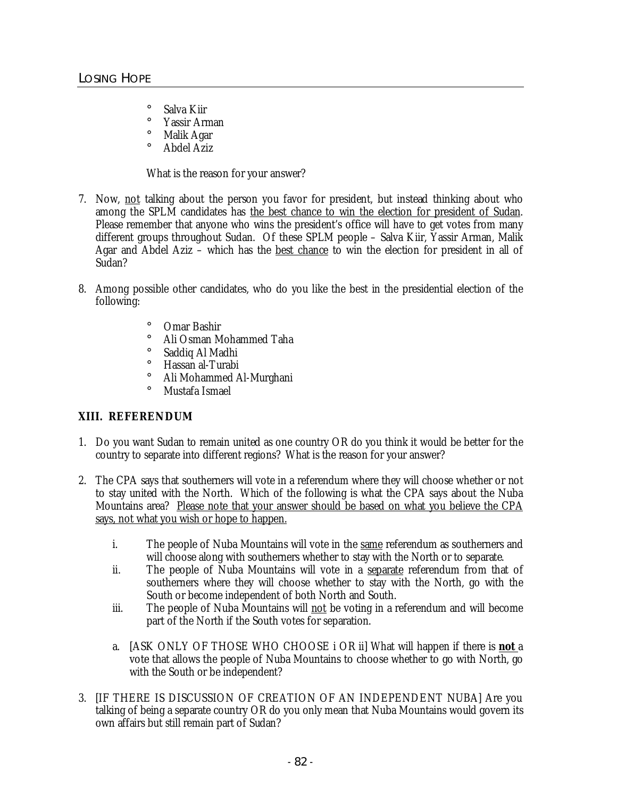- ¡ Salva Kiir
- ¡ Yassir Arman
- ¡ Malik Agar
- ¡ Abdel Aziz

What is the reason for your answer?

- 7. Now, not talking about the person you favor for president, but instead thinking about who among the SPLM candidates has the best chance to win the election for president of Sudan. Please remember that anyone who wins the president's office will have to get votes from many different groups throughout Sudan. Of these SPLM people – Salva Kiir, Yassir Arman, Malik Agar and Abdel Aziz – which has the best chance to win the election for president in all of Sudan?
- 8. Among possible other candidates, who do you like the best in the presidential election of the following:
	- ¡ Omar Bashir
	- ¡ Ali Osman Mohammed Taha
	- ¡ Saddiq Al Madhi
	- ¡ Hassan al-Turabi
	- Ali Mohammed Al-Murghani
	- ¡ Mustafa Ismael

#### **XIII. REFERENDUM**

- 1. Do you want Sudan to remain united as one country OR do you think it would be better for the country to separate into different regions? What is the reason for your answer?
- 2. The CPA says that southerners will vote in a referendum where they will choose whether or not to stay united with the North. Which of the following is what the CPA says about the Nuba Mountains area? Please note that your answer should be based on what you believe the CPA says, not what you wish or hope to happen.
	- i. The people of Nuba Mountains will vote in the same referendum as southerners and will choose along with southerners whether to stay with the North or to separate.
	- ii. The people of Nuba Mountains will vote in a separate referendum from that of southerners where they will choose whether to stay with the North, go with the South or become independent of both North and South.
	- iii. The people of Nuba Mountains will not be voting in a referendum and will become part of the North if the South votes for separation.
	- a. [ASK ONLY OF THOSE WHO CHOOSE i OR ii] What will happen if there is **not** a vote that allows the people of Nuba Mountains to choose whether to go with North, go with the South or be independent?
- 3. [IF THERE IS DISCUSSION OF CREATION OF AN INDEPENDENT NUBA] Are you talking of being a separate country OR do you only mean that Nuba Mountains would govern its own affairs but still remain part of Sudan?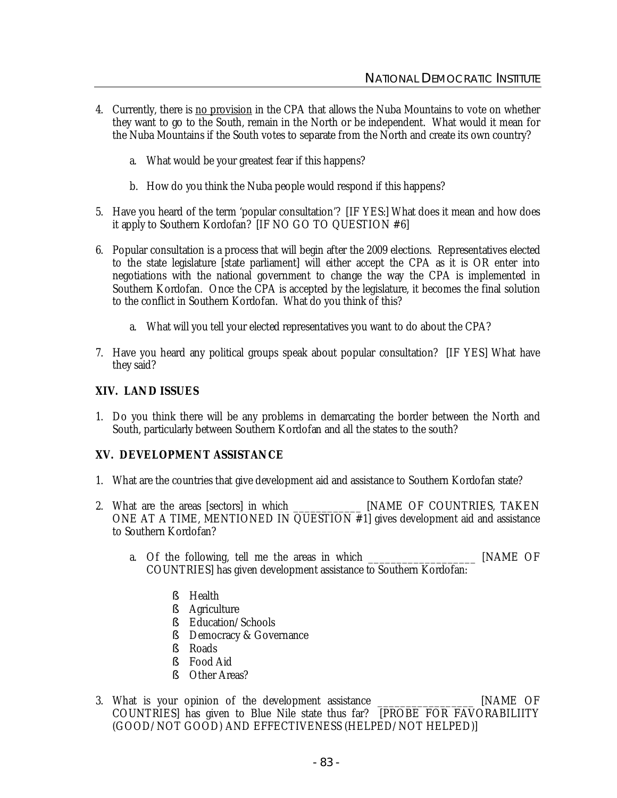- 4. Currently, there is no provision in the CPA that allows the Nuba Mountains to vote on whether they want to go to the South, remain in the North or be independent. What would it mean for the Nuba Mountains if the South votes to separate from the North and create its own country?
	- a. What would be your greatest fear if this happens?
	- b. How do you think the Nuba people would respond if this happens?
- 5. Have you heard of the term 'popular consultation'? [IF YES:] What does it mean and how does it apply to Southern Kordofan? [IF NO GO TO QUESTION #6]
- 6. Popular consultation is a process that will begin after the 2009 elections. Representatives elected to the state legislature [state parliament] will either accept the CPA as it is OR enter into negotiations with the national government to change the way the CPA is implemented in Southern Kordofan. Once the CPA is accepted by the legislature, it becomes the final solution to the conflict in Southern Kordofan. What do you think of this?
	- a. What will you tell your elected representatives you want to do about the CPA?
- 7. Have you heard any political groups speak about popular consultation? [IF YES] What have they said?

#### **XIV. LAND ISSUES**

1. Do you think there will be any problems in demarcating the border between the North and South, particularly between Southern Kordofan and all the states to the south?

#### **XV. DEVELOPMENT ASSISTANCE**

- 1. What are the countries that give development aid and assistance to Southern Kordofan state?
- 2. What are the areas [sectors] in which \_\_\_\_\_\_\_\_\_\_\_\_\_\_\_ [NAME OF COUNTRIES, TAKEN ONE AT A TIME, MENTIONED IN QUESTION #1] gives development aid and assistance to Southern Kordofan?
	- a. Of the following, tell me the areas in which \_\_\_\_\_\_\_\_\_\_\_\_\_\_\_\_\_\_\_ [NAME OF COUNTRIES] has given development assistance to Southern Kordofan:
		- § Health
		- § Agriculture
		- § Education/Schools
		- § Democracy & Governance
		- § Roads
		- § Food Aid
		- § Other Areas?
- 3. What is your opinion of the development assistance \_\_\_\_\_\_\_\_\_\_\_\_\_\_\_\_\_ [NAME OF COUNTRIES] has given to Blue Nile state thus far? [PROBE FOR FAVORABILIITY (GOOD/NOT GOOD) AND EFFECTIVENESS (HELPED/NOT HELPED)]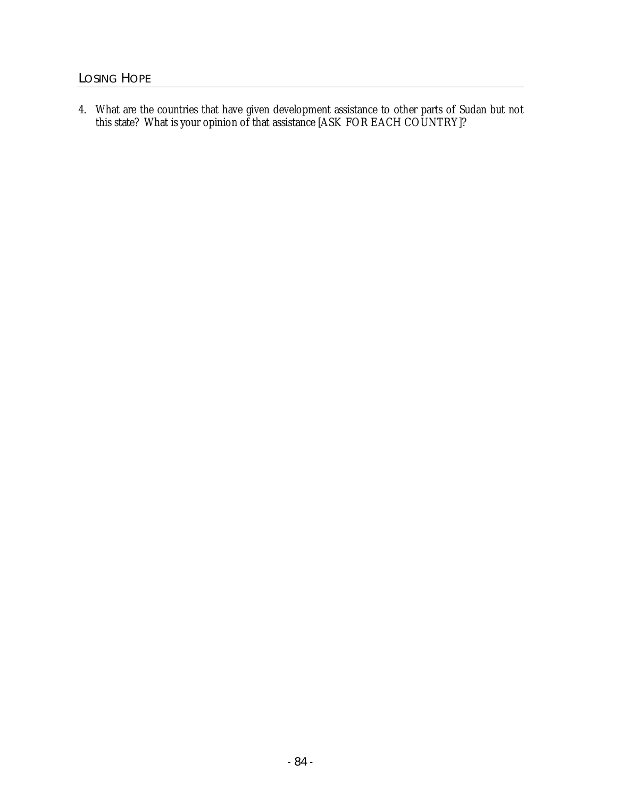4. What are the countries that have given development assistance to other parts of Sudan but not this state? What is your opinion of that assistance [ASK FOR EACH COUNTRY]?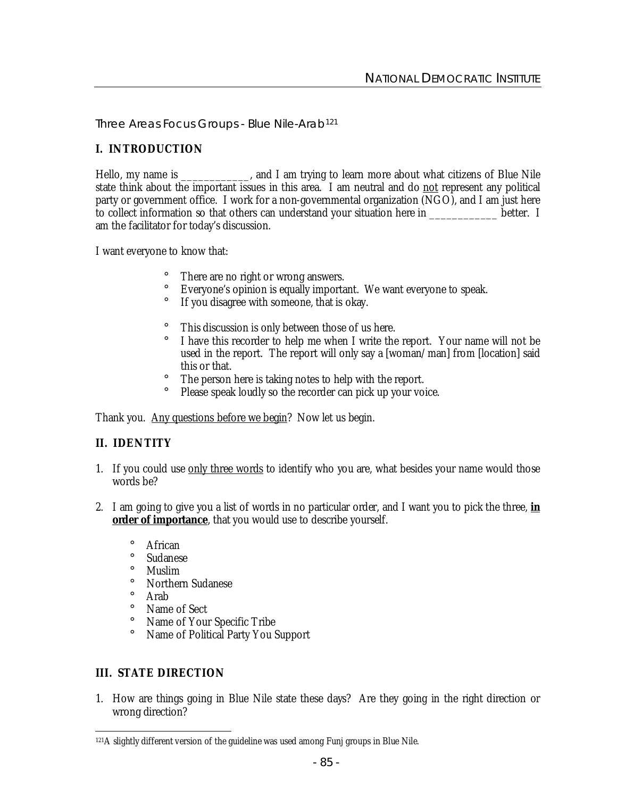Three Areas Focus Groups - Blue Nile-Arab<sup>121</sup>

## **I. INTRODUCTION**

Hello, my name is \_\_\_\_\_\_\_\_\_\_\_, and I am trying to learn more about what citizens of Blue Nile state think about the important issues in this area. I am neutral and do not represent any political party or government office. I work for a non-governmental organization (NGO), and I am just here to collect information so that others can understand your situation here in \_\_\_\_\_\_\_\_\_\_\_\_ better. I am the facilitator for today's discussion.

I want everyone to know that:

- ¡ There are no right or wrong answers.
- ¡ Everyone's opinion is equally important. We want everyone to speak.
- ¡ If you disagree with someone, that is okay.
- ¡ This discussion is only between those of us here.
- ¡ I have this recorder to help me when I write the report. Your name will not be used in the report. The report will only say a [woman/man] from [location] said this or that.
- ¡ The person here is taking notes to help with the report.
- Please speak loudly so the recorder can pick up your voice.

Thank you. Any questions before we begin? Now let us begin.

## **II. IDENTITY**

- 1. If you could use only three words to identify who you are, what besides your name would those words be?
- 2. I am going to give you a list of words in no particular order, and I want you to pick the three, **in order of importance**, that you would use to describe yourself.
	- ¡ African
	- ¡ Sudanese
	- ¡ Muslim
	- ¡ Northern Sudanese
	- ¡ Arab
	- ¡ Name of Sect
	- ¡ Name of Your Specific Tribe
	- ¡ Name of Political Party You Support

## **III. STATE DIRECTION**

1. How are things going in Blue Nile state these days? Are they going in the right direction or wrong direction?

 $\ddot{\phantom{a}}$ <sup>121</sup>A slightly different version of the guideline was used among Funj groups in Blue Nile.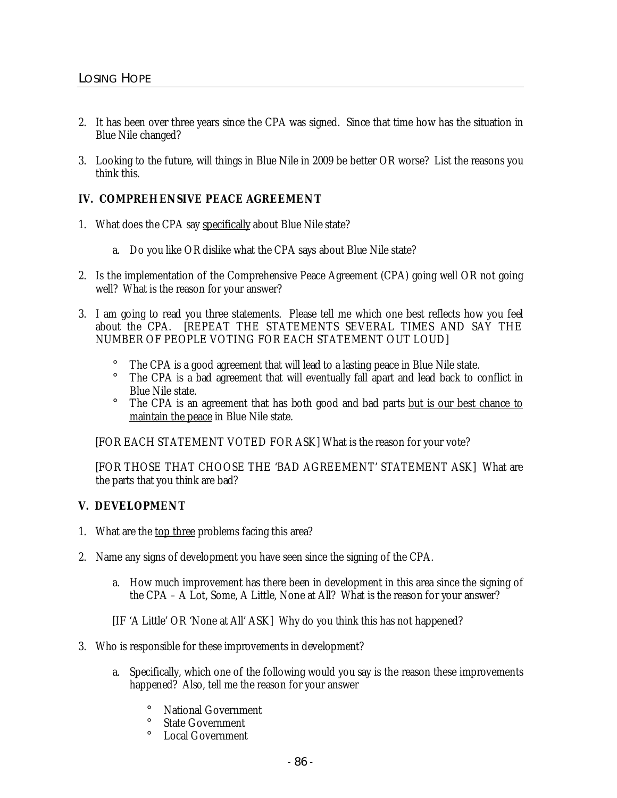- 2. It has been over three years since the CPA was signed. Since that time how has the situation in Blue Nile changed?
- 3. Looking to the future, will things in Blue Nile in 2009 be better OR worse? List the reasons you think this.

## **IV. COMPREHENSIVE PEACE AGREEMENT**

- 1. What does the CPA say specifically about Blue Nile state?
	- a. Do you like OR dislike what the CPA says about Blue Nile state?
- 2. Is the implementation of the Comprehensive Peace Agreement (CPA) going well OR not going well? What is the reason for your answer?
- 3. I am going to read you three statements. Please tell me which one best reflects how you feel about the CPA. [REPEAT THE STATEMENTS SEVERAL TIMES AND SAY THE NUMBER OF PEOPLE VOTING FOR EACH STATEMENT OUT LOUD]
	- The CPA is a good agreement that will lead to a lasting peace in Blue Nile state.
	- ¡ The CPA is a bad agreement that will eventually fall apart and lead back to conflict in Blue Nile state.
	- ¡ The CPA is an agreement that has both good and bad parts but is our best chance to maintain the peace in Blue Nile state.

[FOR EACH STATEMENT VOTED FOR ASK] What is the reason for your vote?

[FOR THOSE THAT CHOOSE THE 'BAD AGREEMENT' STATEMENT ASK] What are the parts that you think are bad?

## **V. DEVELOPMENT**

- 1. What are the top three problems facing this area?
- 2. Name any signs of development you have seen since the signing of the CPA.
	- a. How much improvement has there been in development in this area since the signing of the CPA – A Lot, Some, A Little, None at All? What is the reason for your answer?
	- [IF 'A Little' OR 'None at All' ASK] Why do you think this has not happened?
- 3. Who is responsible for these improvements in development?
	- a. Specifically, which one of the following would you say is the reason these improvements happened? Also, tell me the reason for your answer
		- **National Government**
		- **State Government**
		- ¡ Local Government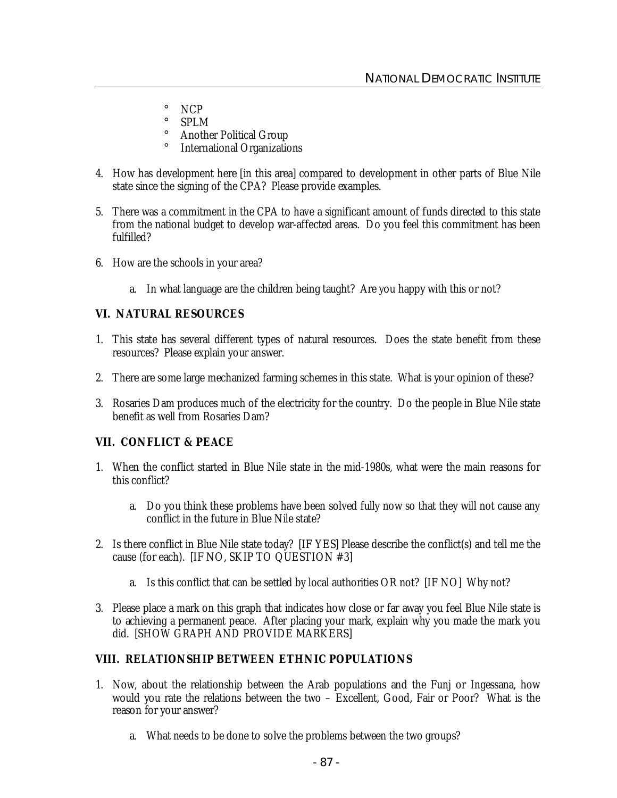- ¡ NCP
- ¡ SPLM
- ¡ Another Political Group
- ¡ International Organizations
- 4. How has development here [in this area] compared to development in other parts of Blue Nile state since the signing of the CPA? Please provide examples.
- 5. There was a commitment in the CPA to have a significant amount of funds directed to this state from the national budget to develop war-affected areas. Do you feel this commitment has been fulfilled?
- 6. How are the schools in your area?
	- a. In what language are the children being taught? Are you happy with this or not?

#### **VI. NATURAL RESOURCES**

- 1. This state has several different types of natural resources. Does the state benefit from these resources? Please explain your answer.
- 2. There are some large mechanized farming schemes in this state. What is your opinion of these?
- 3. Rosaries Dam produces much of the electricity for the country. Do the people in Blue Nile state benefit as well from Rosaries Dam?

#### **VII. CONFLICT & PEACE**

- 1. When the conflict started in Blue Nile state in the mid-1980s, what were the main reasons for this conflict?
	- a. Do you think these problems have been solved fully now so that they will not cause any conflict in the future in Blue Nile state?
- 2. Is there conflict in Blue Nile state today? [IF YES] Please describe the conflict(s) and tell me the cause (for each). [IF NO, SKIP TO QUESTION #3]
	- a. Is this conflict that can be settled by local authorities OR not? [IF NO] Why not?
- 3. Please place a mark on this graph that indicates how close or far away you feel Blue Nile state is to achieving a permanent peace. After placing your mark, explain why you made the mark you did. [SHOW GRAPH AND PROVIDE MARKERS]

## **VIII. RELATIONSHIP BETWEEN ETHNIC POPULATIONS**

- 1. Now, about the relationship between the Arab populations and the Funj or Ingessana, how would you rate the relations between the two – Excellent, Good, Fair or Poor? What is the reason for your answer?
	- a. What needs to be done to solve the problems between the two groups?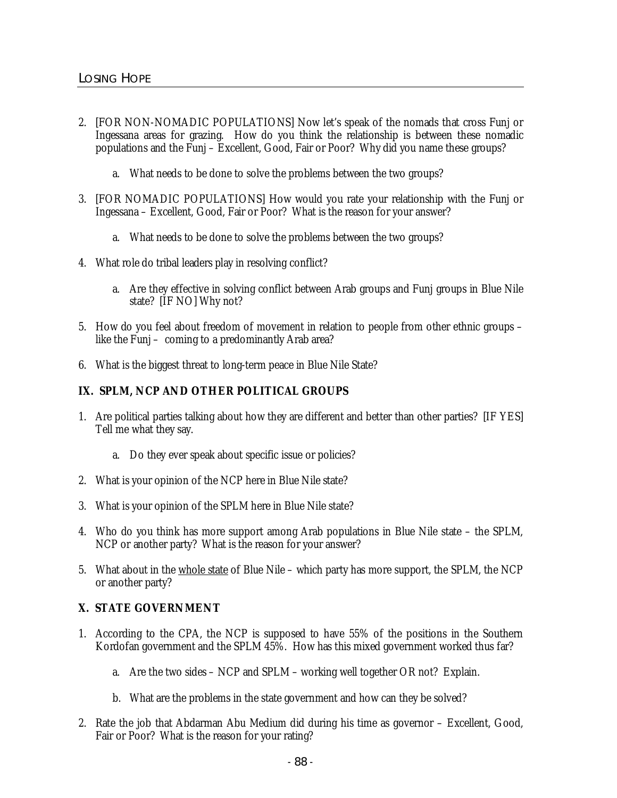- 2. [FOR NON-NOMADIC POPULATIONS] Now let's speak of the nomads that cross Funj or Ingessana areas for grazing. How do you think the relationship is between these nomadic populations and the Funj – Excellent, Good, Fair or Poor? Why did you name these groups?
	- a. What needs to be done to solve the problems between the two groups?
- 3. [FOR NOMADIC POPULATIONS] How would you rate your relationship with the Funj or Ingessana – Excellent, Good, Fair or Poor? What is the reason for your answer?
	- a. What needs to be done to solve the problems between the two groups?
- 4. What role do tribal leaders play in resolving conflict?
	- a. Are they effective in solving conflict between Arab groups and Funj groups in Blue Nile state? [IF NO] Why not?
- 5. How do you feel about freedom of movement in relation to people from other ethnic groups like the Funj – coming to a predominantly Arab area?
- 6. What is the biggest threat to long-term peace in Blue Nile State?

## **IX. SPLM, NCP AND OTHER POLITICAL GROUPS**

- 1. Are political parties talking about how they are different and better than other parties? [IF YES] Tell me what they say.
	- a. Do they ever speak about specific issue or policies?
- 2. What is your opinion of the NCP here in Blue Nile state?
- 3. What is your opinion of the SPLM here in Blue Nile state?
- 4. Who do you think has more support among Arab populations in Blue Nile state the SPLM, NCP or another party? What is the reason for your answer?
- 5. What about in the whole state of Blue Nile which party has more support, the SPLM, the NCP or another party?

## **X. STATE GOVERNMENT**

- 1. According to the CPA, the NCP is supposed to have 55% of the positions in the Southern Kordofan government and the SPLM 45%. How has this mixed government worked thus far?
	- a. Are the two sides NCP and SPLM working well together OR not? Explain.
	- b. What are the problems in the state government and how can they be solved?
- 2. Rate the job that Abdarman Abu Medium did during his time as governor Excellent, Good, Fair or Poor? What is the reason for your rating?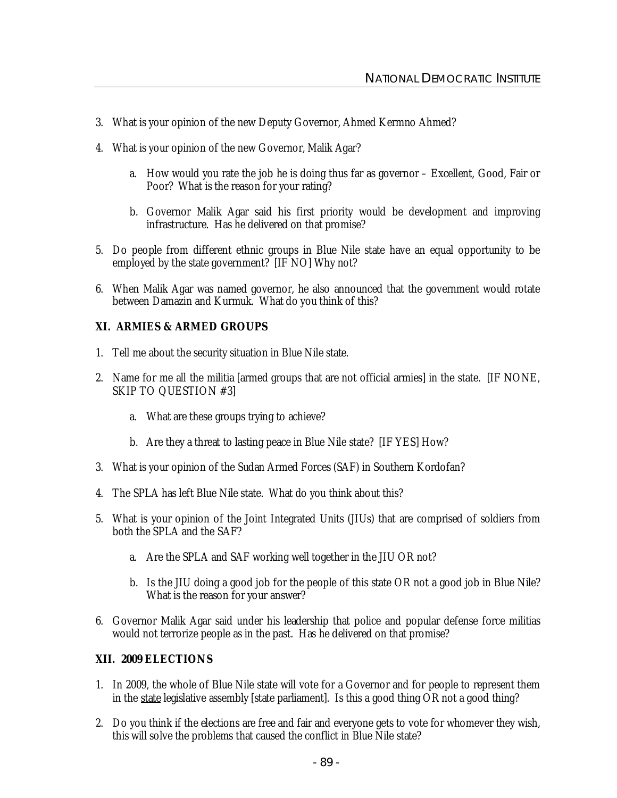- 3. What is your opinion of the new Deputy Governor, Ahmed Kermno Ahmed?
- 4. What is your opinion of the new Governor, Malik Agar?
	- a. How would you rate the job he is doing thus far as governor Excellent, Good, Fair or Poor? What is the reason for your rating?
	- b. Governor Malik Agar said his first priority would be development and improving infrastructure. Has he delivered on that promise?
- 5. Do people from different ethnic groups in Blue Nile state have an equal opportunity to be employed by the state government? [IF NO] Why not?
- 6. When Malik Agar was named governor, he also announced that the government would rotate between Damazin and Kurmuk. What do you think of this?

## **XI. ARMIES & ARMED GROUPS**

- 1. Tell me about the security situation in Blue Nile state.
- 2. Name for me all the militia [armed groups that are not official armies] in the state. [IF NONE, SKIP TO QUESTION #3]
	- a. What are these groups trying to achieve?
	- b. Are they a threat to lasting peace in Blue Nile state? [IF YES] How?
- 3. What is your opinion of the Sudan Armed Forces (SAF) in Southern Kordofan?
- 4. The SPLA has left Blue Nile state. What do you think about this?
- 5. What is your opinion of the Joint Integrated Units (JIUs) that are comprised of soldiers from both the SPLA and the SAF?
	- a. Are the SPLA and SAF working well together in the JIU OR not?
	- b. Is the JIU doing a good job for the people of this state OR not a good job in Blue Nile? What is the reason for your answer?
- 6. Governor Malik Agar said under his leadership that police and popular defense force militias would not terrorize people as in the past. Has he delivered on that promise?

#### **XII. 2009 ELECTIONS**

- 1. In 2009, the whole of Blue Nile state will vote for a Governor and for people to represent them in the state legislative assembly [state parliament]. Is this a good thing OR not a good thing?
- 2. Do you think if the elections are free and fair and everyone gets to vote for whomever they wish, this will solve the problems that caused the conflict in Blue Nile state?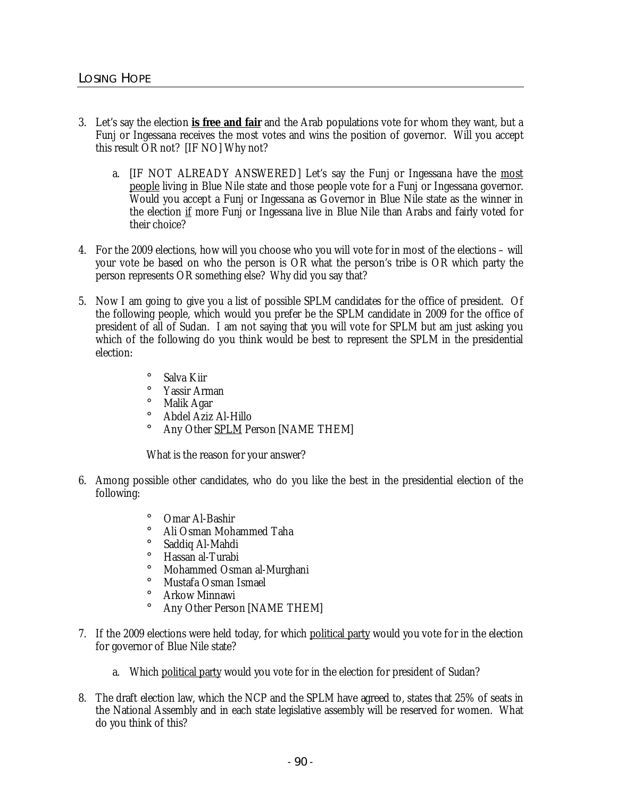- 3. Let's say the election **is free and fair** and the Arab populations vote for whom they want, but a Funj or Ingessana receives the most votes and wins the position of governor. Will you accept this result OR not? [IF NO] Why not?
	- a. [IF NOT ALREADY ANSWERED] Let's say the Funj or Ingessana have the most people living in Blue Nile state and those people vote for a Funj or Ingessana governor. Would you accept a Funj or Ingessana as Governor in Blue Nile state as the winner in the election if more Funj or Ingessana live in Blue Nile than Arabs and fairly voted for their choice?
- 4. For the 2009 elections, how will you choose who you will vote for in most of the elections will your vote be based on who the person is OR what the person's tribe is OR which party the person represents OR something else? Why did you say that?
- 5. Now I am going to give you a list of possible SPLM candidates for the office of president. Of the following people, which would you prefer be the SPLM candidate in 2009 for the office of president of all of Sudan. I am not saying that you will vote for SPLM but am just asking you which of the following do you think would be best to represent the SPLM in the presidential election:
	- ¡ Salva Kiir ¡ Yassir Arman ¡ Malik Agar
	- ¡ Abdel Aziz Al-Hillo
	- Any Other SPLM Person [NAME THEM]

What is the reason for your answer?

- 6. Among possible other candidates, who do you like the best in the presidential election of the following:
	- ¡ Omar Al-Bashir
	- ¡ Ali Osman Mohammed Taha
	- ¡ Saddiq Al-Mahdi
	- ¡ Hassan al-Turabi
	- ¡ Mohammed Osman al-Murghani
	- ¡ Mustafa Osman Ismael
	- ¡ Arkow Minnawi
	- Any Other Person [NAME THEM]
- 7. If the 2009 elections were held today, for which political party would you vote for in the election for governor of Blue Nile state?
	- a. Which political party would you vote for in the election for president of Sudan?
- 8. The draft election law, which the NCP and the SPLM have agreed to, states that 25% of seats in the National Assembly and in each state legislative assembly will be reserved for women. What do you think of this?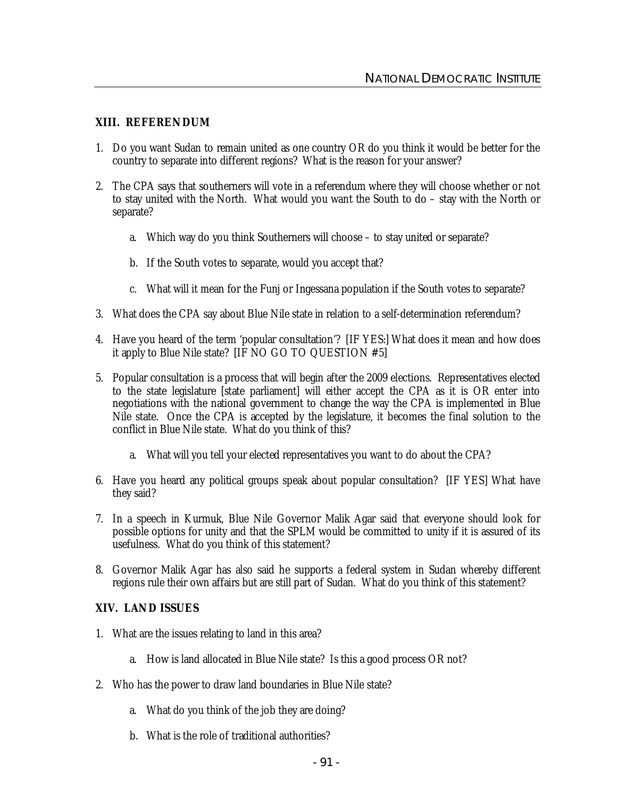#### **XIII. REFERENDUM**

- 1. Do you want Sudan to remain united as one country OR do you think it would be better for the country to separate into different regions? What is the reason for your answer?
- 2. The CPA says that southerners will vote in a referendum where they will choose whether or not to stay united with the North. What would you want the South to do – stay with the North or separate?
	- a. Which way do you think Southerners will choose to stay united or separate?
	- b. If the South votes to separate, would you accept that?
	- c. What will it mean for the Funj or Ingessana population if the South votes to separate?
- 3. What does the CPA say about Blue Nile state in relation to a self-determination referendum?
- 4. Have you heard of the term 'popular consultation'? [IF YES:] What does it mean and how does it apply to Blue Nile state? [IF NO GO TO QUESTION #5]
- 5. Popular consultation is a process that will begin after the 2009 elections. Representatives elected to the state legislature [state parliament] will either accept the CPA as it is OR enter into negotiations with the national government to change the way the CPA is implemented in Blue Nile state. Once the CPA is accepted by the legislature, it becomes the final solution to the conflict in Blue Nile state. What do you think of this?
	- a. What will you tell your elected representatives you want to do about the CPA?
- 6. Have you heard any political groups speak about popular consultation? [IF YES] What have they said?
- 7. In a speech in Kurmuk, Blue Nile Governor Malik Agar said that everyone should look for possible options for unity and that the SPLM would be committed to unity if it is assured of its usefulness. What do you think of this statement?
- 8. Governor Malik Agar has also said he supports a federal system in Sudan whereby different regions rule their own affairs but are still part of Sudan. What do you think of this statement?

#### **XIV. LAND ISSUES**

- 1. What are the issues relating to land in this area?
	- a. How is land allocated in Blue Nile state? Is this a good process OR not?
- 2. Who has the power to draw land boundaries in Blue Nile state?
	- a. What do you think of the job they are doing?
	- b. What is the role of traditional authorities?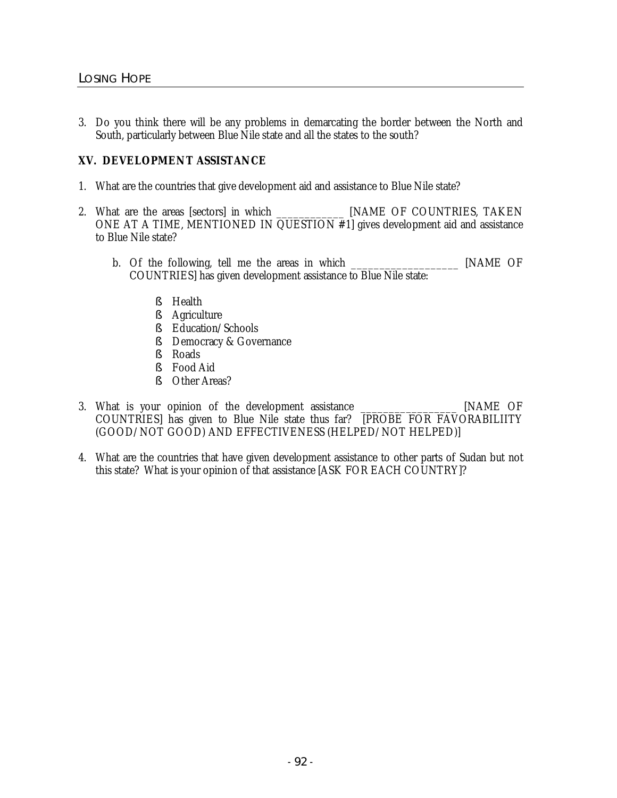3. Do you think there will be any problems in demarcating the border between the North and South, particularly between Blue Nile state and all the states to the south?

## **XV. DEVELOPMENT ASSISTANCE**

- 1. What are the countries that give development aid and assistance to Blue Nile state?
- 2. What are the areas [sectors] in which \_\_\_\_\_\_\_\_\_\_\_\_\_\_ [NAME OF COUNTRIES, TAKEN ONE AT A TIME, MENTIONED IN QUESTION #1] gives development aid and assistance to Blue Nile state?
	- b. Of the following, tell me the areas in which [NAME OF COUNTRIES] has given development assistance to Blue Nile state:
		- § Health
		- § Agriculture
		- § Education/Schools
		- § Democracy & Governance
		- § Roads
		- § Food Aid
		- § Other Areas?
- 3. What is your opinion of the development assistance \_\_\_\_\_\_\_\_\_\_\_\_\_\_\_\_\_ [NAME OF COUNTRIES] has given to Blue Nile state thus far? [PROBE FOR FAVORABILIITY (GOOD/NOT GOOD) AND EFFECTIVENESS (HELPED/NOT HELPED)]
- 4. What are the countries that have given development assistance to other parts of Sudan but not this state? What is your opinion of that assistance [ASK FOR EACH COUNTRY]?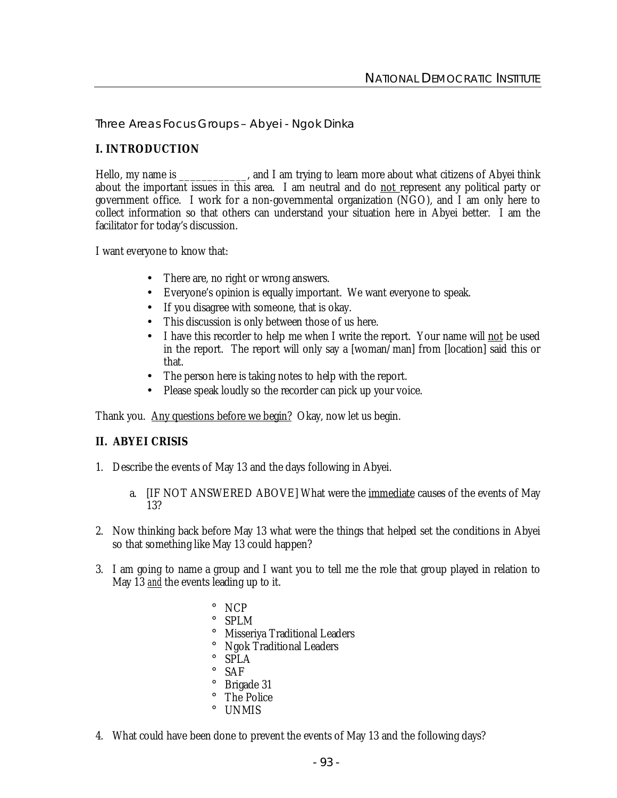Three Areas Focus Groups – Abyei - Ngok Dinka

## **I. INTRODUCTION**

Hello, my name is \_\_\_\_\_\_\_\_\_\_\_, and I am trying to learn more about what citizens of Abyei think about the important issues in this area. I am neutral and do not represent any political party or government office. I work for a non-governmental organization (NGO), and I am only here to collect information so that others can understand your situation here in Abyei better. I am the facilitator for today's discussion.

I want everyone to know that:

- There are, no right or wrong answers.
- Everyone's opinion is equally important. We want everyone to speak.
- If you disagree with someone, that is okay.
- This discussion is only between those of us here.
- I have this recorder to help me when I write the report. Your name will not be used in the report. The report will only say a [woman/man] from [location] said this or that.
- The person here is taking notes to help with the report.
- Please speak loudly so the recorder can pick up your voice.

Thank you. Any questions before we begin? Okay, now let us begin.

#### **II. ABYEI CRISIS**

- 1. Describe the events of May 13 and the days following in Abyei.
	- a. [IF NOT ANSWERED ABOVE] What were the *immediate* causes of the events of May 13?
- 2. Now thinking back before May 13 what were the things that helped set the conditions in Abyei so that something like May 13 could happen?
- 3. I am going to name a group and I want you to tell me the role that group played in relation to May 13 *and* the events leading up to it.
	- ¡ NCP ¡ SPLM ¡ Misseriya Traditional Leaders ¡ Ngok Traditional Leaders ¡ SPLA ¡ SAF ¡ Brigade 31 ¡ The Police ¡ UNMIS
- 4. What could have been done to prevent the events of May 13 and the following days?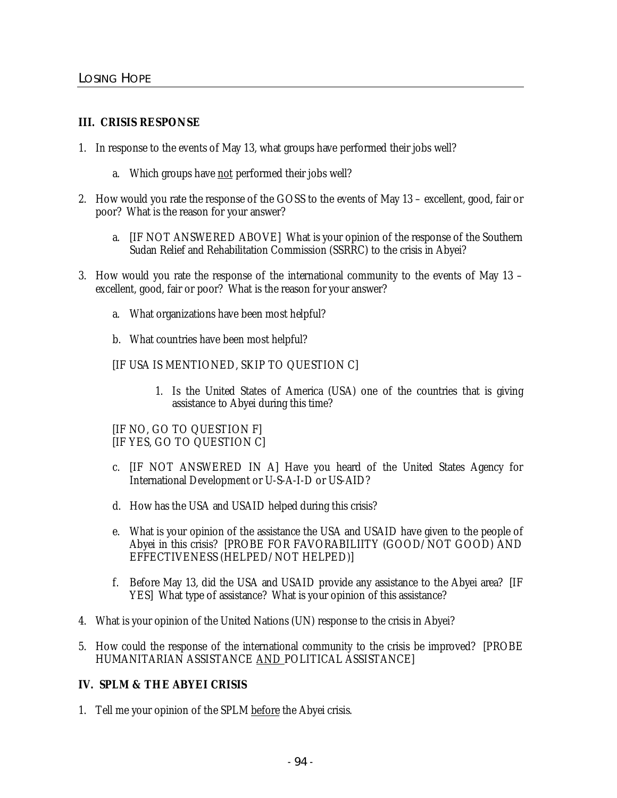#### **III. CRISIS RESPONSE**

- 1. In response to the events of May 13, what groups have performed their jobs well?
	- a. Which groups have not performed their jobs well?
- 2. How would you rate the response of the GOSS to the events of May 13 excellent, good, fair or poor? What is the reason for your answer?
	- a. [IF NOT ANSWERED ABOVE] What is your opinion of the response of the Southern Sudan Relief and Rehabilitation Commission (SSRRC) to the crisis in Abyei?
- 3. How would you rate the response of the international community to the events of May 13 excellent, good, fair or poor? What is the reason for your answer?
	- a. What organizations have been most helpful?
	- b. What countries have been most helpful?
	- [IF USA IS MENTIONED, SKIP TO QUESTION C]
		- 1. Is the United States of America (USA) one of the countries that is giving assistance to Abyei during this time?

#### [IF NO, GO TO QUESTION F] [IF YES, GO TO QUESTION C]

- c. [IF NOT ANSWERED IN A] Have you heard of the United States Agency for International Development or U-S-A-I-D or US-AID?
- d. How has the USA and USAID helped during this crisis?
- e. What is your opinion of the assistance the USA and USAID have given to the people of Abyei in this crisis? [PROBE FOR FAVORABILIITY (GOOD/NOT GOOD) AND EFFECTIVENESS (HELPED/NOT HELPED)]
- f. Before May 13, did the USA and USAID provide any assistance to the Abyei area? [IF YES] What type of assistance? What is your opinion of this assistance?
- 4. What is your opinion of the United Nations (UN) response to the crisis in Abyei?
- 5. How could the response of the international community to the crisis be improved? [PROBE HUMANITARIAN ASSISTANCE AND POLITICAL ASSISTANCE]

## **IV. SPLM & THE ABYEI CRISIS**

1. Tell me your opinion of the SPLM before the Abyei crisis.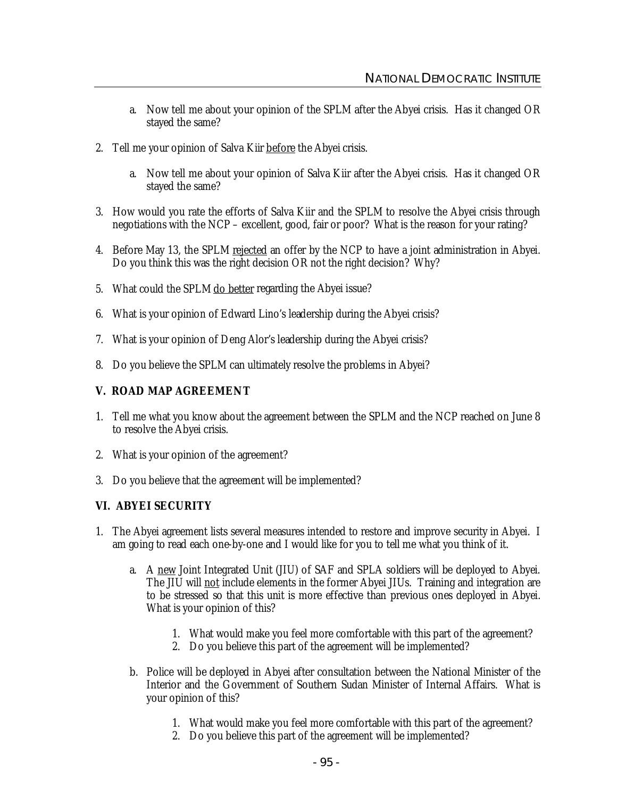- a. Now tell me about your opinion of the SPLM after the Abyei crisis. Has it changed OR stayed the same?
- 2. Tell me your opinion of Salva Kiir before the Abyei crisis.
	- a. Now tell me about your opinion of Salva Kiir after the Abyei crisis. Has it changed OR stayed the same?
- 3. How would you rate the efforts of Salva Kiir and the SPLM to resolve the Abyei crisis through negotiations with the NCP – excellent, good, fair or poor? What is the reason for your rating?
- 4. Before May 13, the SPLM rejected an offer by the NCP to have a joint administration in Abyei. Do you think this was the right decision OR not the right decision? Why?
- 5. What could the SPLM do better regarding the Abyei issue?
- 6. What is your opinion of Edward Lino's leadership during the Abyei crisis?
- 7. What is your opinion of Deng Alor's leadership during the Abyei crisis?
- 8. Do you believe the SPLM can ultimately resolve the problems in Abyei?

#### **V. ROAD MAP AGREEMENT**

- 1. Tell me what you know about the agreement between the SPLM and the NCP reached on June 8 to resolve the Abyei crisis.
- 2. What is your opinion of the agreement?
- 3. Do you believe that the agreement will be implemented?

## **VI. ABYEI SECURITY**

- 1. The Abyei agreement lists several measures intended to restore and improve security in Abyei. I am going to read each one-by-one and I would like for you to tell me what you think of it.
	- a. A new Joint Integrated Unit (JIU) of SAF and SPLA soldiers will be deployed to Abyei. The JIU will not include elements in the former Abyei JIUs. Training and integration are to be stressed so that this unit is more effective than previous ones deployed in Abyei. What is your opinion of this?
		- 1. What would make you feel more comfortable with this part of the agreement?
		- 2. Do you believe this part of the agreement will be implemented?
	- b. Police will be deployed in Abyei after consultation between the National Minister of the Interior and the Government of Southern Sudan Minister of Internal Affairs. What is your opinion of this?
		- 1. What would make you feel more comfortable with this part of the agreement?
		- 2. Do you believe this part of the agreement will be implemented?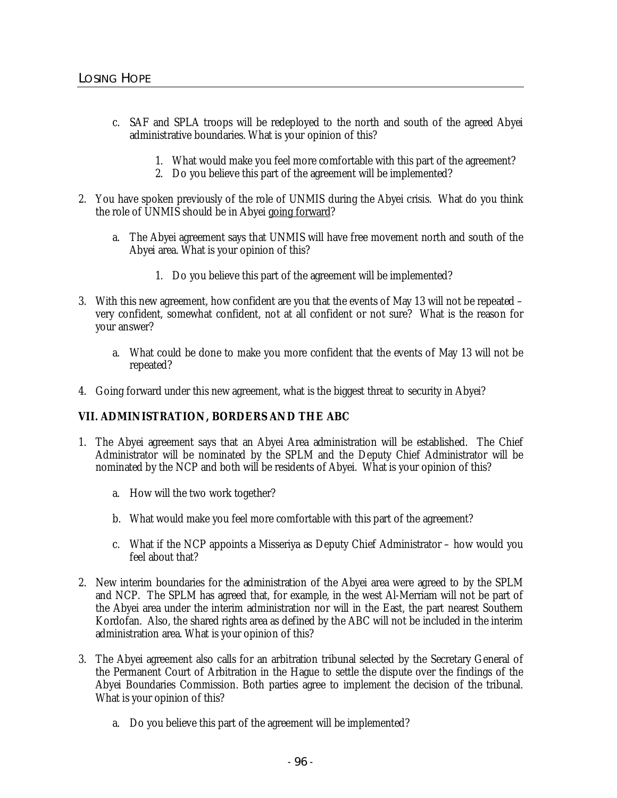- c. SAF and SPLA troops will be redeployed to the north and south of the agreed Abyei administrative boundaries. What is your opinion of this?
	- 1. What would make you feel more comfortable with this part of the agreement?
	- 2. Do you believe this part of the agreement will be implemented?
- 2. You have spoken previously of the role of UNMIS during the Abyei crisis. What do you think the role of UNMIS should be in Abyei going forward?
	- a. The Abyei agreement says that UNMIS will have free movement north and south of the Abyei area. What is your opinion of this?
		- 1. Do you believe this part of the agreement will be implemented?
- 3. With this new agreement, how confident are you that the events of May 13 will not be repeated very confident, somewhat confident, not at all confident or not sure? What is the reason for your answer?
	- a. What could be done to make you more confident that the events of May 13 will not be repeated?
- 4. Going forward under this new agreement, what is the biggest threat to security in Abyei?

## **VII. ADMINISTRATION, BORDERS AND THE ABC**

- 1. The Abyei agreement says that an Abyei Area administration will be established. The Chief Administrator will be nominated by the SPLM and the Deputy Chief Administrator will be nominated by the NCP and both will be residents of Abyei. What is your opinion of this?
	- a. How will the two work together?
	- b. What would make you feel more comfortable with this part of the agreement?
	- c. What if the NCP appoints a Misseriya as Deputy Chief Administrator how would you feel about that?
- 2. New interim boundaries for the administration of the Abyei area were agreed to by the SPLM and NCP. The SPLM has agreed that, for example, in the west Al-Merriam will not be part of the Abyei area under the interim administration nor will in the East, the part nearest Southern Kordofan. Also, the shared rights area as defined by the ABC will not be included in the interim administration area. What is your opinion of this?
- 3. The Abyei agreement also calls for an arbitration tribunal selected by the Secretary General of the Permanent Court of Arbitration in the Hague to settle the dispute over the findings of the Abyei Boundaries Commission. Both parties agree to implement the decision of the tribunal. What is your opinion of this?
	- a. Do you believe this part of the agreement will be implemented?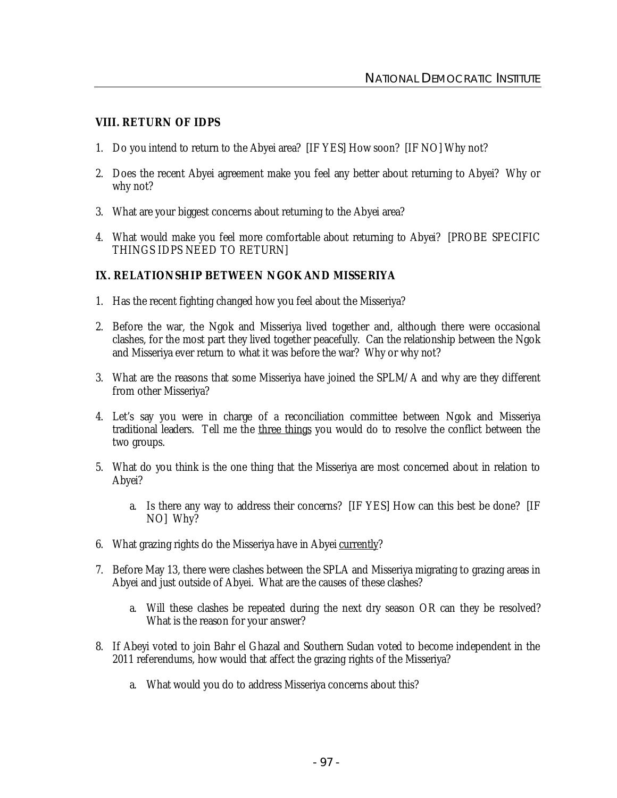#### **VIII. RETURN OF IDPS**

- 1. Do you intend to return to the Abyei area? [IF YES] How soon? [IF NO] Why not?
- 2. Does the recent Abyei agreement make you feel any better about returning to Abyei? Why or why not?
- 3. What are your biggest concerns about returning to the Abyei area?
- 4. What would make you feel more comfortable about returning to Abyei? [PROBE SPECIFIC THINGS IDPS NEED TO RETURN]

## **IX. RELATIONSHIP BETWEEN NGOK AND MISSERIYA**

- 1. Has the recent fighting changed how you feel about the Misseriya?
- 2. Before the war, the Ngok and Misseriya lived together and, although there were occasional clashes, for the most part they lived together peacefully. Can the relationship between the Ngok and Misseriya ever return to what it was before the war? Why or why not?
- 3. What are the reasons that some Misseriya have joined the SPLM/A and why are they different from other Misseriya?
- 4. Let's say you were in charge of a reconciliation committee between Ngok and Misseriya traditional leaders. Tell me the three things you would do to resolve the conflict between the two groups.
- 5. What do you think is the one thing that the Misseriya are most concerned about in relation to Abyei?
	- a. Is there any way to address their concerns? [IF YES] How can this best be done? [IF NO] Why?
- 6. What grazing rights do the Misseriya have in Abyei currently?
- 7. Before May 13, there were clashes between the SPLA and Misseriya migrating to grazing areas in Abyei and just outside of Abyei. What are the causes of these clashes?
	- a. Will these clashes be repeated during the next dry season OR can they be resolved? What is the reason for your answer?
- 8. If Abeyi voted to join Bahr el Ghazal and Southern Sudan voted to become independent in the 2011 referendums, how would that affect the grazing rights of the Misseriya?
	- a. What would you do to address Misseriya concerns about this?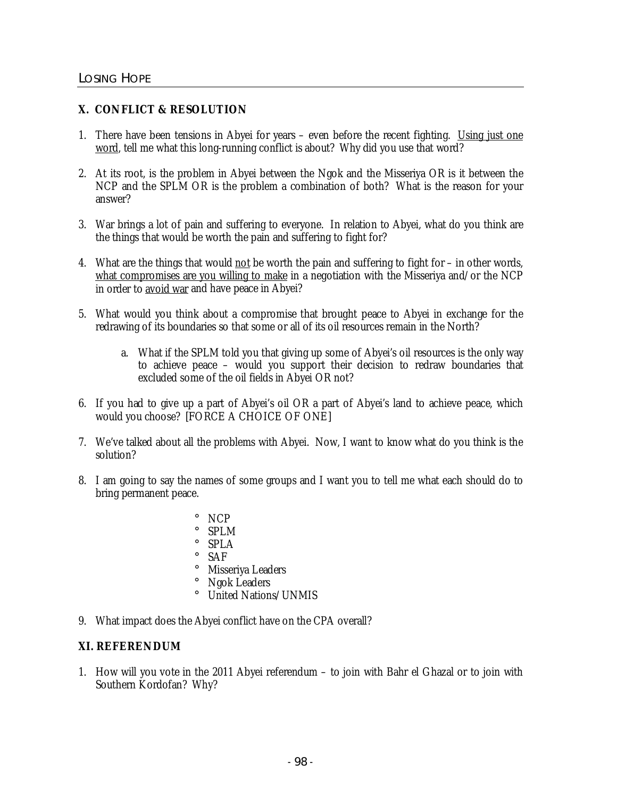## **X. CONFLICT & RESOLUTION**

- 1. There have been tensions in Abyei for years even before the recent fighting. Using just one word, tell me what this long-running conflict is about? Why did you use that word?
- 2. At its root, is the problem in Abyei between the Ngok and the Misseriya OR is it between the NCP and the SPLM OR is the problem a combination of both? What is the reason for your answer?
- 3. War brings a lot of pain and suffering to everyone. In relation to Abyei, what do you think are the things that would be worth the pain and suffering to fight for?
- 4. What are the things that would not be worth the pain and suffering to fight for in other words, what compromises are you willing to make in a negotiation with the Misseriya and/or the NCP in order to avoid war and have peace in Abyei?
- 5. What would you think about a compromise that brought peace to Abyei in exchange for the redrawing of its boundaries so that some or all of its oil resources remain in the North?
	- a. What if the SPLM told you that giving up some of Abyei's oil resources is the only way to achieve peace – would you support their decision to redraw boundaries that excluded some of the oil fields in Abyei OR not?
- 6. If you had to give up a part of Abyei's oil OR a part of Abyei's land to achieve peace, which would you choose? [FORCE A CHOICE OF ONE]
- 7. We've talked about all the problems with Abyei. Now, I want to know what do you think is the solution?
- 8. I am going to say the names of some groups and I want you to tell me what each should do to bring permanent peace.
	- ¡ NCP ¡ SPLM ¡ SPLA ¡ SAF ¡ Misseriya Leaders ¡ Ngok Leaders ¡ United Nations/UNMIS
- 9. What impact does the Abyei conflict have on the CPA overall?

## **XI. REFERENDUM**

1. How will you vote in the 2011 Abyei referendum – to join with Bahr el Ghazal or to join with Southern Kordofan? Why?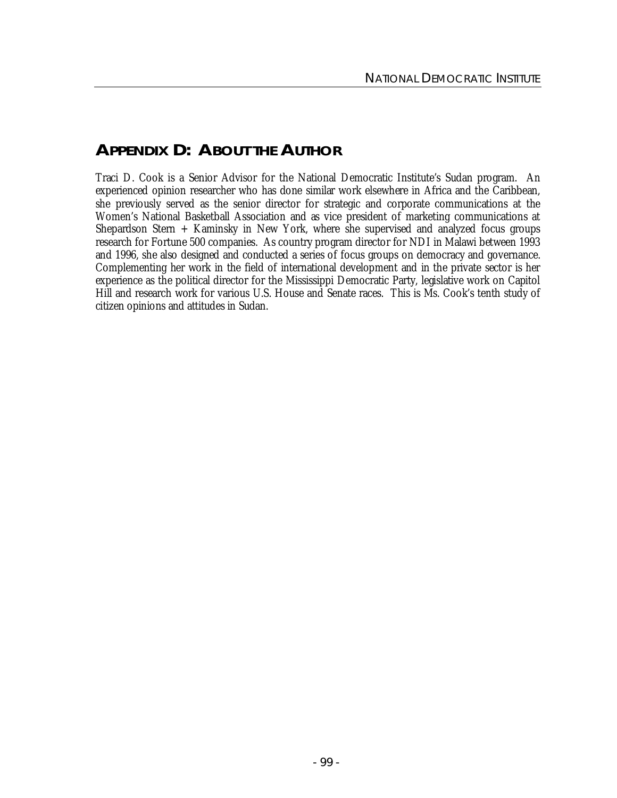# **APPENDIX D: ABOUT THE AUTHOR**

Traci D. Cook is a Senior Advisor for the National Democratic Institute's Sudan program. An experienced opinion researcher who has done similar work elsewhere in Africa and the Caribbean, she previously served as the senior director for strategic and corporate communications at the Women's National Basketball Association and as vice president of marketing communications at Shepardson Stern + Kaminsky in New York, where she supervised and analyzed focus groups research for Fortune 500 companies. As country program director for NDI in Malawi between 1993 and 1996, she also designed and conducted a series of focus groups on democracy and governance. Complementing her work in the field of international development and in the private sector is her experience as the political director for the Mississippi Democratic Party, legislative work on Capitol Hill and research work for various U.S. House and Senate races. This is Ms. Cook's tenth study of citizen opinions and attitudes in Sudan.